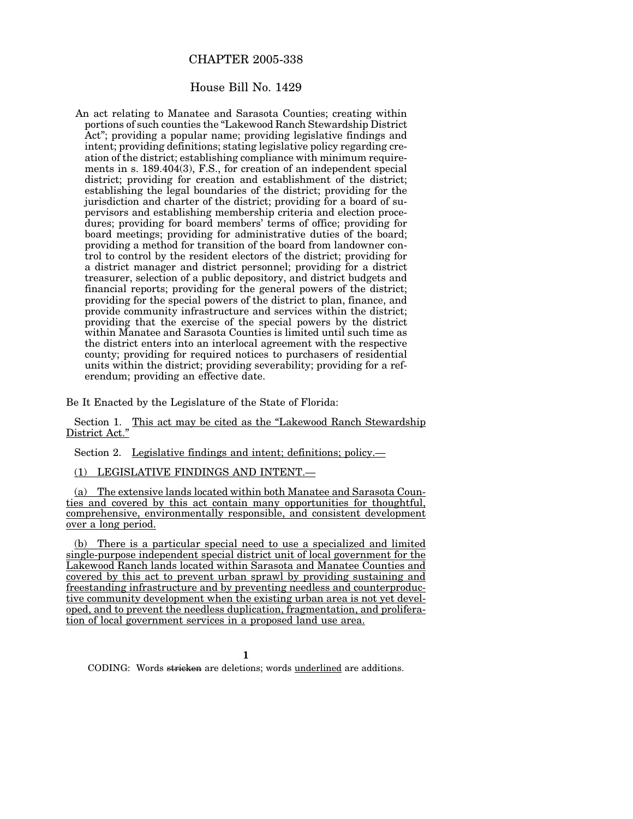# CHAPTER 2005-338

## House Bill No. 1429

An act relating to Manatee and Sarasota Counties; creating within portions of such counties the "Lakewood Ranch Stewardship District Act"; providing a popular name; providing legislative findings and intent; providing definitions; stating legislative policy regarding creation of the district; establishing compliance with minimum requirements in s. 189.404(3), F.S., for creation of an independent special district; providing for creation and establishment of the district; establishing the legal boundaries of the district; providing for the jurisdiction and charter of the district; providing for a board of supervisors and establishing membership criteria and election procedures; providing for board members' terms of office; providing for board meetings; providing for administrative duties of the board; providing a method for transition of the board from landowner control to control by the resident electors of the district; providing for a district manager and district personnel; providing for a district treasurer, selection of a public depository, and district budgets and financial reports; providing for the general powers of the district; providing for the special powers of the district to plan, finance, and provide community infrastructure and services within the district; providing that the exercise of the special powers by the district within Manatee and Sarasota Counties is limited until such time as the district enters into an interlocal agreement with the respective county; providing for required notices to purchasers of residential units within the district; providing severability; providing for a referendum; providing an effective date.

Be It Enacted by the Legislature of the State of Florida:

Section 1. This act may be cited as the "Lakewood Ranch Stewardship District Act."

Section 2. Legislative findings and intent; definitions; policy.—

(1) LEGISLATIVE FINDINGS AND INTENT.—

(a) The extensive lands located within both Manatee and Sarasota Counties and covered by this act contain many opportunities for thoughtful, comprehensive, environmentally responsible, and consistent development over a long period.

(b) There is a particular special need to use a specialized and limited single-purpose independent special district unit of local government for the Lakewood Ranch lands located within Sarasota and Manatee Counties and covered by this act to prevent urban sprawl by providing sustaining and freestanding infrastructure and by preventing needless and counterproductive community development when the existing urban area is not yet developed, and to prevent the needless duplication, fragmentation, and proliferation of local government services in a proposed land use area.

**1**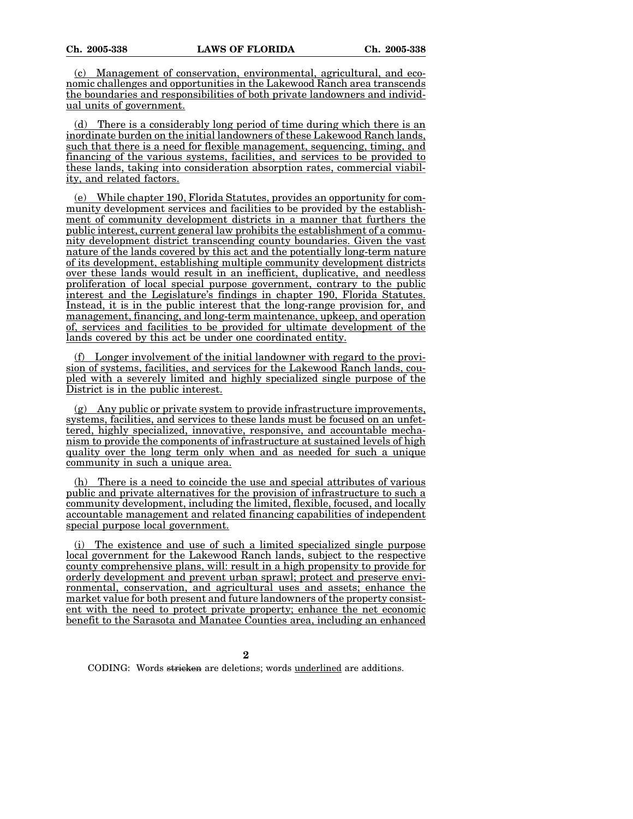(c) Management of conservation, environmental, agricultural, and economic challenges and opportunities in the Lakewood Ranch area transcends the boundaries and responsibilities of both private landowners and individual units of government.

(d) There is a considerably long period of time during which there is an inordinate burden on the initial landowners of these Lakewood Ranch lands, such that there is a need for flexible management, sequencing, timing, and financing of the various systems, facilities, and services to be provided to these lands, taking into consideration absorption rates, commercial viability, and related factors.

(e) While chapter 190, Florida Statutes, provides an opportunity for community development services and facilities to be provided by the establishment of community development districts in a manner that furthers the public interest, current general law prohibits the establishment of a community development district transcending county boundaries. Given the vast nature of the lands covered by this act and the potentially long-term nature of its development, establishing multiple community development districts over these lands would result in an inefficient, duplicative, and needless proliferation of local special purpose government, contrary to the public interest and the Legislature's findings in chapter 190, Florida Statutes. Instead, it is in the public interest that the long-range provision for, and management, financing, and long-term maintenance, upkeep, and operation of, services and facilities to be provided for ultimate development of the lands covered by this act be under one coordinated entity.

(f) Longer involvement of the initial landowner with regard to the provision of systems, facilities, and services for the Lakewood Ranch lands, coupled with a severely limited and highly specialized single purpose of the District is in the public interest.

 $(g)$  Any public or private system to provide infrastructure improvements, systems, facilities, and services to these lands must be focused on an unfettered, highly specialized, innovative, responsive, and accountable mechanism to provide the components of infrastructure at sustained levels of high quality over the long term only when and as needed for such a unique community in such a unique area.

(h) There is a need to coincide the use and special attributes of various public and private alternatives for the provision of infrastructure to such a community development, including the limited, flexible, focused, and locally accountable management and related financing capabilities of independent special purpose local government.

(i) The existence and use of such a limited specialized single purpose local government for the Lakewood Ranch lands, subject to the respective county comprehensive plans, will: result in a high propensity to provide for orderly development and prevent urban sprawl; protect and preserve environmental, conservation, and agricultural uses and assets; enhance the market value for both present and future landowners of the property consistent with the need to protect private property; enhance the net economic benefit to the Sarasota and Manatee Counties area, including an enhanced

**2**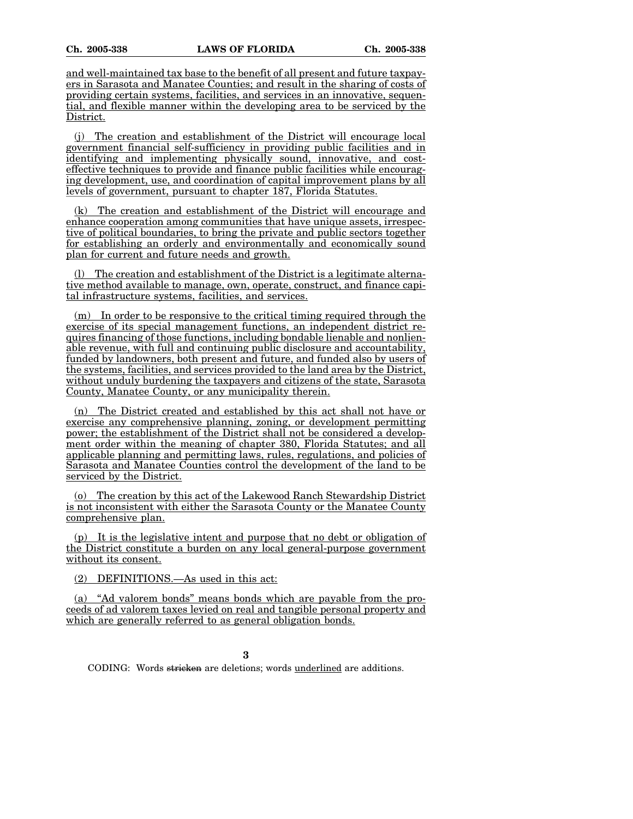and well-maintained tax base to the benefit of all present and future taxpayers in Sarasota and Manatee Counties; and result in the sharing of costs of providing certain systems, facilities, and services in an innovative, sequential, and flexible manner within the developing area to be serviced by the District.

(j) The creation and establishment of the District will encourage local government financial self-sufficiency in providing public facilities and in identifying and implementing physically sound, innovative, and costeffective techniques to provide and finance public facilities while encouraging development, use, and coordination of capital improvement plans by all levels of government, pursuant to chapter 187, Florida Statutes.

(k) The creation and establishment of the District will encourage and enhance cooperation among communities that have unique assets, irrespective of political boundaries, to bring the private and public sectors together for establishing an orderly and environmentally and economically sound plan for current and future needs and growth.

The creation and establishment of the District is a legitimate alternative method available to manage, own, operate, construct, and finance capital infrastructure systems, facilities, and services.

 $(m)$  In order to be responsive to the critical timing required through the exercise of its special management functions, an independent district requires financing of those functions, including bondable lienable and nonlienable revenue, with full and continuing public disclosure and accountability, funded by landowners, both present and future, and funded also by users of the systems, facilities, and services provided to the land area by the District, without unduly burdening the taxpayers and citizens of the state, Sarasota County, Manatee County, or any municipality therein.

(n) The District created and established by this act shall not have or exercise any comprehensive planning, zoning, or development permitting power; the establishment of the District shall not be considered a development order within the meaning of chapter 380, Florida Statutes; and all applicable planning and permitting laws, rules, regulations, and policies of Sarasota and Manatee Counties control the development of the land to be serviced by the District.

(o) The creation by this act of the Lakewood Ranch Stewardship District is not inconsistent with either the Sarasota County or the Manatee County comprehensive plan.

(p) It is the legislative intent and purpose that no debt or obligation of the District constitute a burden on any local general-purpose government without its consent.

(2) DEFINITIONS.—As used in this act:

(a) "Ad valorem bonds" means bonds which are payable from the proceeds of ad valorem taxes levied on real and tangible personal property and which are generally referred to as general obligation bonds.

**3**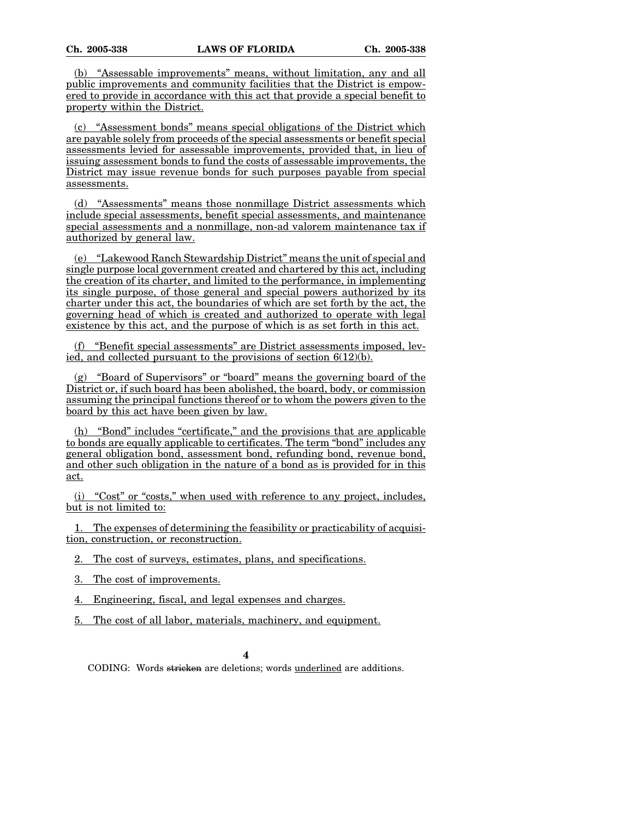(b) "Assessable improvements" means, without limitation, any and all public improvements and community facilities that the District is empowered to provide in accordance with this act that provide a special benefit to property within the District.

(c) "Assessment bonds" means special obligations of the District which are payable solely from proceeds of the special assessments or benefit special assessments levied for assessable improvements, provided that, in lieu of issuing assessment bonds to fund the costs of assessable improvements, the District may issue revenue bonds for such purposes payable from special assessments.

(d) "Assessments" means those nonmillage District assessments which include special assessments, benefit special assessments, and maintenance special assessments and a nonmillage, non-ad valorem maintenance tax if authorized by general law.

(e) "Lakewood Ranch Stewardship District" means the unit of special and single purpose local government created and chartered by this act, including the creation of its charter, and limited to the performance, in implementing its single purpose, of those general and special powers authorized by its charter under this act, the boundaries of which are set forth by the act, the governing head of which is created and authorized to operate with legal existence by this act, and the purpose of which is as set forth in this act.

(f) "Benefit special assessments" are District assessments imposed, levied, and collected pursuant to the provisions of section 6(12)(b).

(g) "Board of Supervisors" or "board" means the governing board of the District or, if such board has been abolished, the board, body, or commission assuming the principal functions thereof or to whom the powers given to the board by this act have been given by law.

(h) "Bond" includes "certificate," and the provisions that are applicable to bonds are equally applicable to certificates. The term "bond" includes any general obligation bond, assessment bond, refunding bond, revenue bond, and other such obligation in the nature of a bond as is provided for in this act.

(i) "Cost" or "costs," when used with reference to any project, includes, but is not limited to:

1. The expenses of determining the feasibility or practicability of acquisition, construction, or reconstruction.

2. The cost of surveys, estimates, plans, and specifications.

3. The cost of improvements.

4. Engineering, fiscal, and legal expenses and charges.

5. The cost of all labor, materials, machinery, and equipment.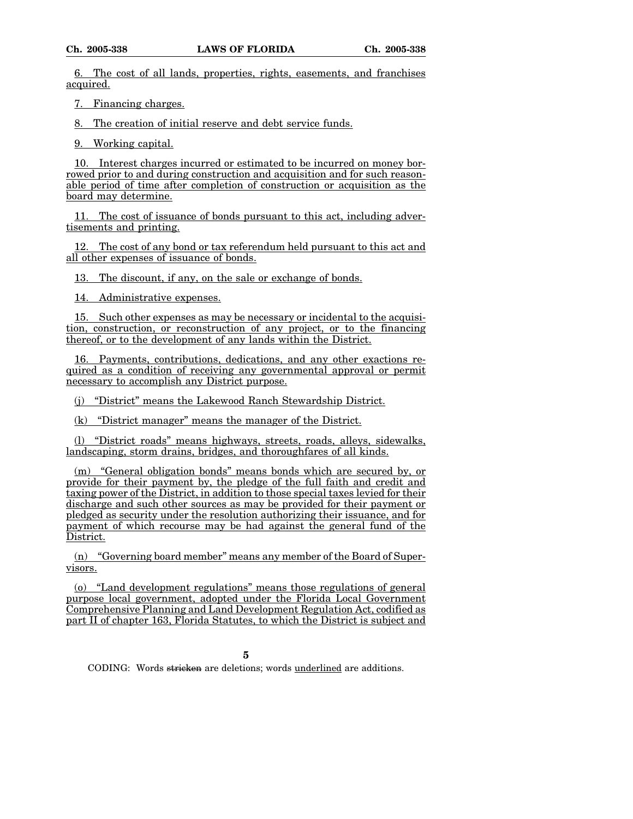6. The cost of all lands, properties, rights, easements, and franchises acquired.

7. Financing charges.

8. The creation of initial reserve and debt service funds.

9. Working capital.

10. Interest charges incurred or estimated to be incurred on money borrowed prior to and during construction and acquisition and for such reasonable period of time after completion of construction or acquisition as the board may determine.

11. The cost of issuance of bonds pursuant to this act, including advertisements and printing.

12. The cost of any bond or tax referendum held pursuant to this act and all other expenses of issuance of bonds.

13. The discount, if any, on the sale or exchange of bonds.

14. Administrative expenses.

15. Such other expenses as may be necessary or incidental to the acquisition, construction, or reconstruction of any project, or to the financing thereof, or to the development of any lands within the District.

16. Payments, contributions, dedications, and any other exactions required as a condition of receiving any governmental approval or permit necessary to accomplish any District purpose.

(j) "District" means the Lakewood Ranch Stewardship District.

(k) "District manager" means the manager of the District.

(l) "District roads" means highways, streets, roads, alleys, sidewalks, landscaping, storm drains, bridges, and thoroughfares of all kinds.

(m) "General obligation bonds" means bonds which are secured by, or provide for their payment by, the pledge of the full faith and credit and taxing power of the District, in addition to those special taxes levied for their discharge and such other sources as may be provided for their payment or pledged as security under the resolution authorizing their issuance, and for payment of which recourse may be had against the general fund of the District.

(n) "Governing board member" means any member of the Board of Supervisors.

(o) "Land development regulations" means those regulations of general purpose local government, adopted under the Florida Local Government Comprehensive Planning and Land Development Regulation Act, codified as part II of chapter 163, Florida Statutes, to which the District is subject and

**5**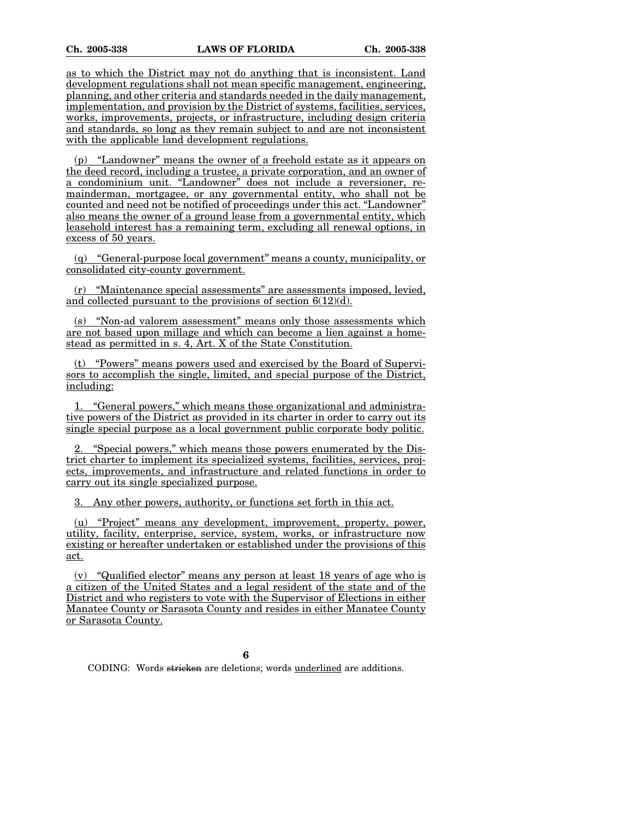as to which the District may not do anything that is inconsistent. Land development regulations shall not mean specific management, engineering, planning, and other criteria and standards needed in the daily management, implementation, and provision by the District of systems, facilities, services, works, improvements, projects, or infrastructure, including design criteria and standards, so long as they remain subject to and are not inconsistent with the applicable land development regulations.

(p) "Landowner" means the owner of a freehold estate as it appears on the deed record, including a trustee, a private corporation, and an owner of a condominium unit. "Landowner" does not include a reversioner, remainderman, mortgagee, or any governmental entity, who shall not be counted and need not be notified of proceedings under this act. "Landowner" also means the owner of a ground lease from a governmental entity, which leasehold interest has a remaining term, excluding all renewal options, in excess of 50 years.

(q) "General-purpose local government" means a county, municipality, or consolidated city-county government.

(r) "Maintenance special assessments" are assessments imposed, levied, and collected pursuant to the provisions of section 6(12)(d).

(s) "Non-ad valorem assessment" means only those assessments which are not based upon millage and which can become a lien against a homestead as permitted in s. 4, Art. X of the State Constitution.

(t) "Powers" means powers used and exercised by the Board of Supervisors to accomplish the single, limited, and special purpose of the District, including:

1. "General powers," which means those organizational and administrative powers of the District as provided in its charter in order to carry out its single special purpose as a local government public corporate body politic.

"Special powers," which means those powers enumerated by the District charter to implement its specialized systems, facilities, services, projects, improvements, and infrastructure and related functions in order to carry out its single specialized purpose.

3. Any other powers, authority, or functions set forth in this act.

(u) "Project" means any development, improvement, property, power, utility, facility, enterprise, service, system, works, or infrastructure now existing or hereafter undertaken or established under the provisions of this act.

(v) "Qualified elector" means any person at least 18 years of age who is a citizen of the United States and a legal resident of the state and of the District and who registers to vote with the Supervisor of Elections in either Manatee County or Sarasota County and resides in either Manatee County or Sarasota County.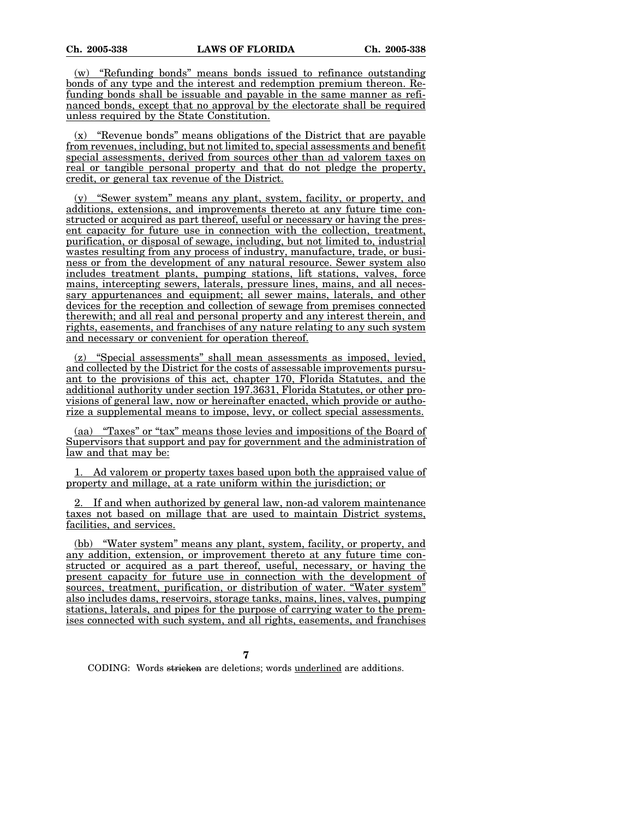(w) "Refunding bonds" means bonds issued to refinance outstanding bonds of any type and the interest and redemption premium thereon. Refunding bonds shall be issuable and payable in the same manner as refinanced bonds, except that no approval by the electorate shall be required unless required by the State Constitution.

(x) "Revenue bonds" means obligations of the District that are payable from revenues, including, but not limited to, special assessments and benefit special assessments, derived from sources other than ad valorem taxes on real or tangible personal property and that do not pledge the property, credit, or general tax revenue of the District.

(y) "Sewer system" means any plant, system, facility, or property, and additions, extensions, and improvements thereto at any future time constructed or acquired as part thereof, useful or necessary or having the present capacity for future use in connection with the collection, treatment, purification, or disposal of sewage, including, but not limited to, industrial wastes resulting from any process of industry, manufacture, trade, or business or from the development of any natural resource. Sewer system also includes treatment plants, pumping stations, lift stations, valves, force mains, intercepting sewers, laterals, pressure lines, mains, and all necessary appurtenances and equipment; all sewer mains, laterals, and other devices for the reception and collection of sewage from premises connected therewith; and all real and personal property and any interest therein, and rights, easements, and franchises of any nature relating to any such system and necessary or convenient for operation thereof.

(z) "Special assessments" shall mean assessments as imposed, levied, and collected by the District for the costs of assessable improvements pursuant to the provisions of this act, chapter 170, Florida Statutes, and the additional authority under section 197.3631, Florida Statutes, or other provisions of general law, now or hereinafter enacted, which provide or authorize a supplemental means to impose, levy, or collect special assessments.

(aa) "Taxes" or "tax" means those levies and impositions of the Board of Supervisors that support and pay for government and the administration of law and that may be:

1. Ad valorem or property taxes based upon both the appraised value of property and millage, at a rate uniform within the jurisdiction; or

2. If and when authorized by general law, non-ad valorem maintenance taxes not based on millage that are used to maintain District systems, facilities, and services.

(bb) "Water system" means any plant, system, facility, or property, and any addition, extension, or improvement thereto at any future time constructed or acquired as a part thereof, useful, necessary, or having the present capacity for future use in connection with the development of sources, treatment, purification, or distribution of water. "Water system" also includes dams, reservoirs, storage tanks, mains, lines, valves, pumping stations, laterals, and pipes for the purpose of carrying water to the premises connected with such system, and all rights, easements, and franchises

**7**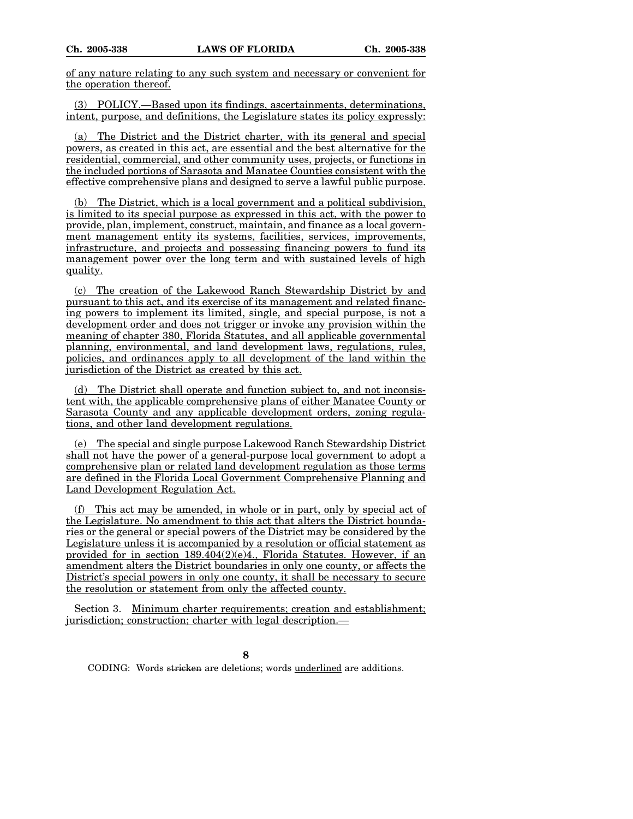of any nature relating to any such system and necessary or convenient for the operation thereof.

(3) POLICY.—Based upon its findings, ascertainments, determinations, intent, purpose, and definitions, the Legislature states its policy expressly:

(a) The District and the District charter, with its general and special powers, as created in this act, are essential and the best alternative for the residential, commercial, and other community uses, projects, or functions in the included portions of Sarasota and Manatee Counties consistent with the effective comprehensive plans and designed to serve a lawful public purpose.

(b) The District, which is a local government and a political subdivision, is limited to its special purpose as expressed in this act, with the power to provide, plan, implement, construct, maintain, and finance as a local government management entity its systems, facilities, services, improvements, infrastructure, and projects and possessing financing powers to fund its management power over the long term and with sustained levels of high quality.

(c) The creation of the Lakewood Ranch Stewardship District by and pursuant to this act, and its exercise of its management and related financing powers to implement its limited, single, and special purpose, is not a development order and does not trigger or invoke any provision within the meaning of chapter 380, Florida Statutes, and all applicable governmental planning, environmental, and land development laws, regulations, rules, policies, and ordinances apply to all development of the land within the jurisdiction of the District as created by this act.

(d) The District shall operate and function subject to, and not inconsistent with, the applicable comprehensive plans of either Manatee County or Sarasota County and any applicable development orders, zoning regulations, and other land development regulations.

(e) The special and single purpose Lakewood Ranch Stewardship District shall not have the power of a general-purpose local government to adopt a comprehensive plan or related land development regulation as those terms are defined in the Florida Local Government Comprehensive Planning and Land Development Regulation Act.

(f) This act may be amended, in whole or in part, only by special act of the Legislature. No amendment to this act that alters the District boundaries or the general or special powers of the District may be considered by the Legislature unless it is accompanied by a resolution or official statement as provided for in section  $189.404(2)(e)4$ ., Florida Statutes. However, if an amendment alters the District boundaries in only one county, or affects the District's special powers in only one county, it shall be necessary to secure the resolution or statement from only the affected county.

Section 3. Minimum charter requirements; creation and establishment; jurisdiction; construction; charter with legal description.—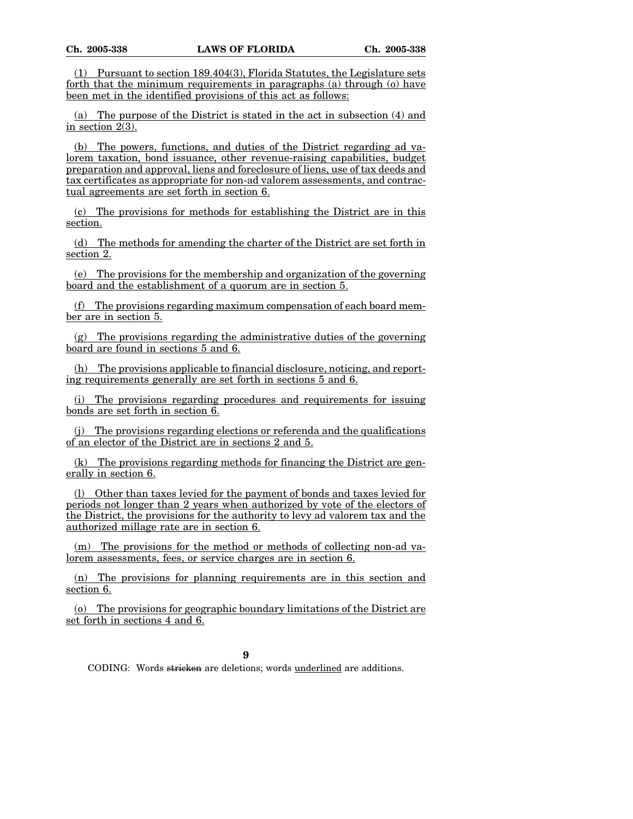(1) Pursuant to section 189.404(3), Florida Statutes, the Legislature sets forth that the minimum requirements in paragraphs (a) through (o) have been met in the identified provisions of this act as follows:

(a) The purpose of the District is stated in the act in subsection (4) and in section 2(3).

(b) The powers, functions, and duties of the District regarding ad valorem taxation, bond issuance, other revenue-raising capabilities, budget preparation and approval, liens and foreclosure of liens, use of tax deeds and tax certificates as appropriate for non-ad valorem assessments, and contractual agreements are set forth in section 6.

(c) The provisions for methods for establishing the District are in this section.

(d) The methods for amending the charter of the District are set forth in section 2.

(e) The provisions for the membership and organization of the governing board and the establishment of a quorum are in section 5.

(f) The provisions regarding maximum compensation of each board member are in section 5.

 $(g)$  The provisions regarding the administrative duties of the governing board are found in sections 5 and 6.

(h) The provisions applicable to financial disclosure, noticing, and reporting requirements generally are set forth in sections 5 and 6.

(i) The provisions regarding procedures and requirements for issuing bonds are set forth in section 6.

The provisions regarding elections or referenda and the qualifications of an elector of the District are in sections 2 and 5.

(k) The provisions regarding methods for financing the District are generally in section 6.

(l) Other than taxes levied for the payment of bonds and taxes levied for periods not longer than 2 years when authorized by vote of the electors of the District, the provisions for the authority to levy ad valorem tax and the authorized millage rate are in section 6.

(m) The provisions for the method or methods of collecting non-ad valorem assessments, fees, or service charges are in section 6.

(n) The provisions for planning requirements are in this section and section 6.

(o) The provisions for geographic boundary limitations of the District are set forth in sections 4 and 6.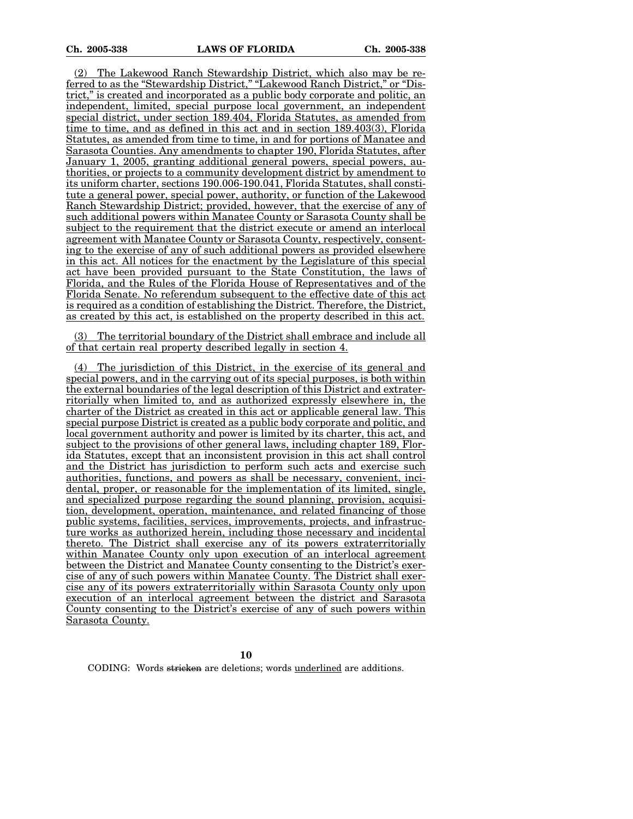(2) The Lakewood Ranch Stewardship District, which also may be referred to as the "Stewardship District," "Lakewood Ranch District," or "District," is created and incorporated as a public body corporate and politic, an independent, limited, special purpose local government, an independent special district, under section 189.404, Florida Statutes, as amended from time to time, and as defined in this act and in section 189.403(3), Florida Statutes, as amended from time to time, in and for portions of Manatee and Sarasota Counties. Any amendments to chapter 190, Florida Statutes, after January 1, 2005, granting additional general powers, special powers, authorities, or projects to a community development district by amendment to its uniform charter, sections 190.006-190.041, Florida Statutes, shall constitute a general power, special power, authority, or function of the Lakewood Ranch Stewardship District; provided, however, that the exercise of any of such additional powers within Manatee County or Sarasota County shall be subject to the requirement that the district execute or amend an interlocal agreement with Manatee County or Sarasota County, respectively, consenting to the exercise of any of such additional powers as provided elsewhere in this act. All notices for the enactment by the Legislature of this special act have been provided pursuant to the State Constitution, the laws of Florida, and the Rules of the Florida House of Representatives and of the Florida Senate. No referendum subsequent to the effective date of this act is required as a condition of establishing the District. Therefore, the District, as created by this act, is established on the property described in this act.

(3) The territorial boundary of the District shall embrace and include all of that certain real property described legally in section 4.

(4) The jurisdiction of this District, in the exercise of its general and special powers, and in the carrying out of its special purposes, is both within the external boundaries of the legal description of this District and extraterritorially when limited to, and as authorized expressly elsewhere in, the charter of the District as created in this act or applicable general law. This special purpose District is created as a public body corporate and politic, and local government authority and power is limited by its charter, this act, and subject to the provisions of other general laws, including chapter 189, Florida Statutes, except that an inconsistent provision in this act shall control and the District has jurisdiction to perform such acts and exercise such authorities, functions, and powers as shall be necessary, convenient, incidental, proper, or reasonable for the implementation of its limited, single, and specialized purpose regarding the sound planning, provision, acquisition, development, operation, maintenance, and related financing of those public systems, facilities, services, improvements, projects, and infrastructure works as authorized herein, including those necessary and incidental thereto. The District shall exercise any of its powers extraterritorially within Manatee County only upon execution of an interlocal agreement between the District and Manatee County consenting to the District's exercise of any of such powers within Manatee County. The District shall exercise any of its powers extraterritorially within Sarasota County only upon execution of an interlocal agreement between the district and Sarasota County consenting to the District's exercise of any of such powers within Sarasota County.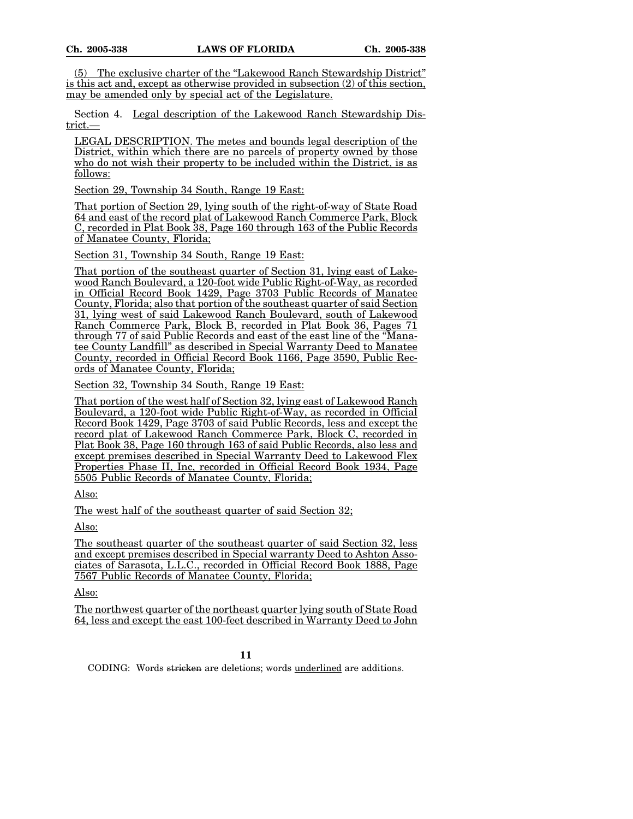(5) The exclusive charter of the "Lakewood Ranch Stewardship District" is this act and, except as otherwise provided in subsection (2) of this section, may be amended only by special act of the Legislature.

Section 4. Legal description of the Lakewood Ranch Stewardship District.—

LEGAL DESCRIPTION. The metes and bounds legal description of the District, within which there are no parcels of property owned by those who do not wish their property to be included within the District, is as follows:

Section 29, Township 34 South, Range 19 East:

That portion of Section 29, lying south of the right-of-way of State Road 64 and east of the record plat of Lakewood Ranch Commerce Park, Block C, recorded in Plat Book 38, Page 160 through 163 of the Public Records of Manatee County, Florida;

Section 31, Township 34 South, Range 19 East:

That portion of the southeast quarter of Section 31, lying east of Lakewood Ranch Boulevard, a 120-foot wide Public Right-of-Way, as recorded in Official Record Book 1429, Page 3703 Public Records of Manatee County, Florida; also that portion of the southeast quarter of said Section 31, lying west of said Lakewood Ranch Boulevard, south of Lakewood Ranch Commerce Park, Block B, recorded in Plat Book 36, Pages 71 through 77 of said Public Records and east of the east line of the "Manatee County Landfill" as described in Special Warranty Deed to Manatee County, recorded in Official Record Book 1166, Page 3590, Public Records of Manatee County, Florida;

Section 32, Township 34 South, Range 19 East:

That portion of the west half of Section 32, lying east of Lakewood Ranch Boulevard, a 120-foot wide Public Right-of-Way, as recorded in Official Record Book 1429, Page 3703 of said Public Records, less and except the record plat of Lakewood Ranch Commerce Park, Block C, recorded in Plat Book 38, Page 160 through 163 of said Public Records, also less and except premises described in Special Warranty Deed to Lakewood Flex Properties Phase II, Inc, recorded in Official Record Book 1934, Page 5505 Public Records of Manatee County, Florida;

Also:

The west half of the southeast quarter of said Section 32;

Also:

The southeast quarter of the southeast quarter of said Section 32, less and except premises described in Special warranty Deed to Ashton Associates of Sarasota, L.L.C., recorded in Official Record Book 1888, Page 7567 Public Records of Manatee County, Florida;

Also:

The northwest quarter of the northeast quarter lying south of State Road 64, less and except the east 100-feet described in Warranty Deed to John

**11**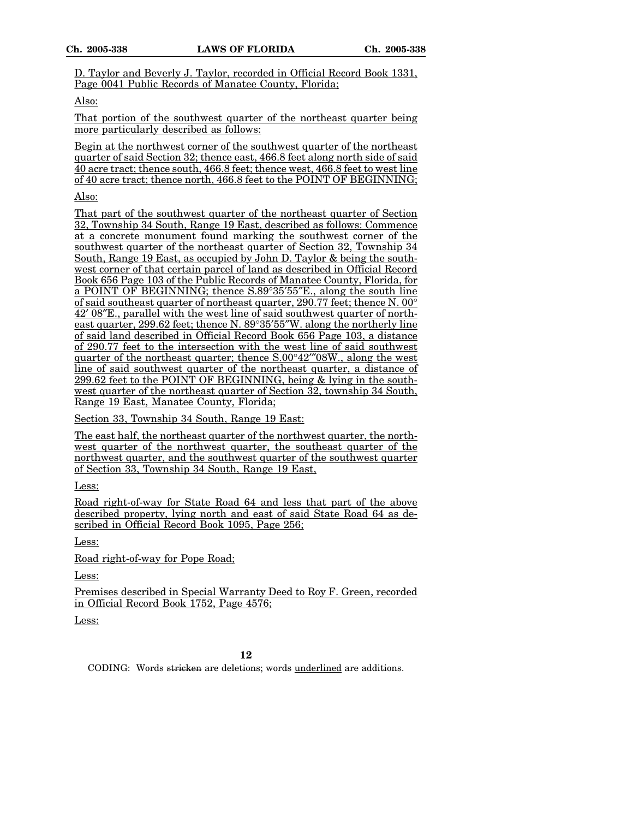D. Taylor and Beverly J. Taylor, recorded in Official Record Book 1331, Page 0041 Public Records of Manatee County, Florida;

#### Also:

That portion of the southwest quarter of the northeast quarter being more particularly described as follows:

Begin at the northwest corner of the southwest quarter of the northeast quarter of said Section 32; thence east, 466.8 feet along north side of said 40 acre tract; thence south, 466.8 feet; thence west, 466.8 feet to west line of 40 acre tract; thence north, 466.8 feet to the POINT OF BEGINNING;

Also:

That part of the southwest quarter of the northeast quarter of Section 32, Township 34 South, Range 19 East, described as follows: Commence at a concrete monument found marking the southwest corner of the southwest quarter of the northeast quarter of Section 32, Township 34 South, Range 19 East, as occupied by John D. Taylor & being the southwest corner of that certain parcel of land as described in Official Record Book 656 Page 103 of the Public Records of Manatee County, Florida, for a POINT OF BEGINNING; thence S.89°35'55"E., along the south line of said southeast quarter of northeast quarter, 290.77 feet; thence N. 00° 42¢ 08²E., parallel with the west line of said southwest quarter of northeast quarter, 299.62 feet; thence N.  $89^{\circ}35'55''W$ . along the northerly line of said land described in Official Record Book 656 Page 103, a distance of 290.77 feet to the intersection with the west line of said southwest quarter of the northeast quarter; thence S.00°42″08W., along the west line of said southwest quarter of the northeast quarter, a distance of 299.62 feet to the POINT OF BEGINNING, being & lying in the southwest quarter of the northeast quarter of Section 32, township 34 South, Range 19 East, Manatee County, Florida;

Section 33, Township 34 South, Range 19 East:

The east half, the northeast quarter of the northwest quarter, the northwest quarter of the northwest quarter, the southeast quarter of the northwest quarter, and the southwest quarter of the southwest quarter of Section 33, Township 34 South, Range 19 East,

Less:

Road right-of-way for State Road 64 and less that part of the above described property, lying north and east of said State Road 64 as described in Official Record Book 1095, Page 256;

Less:

Road right-of-way for Pope Road;

Less:

Premises described in Special Warranty Deed to Roy F. Green, recorded in Official Record Book 1752, Page 4576;

Less: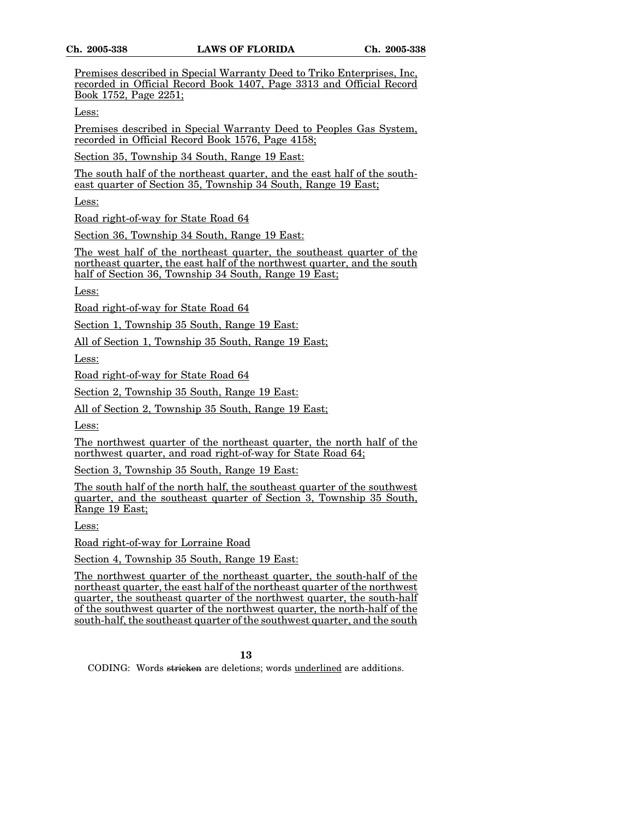Premises described in Special Warranty Deed to Triko Enterprises, Inc, recorded in Official Record Book 1407, Page 3313 and Official Record Book 1752, Page 2251;

Less:

Premises described in Special Warranty Deed to Peoples Gas System, recorded in Official Record Book 1576, Page 4158;

Section 35, Township 34 South, Range 19 East:

The south half of the northeast quarter, and the east half of the southeast quarter of Section 35, Township 34 South, Range 19 East;

Less:

Road right-of-way for State Road 64

Section 36, Township 34 South, Range 19 East:

The west half of the northeast quarter, the southeast quarter of the northeast quarter, the east half of the northwest quarter, and the south half of Section 36, Township 34 South, Range 19 East;

Less:

Road right-of-way for State Road 64

Section 1, Township 35 South, Range 19 East:

All of Section 1, Township 35 South, Range 19 East;

Less:

Road right-of-way for State Road 64

Section 2, Township 35 South, Range 19 East:

All of Section 2, Township 35 South, Range 19 East;

Less:

The northwest quarter of the northeast quarter, the north half of the northwest quarter, and road right-of-way for State Road 64;

Section 3, Township 35 South, Range 19 East:

The south half of the north half, the southeast quarter of the southwest quarter, and the southeast quarter of Section 3, Township 35 South, Range 19 East;

Less:

Road right-of-way for Lorraine Road

Section 4, Township 35 South, Range 19 East:

The northwest quarter of the northeast quarter, the south-half of the northeast quarter, the east half of the northeast quarter of the northwest quarter, the southeast quarter of the northwest quarter, the south-half of the southwest quarter of the northwest quarter, the north-half of the south-half, the southeast quarter of the southwest quarter, and the south

**13**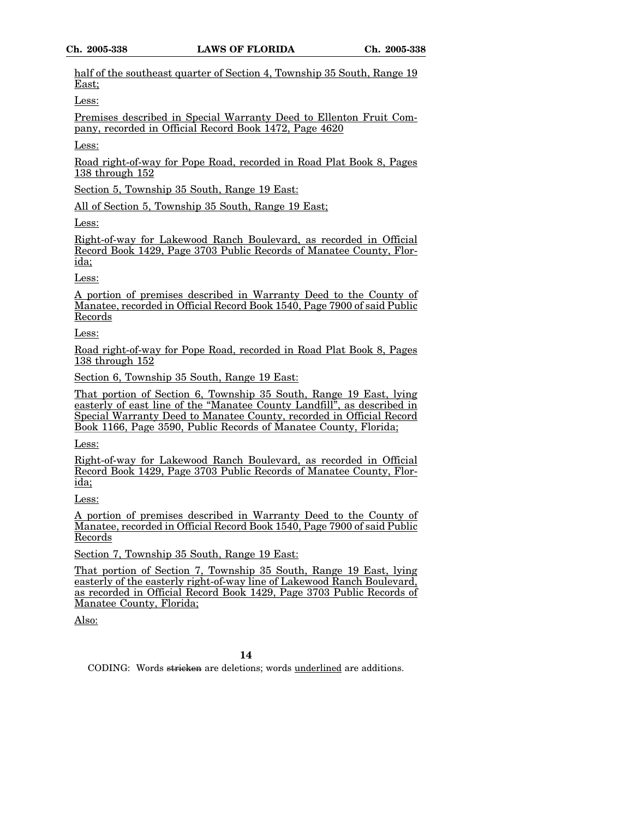half of the southeast quarter of Section 4, Township 35 South, Range 19 East;

Less:

Premises described in Special Warranty Deed to Ellenton Fruit Company, recorded in Official Record Book 1472, Page 4620

Less:

Road right-of-way for Pope Road, recorded in Road Plat Book 8, Pages 138 through 152

Section 5, Township 35 South, Range 19 East:

All of Section 5, Township 35 South, Range 19 East;

Less:

Right-of-way for Lakewood Ranch Boulevard, as recorded in Official Record Book 1429, Page 3703 Public Records of Manatee County, Florida;

Less:

A portion of premises described in Warranty Deed to the County of Manatee, recorded in Official Record Book 1540, Page 7900 of said Public Records

Less:

Road right-of-way for Pope Road, recorded in Road Plat Book 8, Pages 138 through 152

Section 6, Township 35 South, Range 19 East:

That portion of Section 6, Township 35 South, Range 19 East, lying easterly of east line of the "Manatee County Landfill", as described in Special Warranty Deed to Manatee County, recorded in Official Record Book 1166, Page 3590, Public Records of Manatee County, Florida;

Less:

Right-of-way for Lakewood Ranch Boulevard, as recorded in Official Record Book 1429, Page 3703 Public Records of Manatee County, Florida;

Less:

A portion of premises described in Warranty Deed to the County of Manatee, recorded in Official Record Book 1540, Page 7900 of said Public Records

Section 7, Township 35 South, Range 19 East:

That portion of Section 7, Township 35 South, Range 19 East, lying easterly of the easterly right-of-way line of Lakewood Ranch Boulevard, as recorded in Official Record Book 1429, Page 3703 Public Records of Manatee County, Florida;

Also: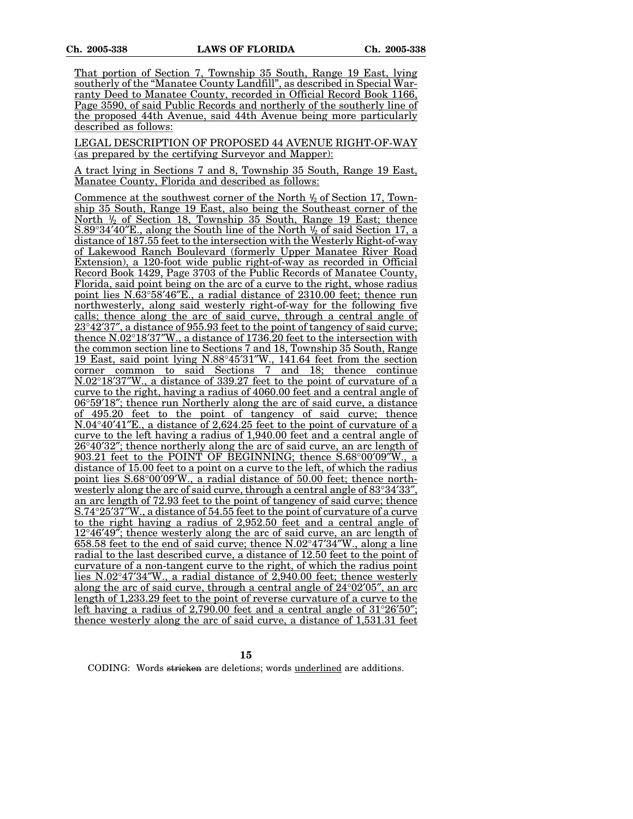That portion of Section 7, Township 35 South, Range 19 East, lying southerly of the "Manatee County Landfill", as described in Special Warranty Deed to Manatee County, recorded in Official Record Book 1166, Page 3590, of said Public Records and northerly of the southerly line of the proposed 44th Avenue, said 44th Avenue being more particularly described as follows:

LEGAL DESCRIPTION OF PROPOSED 44 AVENUE RIGHT-OF-WAY (as prepared by the certifying Surveyor and Mapper):

A tract lying in Sections 7 and 8, Township 35 South, Range 19 East, Manatee County, Florida and described as follows:

<u>Commence at the southwest corner of the North  $\frac{1}{2}$  of Section 17, Town-</u> ship 35 South, Range 19 East, also being the Southeast corner of the North <sup>1</sup>/<sub>2</sub> of Section 18, Township 35 South, Range 19 East; thence  $S.89^{\circ}34'40''E$ ., along the South line of the North  $\frac{1}{2}$  of said Section 17, a distance of 187.55 feet to the intersection with the Westerly Right-of-way of Lakewood Ranch Boulevard (formerly Upper Manatee River Road Extension), a 120-foot wide public right-of-way as recorded in Official Record Book 1429, Page 3703 of the Public Records of Manatee County, Florida, said point being on the arc of a curve to the right, whose radius point lies  $N.\overline{63^{\circ}58'46''E}$ , a radial distance of 2310.00 feet; thence run northwesterly, along said westerly right-of-way for the following five calls; thence along the arc of said curve, through a central angle of  $23^{\circ}42'37''$ , a distance of 955.93 feet to the point of tangency of said curve; thence  $N.02^{\circ}18'37''W$ , a distance of 1736.20 feet to the intersection with the common section line to Sections 7 and 18, Township 35 South, Range 19 East, said point lying N.88°45¢31²W., 141.64 feet from the section corner common to said Sections 7 and 18; thence continue  $N.02^{\circ}18'37''W$ , a distance of 339.27 feet to the point of curvature of a curve to the right, having a radius of 4060.00 feet and a central angle of  $06^{\circ}59'18''$ ; thence run Northerly along the arc of said curve, a distance of 495.20 feet to the point of tangency of said curve; thence N.04°40'41'E., a distance of [2,624.25](https://2,624.25) feet to the point of curvature of a curve to the left having a radius of [1,940.00](https://1,940.00) feet and a central angle of 26°40′32″; thence northerly along the arc of said curve, an arc length of 903.21 feet to the POINT OF BEGINNING; thence S.68°00'09"W., a distance of 15.00 feet to a point on a curve to the left, of which the radius point lies  $S.68^{\circ}00'09'W$ , a radial distance of 50.00 feet; thence northwesterly along the arc of said curve, through a central angle of  $83^{\circ}34'33''$ , an arc length of 72.93 feet to the point of tangency of said curve; thence  $S.74^{\circ}25'37''W$ , a distance of 54.55 feet to the point of curvature of a curve to the right having a radius of [2,952.50](https://2,952.50) feet and a central angle of  $12^{\circ}46'49''$ ; thence westerly along the arc of said curve, an arc length of  $658.58$  feet to the end of said curve; thence  $N.02^{\circ}47'34''W$ , along a line radial to the last described curve, a distance of 12.50 feet to the point of curvature of a non-tangent curve to the right, of which the radius point lies  $N.02^{\circ}47'34''W$ ., a radial distance of [2,940.00](https://2,940.00) feet; thence westerly along the arc of said curve, through a central angle of  $24^{\circ}02'05''$ , an arc length of [1,233.29](https://1,233.29) feet to the point of reverse curvature of a curve to the left having a radius of 2.790.00 feet and a central angle of  $31^{\circ}26'50''$ : thence westerly along the arc of said curve, a distance of [1,531.31](https://1,531.31) feet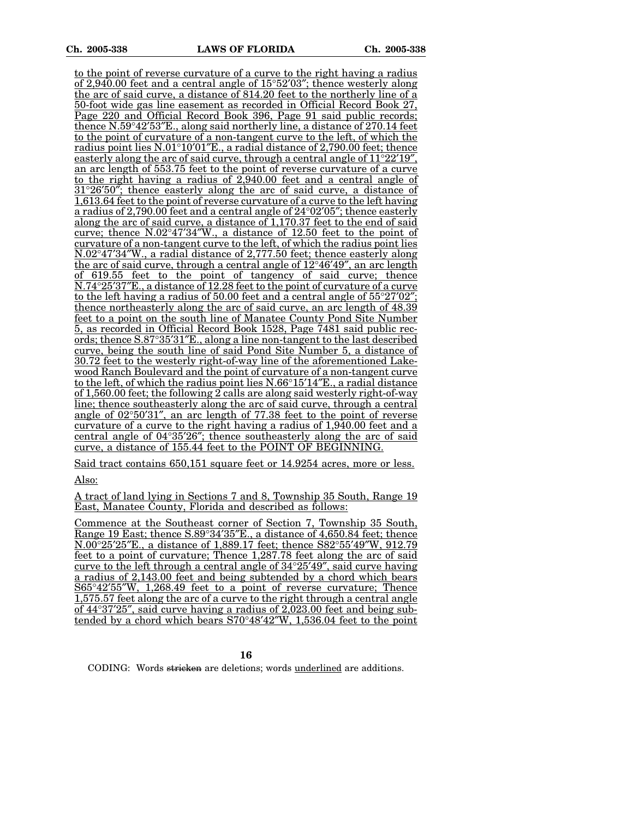to the point of reverse curvature of a curve to the right having a radius of [2,940.00](https://2,940.00) feet and a central angle of  $15^{\circ}52'03''$ ; thence westerly along the arc of said curve, a distance of 814.20 feet to the northerly line of a 50-foot wide gas line easement as recorded in Official Record Book 27, Page 220 and Official Record Book 396, Page 91 said public records; thence  $N.59^{\circ}42'53''E$ , along said northerly line, a distance of 270.14 feet to the point of curvature of a non-tangent curve to the left, of which the radius point lies  $N.01^{\circ}10'01''E$ ., a radial distance of [2,790.00](https://2,790.00) feet; thence easterly along the arc of said curve, through a central angle of  $11^{\circ}22'19'$ , an arc length of 553.75 feet to the point of reverse curvature of a curve to the right having a radius of [2,940.00](https://2,940.00) feet and a central angle of  $31^{\circ}26'50''$ ; thence easterly along the arc of said curve, a distance of [1,613.64](https://1,613.64) feet to the point of reverse curvature of a curve to the left having a radius of [2,790.00](https://2,790.00) feet and a central angle of  $24^{\circ}02'05''$ ; thence easterly along the arc of said curve, a distance of [1,170.37](https://1,170.37) feet to the end of said curve; thence  $N.02^{\circ}47'34''W$ ., a distance of 12.50 feet to the point of curvature of a non-tangent curve to the left, of which the radius point lies  $N.02^{\circ}47'34''W$ , a radial distance of [2,777.50](https://2,777.50) feet; thence easterly along the arc of said curve, through a central angle of  $12^{\circ}46'49''$ , an arc length of 619.55 feet to the point of tangency of said curve; thence  $N.74^{\circ}25'37'E$ ., a distance of 12.28 feet to the point of curvature of a curve to the left having a radius of 50.00 feet and a central angle of  $55^{\circ}27'02''$ ; thence northeasterly along the arc of said curve, an arc length of 48.39 feet to a point on the south line of Manatee County Pond Site Number 5, as recorded in Official Record Book 1528, Page 7481 said public records; thence  $S.87^{\circ}35'31''E$ ., along a line non-tangent to the last described curve, being the south line of said Pond Site Number 5, a distance of 30.72 feet to the westerly right-of-way line of the aforementioned Lakewood Ranch Boulevard and the point of curvature of a non-tangent curve to the left, of which the radius point lies  $N.66^{\circ}15'14''E$ ., a radial distance of [1,560.00](https://1,560.00) feet; the following 2 calls are along said westerly right-of-way line; thence southeasterly along the arc of said curve, through a central angle of  $02^{\circ}50'31''$ , an arc length of  $77.38$  feet to the point of reverse curvature of a curve to the right having a radius of [1,940.00](https://1,940.00) feet and a central angle of  $04^{\circ}35'26''$ ; thence southeasterly along the arc of said curve, a distance of 155.44 feet to the POINT OF BEGINNING.

Said tract contains 650,151 square feet or 14.9254 acres, more or less. Also:

A tract of land lying in Sections 7 and 8, Township 35 South, Range 19 East, Manatee County, Florida and described as follows:

Commence at the Southeast corner of Section 7, Township 35 South, Range 19 East; thence  $S.89^{\circ}34'35''E$ , a distance of [4,650.84](https://4,650.84) feet; thence N.00°25′25″E., a distance of [1,889.17](https://1,889.17) feet; thence S82°55′49″W, 912.79 feet to a point of curvature; Thence [1,287.78](https://1,287.78) feet along the arc of said curve to the left through a central angle of  $34^{\circ}25'49''$ , said curve having a radius of [2,143.00](https://2,143.00) feet and being subtended by a chord which bears  $S65^{\circ}42'55''W$ , [1,268.49](https://1,268.49) feet to a point of reverse curvature; Thence [1,575.57](https://1,575.57) feet along the arc of a curve to the right through a central angle of  $44^{\circ}37^{\prime}25$ ", said curve having a radius of [2,023.00](https://2,023.00) feet and being subtended by a chord which bears  $S70^{\circ}48'42''W$ , [1,536.04](https://1,536.04) feet to the point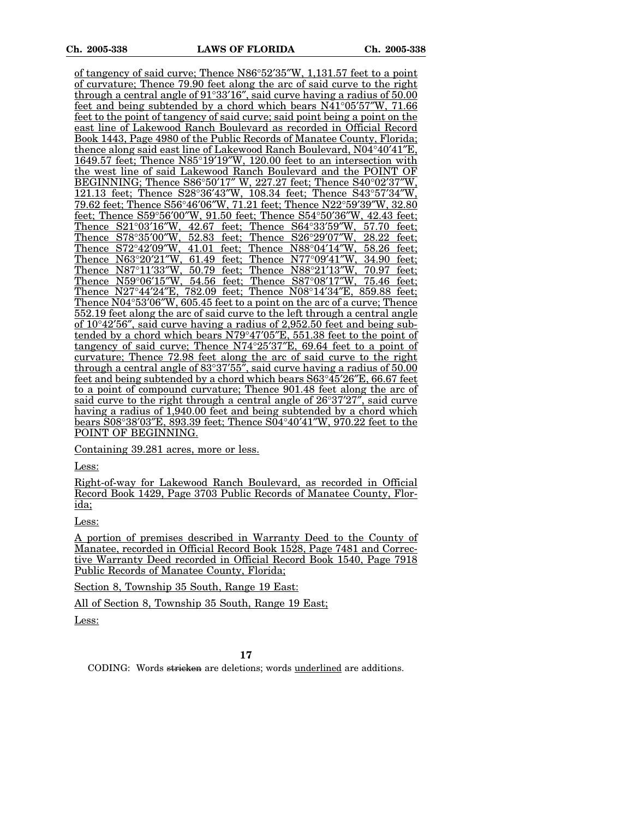of tangency of said curve; Thence  $N86°52'35''W$ , [1,131.57](https://1,131.57) feet to a point of curvature; Thence 79.90 feet along the arc of said curve to the right through a central angle of  $91^{\circ}33'16''$ , said curve having a radius of  $50.00$ feet and being subtended by a chord which bears  $N41^{\circ}05'57''W$ , 71.66 feet to the point of tangency of said curve; said point being a point on the east line of Lakewood Ranch Boulevard as recorded in Official Record Book 1443, Page 4980 of the Public Records of Manatee County, Florida; thence along said east line of Lakewood Ranch Boulevard,  $N04^{\circ}40'41''E$ , 1649.57 feet; Thence  $N85^{\circ}19'19''W$ , 120.00 feet to an intersection with the west line of said Lakewood Ranch Boulevard and the POINT OF BEGINNING; Thence  $S86°50'17''$  W, 227.27 feet; Thence  $S40°02'37''$ W, 121.13 feet; Thence S28°36'43"W, 108.34 feet; Thence S43°57'34"W, 79.62 feet; Thence S56°46′06″W, 71.21 feet; Thence N22°59′39″W, 32.80 feet; Thence S59°56'00"W, 91.50 feet; Thence S54°50'36"W, 42.43 feet;<br>Thence S21°03'16"W, 42.67 feet; Thence S64°33'59"W, 57.70 feet; Thence S21°03'16"W, 42.67 feet; Thence S64°33'59"W, 57.70 feet;<br>Thence S78°35'00"W, 52.83 feet; Thence S26°29'07"W, 28.22 feet; Thence  $S78°35'00''W$ , 52.83 feet; Thence  $S26°29'07''W$ , 28.22 feet;<br>Thence  $S72°42'09''W$ , 41.01 feet; Thence N88°04'14"W, 58.26 feet; Thence  $S72^{\circ}42'09''W$ ,  $41.01$  feet; Thence N88 $^{\circ}04'14''W$ ,  $58.26$  feet; Thence N63 $^{\circ}20'21''W$ ,  $61.49$  feet: Thence N77 $^{\circ}09'41''W$ ,  $34.90$  feet: Thence N63°20'21"W, 61.49 feet; Thence N77°09'41"W, 34.90 feet;<br>Thence N87°11'33"W, 50.79 feet; Thence N88°21'13"W, 70.97 feet; Thence N87°11′33″W, 50.79 feet; Thence N88°21′13″W, 70.97 feet; Thence N59°06′15″W, 54.56 feet; Thence S87°08′17″W, 75.46 feet; 54.56 feet; Thence S87°08'17"W. Thence N27°44'24"E, 782.09 feet; Thence N08°14'34"E, 859.88 feet; Thence  $N04^{\circ}53'06''W$ , 605.45 feet to a point on the arc of a curve; Thence 552.19 feet along the arc of said curve to the left through a central angle of  $10^{\circ}42'56''$ , said curve having a radius of [2,952.50](https://2,952.50) feet and being subtended by a chord which bears  $N79^{\circ}47'05''E$ , 551.38 feet to the point of tangency of said curve; Thence  $N74^{\circ}25'37''E$ , 69.64 feet to a point of curvature; Thence 72.98 feet along the arc of said curve to the right through a central angle of  $83^{\circ}37'55''$ , said curve having a radius of  $50.00$ feet and being subtended by a chord which bears  $S63^{\circ}45'26''E$ , 66.67 feet to a point of compound curvature; Thence 901.48 feet along the arc of said curve to the right through a central angle of  $26^{\circ}37'27'$ , said curve having a radius of [1,940.00](https://1,940.00) feet and being subtended by a chord which bears S08°38′03″E, 893.39 feet; Thence S04°40′41″W, 970.22 feet to the POINT OF BEGINNING.

Containing 39.281 acres, more or less.

Less:

Right-of-way for Lakewood Ranch Boulevard, as recorded in Official Record Book 1429, Page 3703 Public Records of Manatee County, Florida;

Less:

A portion of premises described in Warranty Deed to the County of Manatee, recorded in Official Record Book 1528, Page 7481 and Corrective Warranty Deed recorded in Official Record Book 1540, Page 7918 Public Records of Manatee County, Florida;

Section 8, Township 35 South, Range 19 East:

All of Section 8, Township 35 South, Range 19 East;

Less: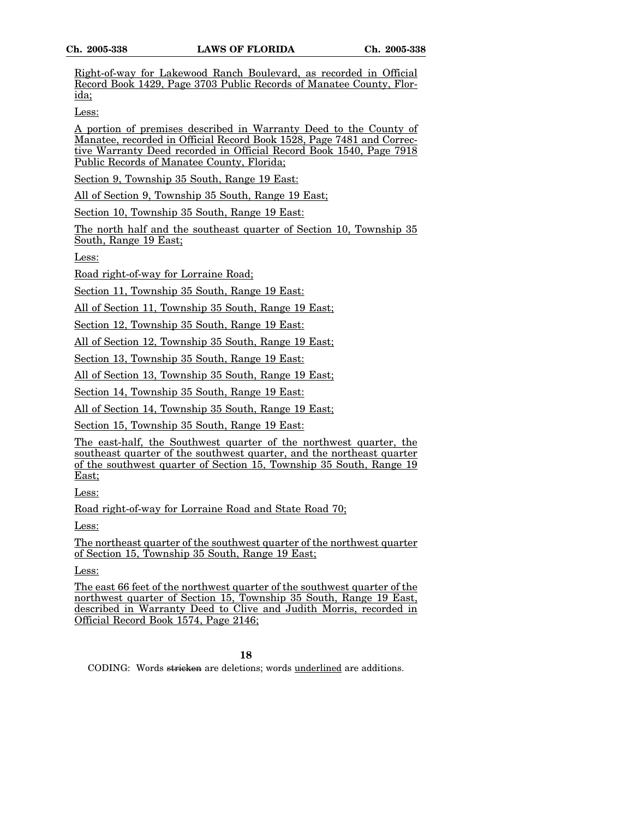Right-of-way for Lakewood Ranch Boulevard, as recorded in Official Record Book 1429, Page 3703 Public Records of Manatee County, Florida;

Less:

A portion of premises described in Warranty Deed to the County of Manatee, recorded in Official Record Book 1528, Page 7481 and Corrective Warranty Deed recorded in Official Record Book 1540, Page 7918 Public Records of Manatee County, Florida;

Section 9, Township 35 South, Range 19 East:

All of Section 9, Township 35 South, Range 19 East;

Section 10, Township 35 South, Range 19 East:

The north half and the southeast quarter of Section 10, Township 35 South, Range 19 East;

Less:

Road right-of-way for Lorraine Road;

Section 11, Township 35 South, Range 19 East:

All of Section 11, Township 35 South, Range 19 East;

Section 12, Township 35 South, Range 19 East:

All of Section 12, Township 35 South, Range 19 East;

Section 13, Township 35 South, Range 19 East:

All of Section 13, Township 35 South, Range 19 East;

Section 14, Township 35 South, Range 19 East:

All of Section 14, Township 35 South, Range 19 East;

Section 15, Township 35 South, Range 19 East:

The east-half, the Southwest quarter of the northwest quarter, the southeast quarter of the southwest quarter, and the northeast quarter of the southwest quarter of Section 15, Township 35 South, Range 19 East;

Less:

Road right-of-way for Lorraine Road and State Road 70;

Less:

The northeast quarter of the southwest quarter of the northwest quarter of Section 15, Township 35 South, Range 19 East;

Less:

The east 66 feet of the northwest quarter of the southwest quarter of the northwest quarter of Section 15, Township 35 South, Range 19 East, described in Warranty Deed to Clive and Judith Morris, recorded in Official Record Book 1574, Page 2146;

**18**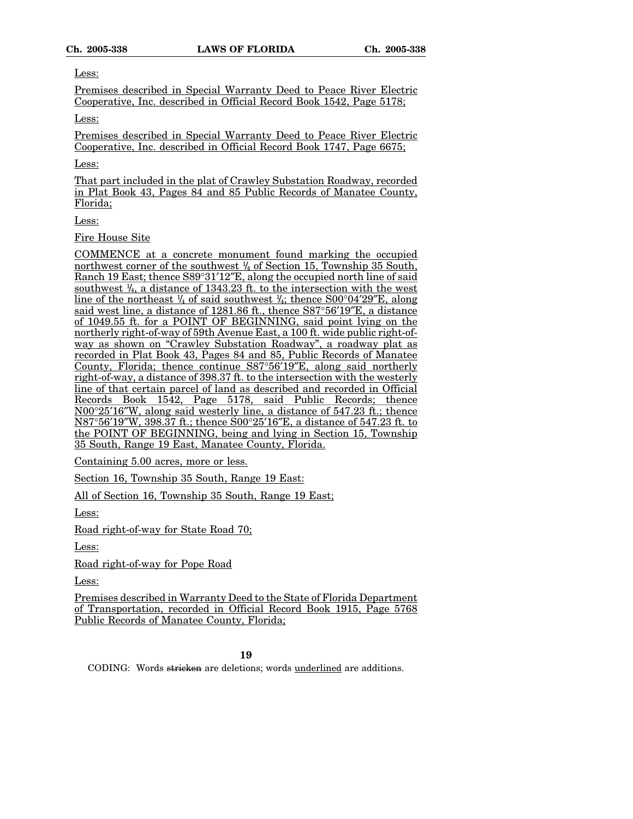Less:

Premises described in Special Warranty Deed to Peace River Electric Cooperative, Inc. described in Official Record Book 1542, Page 5178;

Less:

Premises described in Special Warranty Deed to Peace River Electric Cooperative, Inc. described in Official Record Book 1747, Page 6675;

Less:

That part included in the plat of Crawley Substation Roadway, recorded in Plat Book 43, Pages 84 and 85 Public Records of Manatee County, Florida;

Less:

Fire House Site

COMMENCE at a concrete monument found marking the occupied northwest corner of the southwest 1 /4 of Section 15, Township 35 South, Ranch 19 East; thence  $S89^{\circ}31'12''E$ , along the occupied north line of said southwest  $\frac{1}{4}$ , a distance of 1343.23 ft. to the intersection with the west line of the northeast  $\frac{1}{4}$  of said southwest  $\frac{1}{4}$ ; thence S00°04′29″E, along said west line, a distance of 1281.86 ft., thence S87°56'19"E, a distance of 1049.55 ft. for a POINT OF BEGINNING, said point lying on the northerly right-of-way of 59th Avenue East, a 100 ft. wide public right-ofway as shown on "Crawley Substation Roadway", a roadway plat as recorded in Plat Book 43, Pages 84 and 85, Public Records of Manatee County, Florida; thence continue S87°56¢19²E, along said northerly right-of-way, a distance of 398.37 ft. to the intersection with the westerly line of that certain parcel of land as described and recorded in Official Records Book 1542, Page 5178, said Public Records; thence  $N00^{\circ}25'16''W$ , along said westerly line, a distance of  $547.23$  ft.; thence  $N87^{\circ}56'19''W$ , 398.37 ft.; thence  $S00^{\circ}25'16''E$ , a distance of 547.23 ft. to the POINT OF BEGINNING, being and lying in Section 15, Township 35 South, Range 19 East, Manatee County, Florida.

Containing 5.00 acres, more or less.

Section 16, Township 35 South, Range 19 East:

All of Section 16, Township 35 South, Range 19 East;

Less:

Road right-of-way for State Road 70;

Less:

Road right-of-way for Pope Road

Less:

Premises described in Warranty Deed to the State of Florida Department of Transportation, recorded in Official Record Book 1915, Page 5768 Public Records of Manatee County, Florida;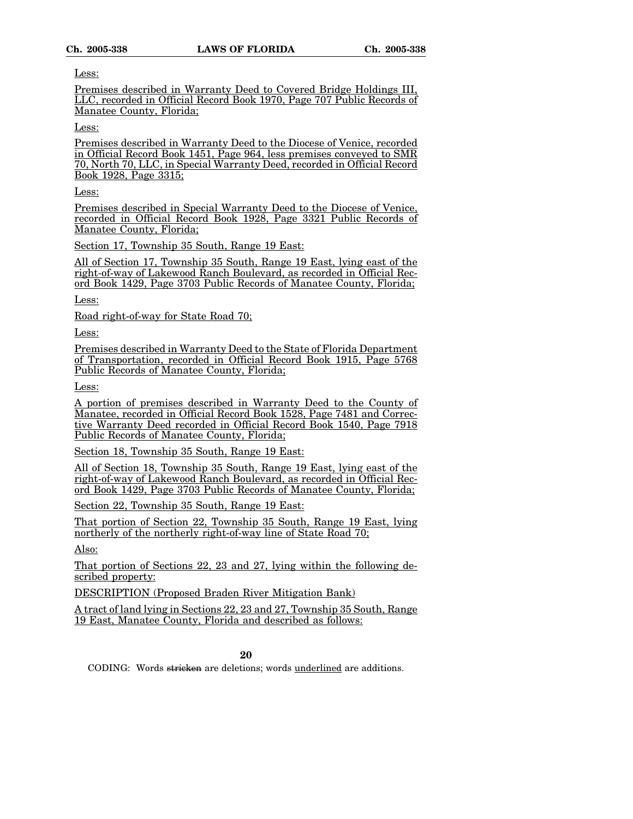Less:

Premises described in Warranty Deed to Covered Bridge Holdings III, LLC, recorded in Official Record Book 1970, Page 707 Public Records of Manatee County, Florida;

Less:

Premises described in Warranty Deed to the Diocese of Venice, recorded in Official Record Book 1451, Page 964, less premises conveyed to SMR 70, North 70, LLC, in Special Warranty Deed, recorded in Official Record Book 1928, Page 3315;

Less:

Premises described in Special Warranty Deed to the Diocese of Venice, recorded in Official Record Book 1928, Page 3321 Public Records of Manatee County, Florida;

Section 17, Township 35 South, Range 19 East:

All of Section 17, Township 35 South, Range 19 East, lying east of the right-of-way of Lakewood Ranch Boulevard, as recorded in Official Record Book 1429, Page 3703 Public Records of Manatee County, Florida;

Less:

Road right-of-way for State Road 70;

Less:

Premises described in Warranty Deed to the State of Florida Department of Transportation, recorded in Official Record Book 1915, Page 5768 Public Records of Manatee County, Florida;

Less:

A portion of premises described in Warranty Deed to the County of Manatee, recorded in Official Record Book 1528, Page 7481 and Corrective Warranty Deed recorded in Official Record Book 1540, Page 7918 Public Records of Manatee County, Florida;

Section 18, Township 35 South, Range 19 East:

All of Section 18, Township 35 South, Range 19 East, lying east of the right-of-way of Lakewood Ranch Boulevard, as recorded in Official Record Book 1429, Page 3703 Public Records of Manatee County, Florida;

Section 22, Township 35 South, Range 19 East:

That portion of Section 22, Township 35 South, Range 19 East, lying northerly of the northerly right-of-way line of State Road 70;

Also:

That portion of Sections 22, 23 and 27, lying within the following described property:

DESCRIPTION (Proposed Braden River Mitigation Bank)

A tract of land lying in Sections 22, 23 and 27, Township 35 South, Range 19 East, Manatee County, Florida and described as follows: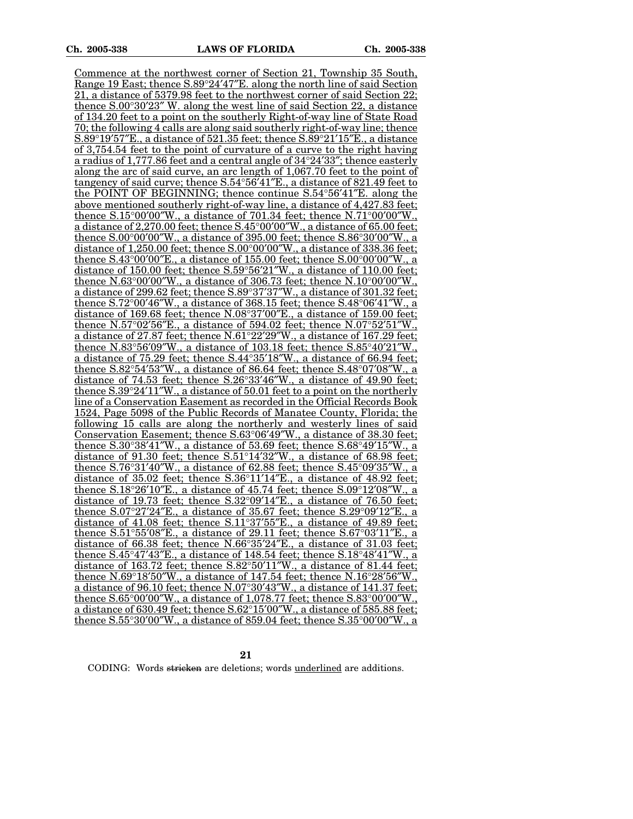Commence at the northwest corner of Section 21, Township 35 South, Range 19 East; thence  $S.89^{\circ}24'47''E$ . along the north line of said Section 21, a distance of 5379.98 feet to the northwest corner of said Section 22; thence  $S.00^{\circ}30'23''$  W. along the west line of said Section 22, a distance of 134.20 feet to a point on the southerly Right-of-way line of State Road 70; the following 4 calls are along said southerly right-of-way line; thence S.89 $\degree$ 19 $\degree$ 57 $\degree$ E., a distance of 521.35 feet; thence S.89 $\degree$ 21 $\degree$ 15 $\degree$ E., a distance of [3,754.54](https://3,754.54) feet to the point of curvature of a curve to the right having a radius of [1,777.86](https://1,777.86) feet and a central angle of  $34^{\circ}24'33''$ ; thence easterly along the arc of said curve, an arc length of [1,067.70](https://1,067.70) feet to the point of tangency of said curve; thence  $S.54^{\circ}56'41''E$ ., a distance of  $821.49$  feet to the POINT OF BEGINNING; thence continue S.54°56¢41²E. along the above mentioned southerly right-of-way line, a distance of [4,427.83](https://4,427.83) feet; thence  $S.15^{\circ}00'00''W$ , a distance of 701.34 feet; thence  $N.71^{\circ}00'00''W$ . a distance of  $2,270.00$  feet; thence  $S.45^{\circ}00'00''W$ , a distance of 65.00 feet; thence  $S.00^{\circ}00'00''W$ , a distance of 395.00 feet; thence  $S.86^{\circ}30'00''W$ , a distance of  $1,250.00$  feet; thence  $S.00^{\circ}00'00''W$ ., a distance of 338.36 feet; thence  $S.43^{\circ}00'00''E$ , a distance of 155.00 feet; thence  $S.00^{\circ}00'00''W$ , a distance of 150.00 feet; thence  $S.59^{\circ}56'21''W$ , a distance of 110.00 feet; thence N.63 $^{\circ}00'00''W$ , a distance of 306.73 feet; thence N.10 $^{\circ}00'00''W$ . a distance of 299.62 feet; thence  $S.89^{\circ}37'37''W$ ., a distance of 301.32 feet; thence  $S.72^{\circ}00'46''W$ , a distance of 368.15 feet; thence  $S.48^{\circ}06'41''W$ , a distance of 169.68 feet; thence  $N.08^{\circ}37'00''E$ ., a distance of 159.00 feet; thence N.57°02′56″E., a distance of 594.02 feet; thence N.07°52′51″W., a distance of 27.87 feet; thence  $N.61^{\circ}22'29''W$ ., a distance of 167.29 feet; thence  $N.83^{\circ}56'09''W$ , a distance of 103.18 feet; thence  $S.85^{\circ}40'21''W$ . a distance of  $75.29$  feet; thence  $S.44^{\circ}35'18''W$ ., a distance of 66.94 feet; thence  $S.82^{\circ}54'53''W$ , a distance of 86.64 feet; thence  $S.48^{\circ}07'08''W$ , a distance of 74.53 feet; thence  $S.26^{\circ}33'46''W$ ., a distance of 49.90 feet; thence  $S.39^{\circ}24'11''W$ , a distance of 50.01 feet to a point on the northerly line of a Conservation Easement as recorded in the Official Records Book 1524, Page 5098 of the Public Records of Manatee County, Florida; the following 15 calls are along the northerly and westerly lines of said Conservation Easement; thence S.63°06'49"W., a distance of 38.30 feet; thence  $S.30^{\circ}38'41''W$ , a distance of 53.69 feet; thence  $S.68^{\circ}49'15''W$ , a distance of 91.30 feet; thence  $S.51^{\circ}14'32''W$ , a distance of 68.98 feet; thence  $S.76^{\circ}31'40''W$ , a distance of 62.88 feet; thence  $S.45^{\circ}09'35''W$ , a distance of  $35.02$  feet; thence  $S.36^{\circ}11'14''E$ ., a distance of  $48.92$  feet; thence  $S.18^{\circ}26'10''E$ , a distance of 45.74 feet; thence  $S.09^{\circ}12'08''W$ , a distance of 19.73 feet; thence  $S.32^{\circ}09'14''E$ ., a distance of 76.50 feet; thence  $S.07^{\circ}27'24''E$ , a distance of 35.67 feet; thence  $S.29^{\circ}09'12''E$ , a distance of 41.08 feet; thence  $S.11^{\circ}37'55''E$ ., a distance of 49.89 feet; thence  $S.51^{\circ}55'08''E$ , a distance of 29.11 feet; thence  $S.67^{\circ}03'11''E$ , a distance of 66.38 feet; thence  $N.66^{\circ}35'24''E$ ., a distance of 31.03 feet; thence  $S.45^{\circ}47'43''E$ , a distance of 148.54 feet; thence  $S.18^{\circ}48'41''W$ , a distance of  $163.72$  feet; thence  $S.82^{\circ}50'11''W$ , a distance of  $81.44$  feet; thence N.69°18′50″W., a distance of 147.54 feet; thence N.16°28′56″W., a distance of 96.10 feet; thence  $N.07^{\circ}30'43''W$ , a distance of 141.37 feet; thence  $S.65^{\circ}00'00''W$ , a distance of [1,078.77](https://1,078.77) feet; thence  $S.83^{\circ}00'00''W$ . a distance of 630.49 feet; thence  $S.62^{\circ}15'00''W$ ., a distance of 585.88 feet; thence  $S.55^{\circ}30'00''W$ ., a distance of 859.04 feet; thence  $S.35^{\circ}00'00''W$ ., a

**21**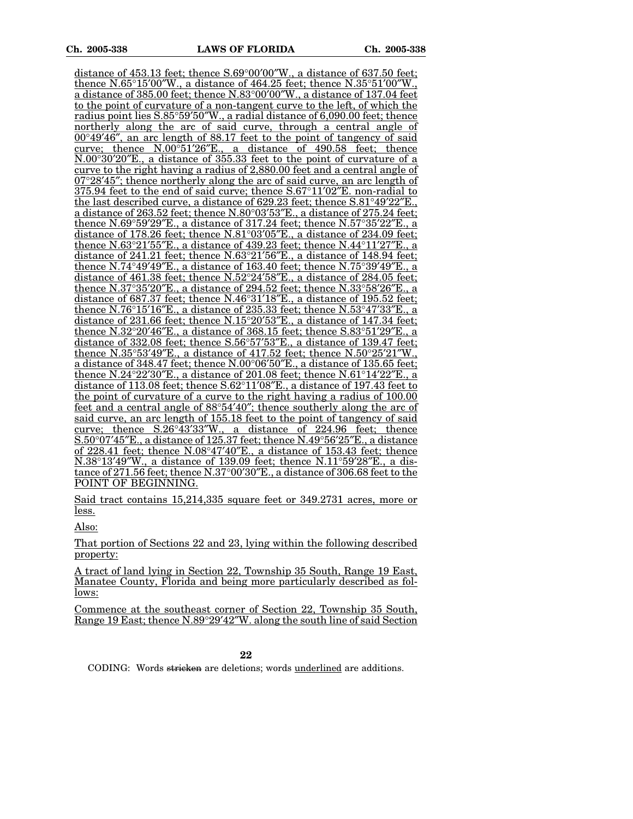distance of  $453.13$  feet; thence  $S.69^{\circ}00'00''W$ ., a distance of  $637.50$  feet: thence N.65°15′00′W., a distance of 464.25 feet; thence N.35°51′00′′W., a distance of  $385.00$  feet; thence  $N.83^{\circ}00'00''W$ , a distance of 137.04 feet to the point of curvature of a non-tangent curve to the left, of which the radius point lies S.85°59′50″W., a radial distance of [6,090.00](https://6,090.00) feet; thence northerly along the arc of said curve, through a central angle of  $00^{\circ}49'46''$ , an arc length of 88.17 feet to the point of tangency of said curve; thence  $N.00^{\circ}51'26''E$ , a distance of 490.58 feet; thence  $N.00^{\circ}30'20''E$ , a distance of 355.33 feet to the point of curvature of a curve to the right having a radius of [2,880.00](https://2,880.00) feet and a central angle of  $07^{\circ}28'45''$ ; thence northerly along the arc of said curve, an arc length of  $375.94$  feet to the end of said curve; thence  $S.67^{\circ}11'02''E$ . non-radial to the last described curve, a distance of  $629.23$  feet; thence  $S.81^{\circ}49'22''E$ . a distance of 263.52 feet; thence N.80°03'53"E., a distance of 275.24 feet; thence  $N.69^{\circ}59'29''E$ , a distance of  $317.24$  feet; thence  $N.57^{\circ}35'22''E$ , a distance of 178.26 feet; thence  $N.81^{\circ}03'05''E$ ., a distance of 234.09 feet; thence  $N.63^{\circ}21'55''E$ , a distance of 439.23 feet; thence  $N.44^{\circ}11'27''E$ , a distance of 241.21 feet; thence  $N.63^{\circ}21'56''E$ ., a distance of 148.94 feet; thence N.74°49′49″E, a distance of 163.40 feet; thence N.75°39′49″E, a distance of 461.38 feet; thence  $N.52^{\circ}24'58''E$ ., a distance of 284.05 feet; thence N.37°35′20″E., a distance of 294.52 feet; thence N.33°58′26″E., a distance of 687.37 feet; thence  $N.46^{\circ}31'18''E$ ., a distance of 195.52 feet; thence N.76°15′16″E., a distance of 235.33 feet; thence N.53°47′33″E., a distance of 231.66 feet; thence  $N.15^{\circ}20'53''E$ ., a distance of 147.34 feet; thence  $N.32^{\circ}20'46''E$ , a distance of 368.15 feet; thence  $S.83^{\circ}51'29''E$ , a distance of 332.08 feet; thence  $S.56^{\circ}57'53''E$ ., a distance of 139.47 feet; thence N.35°53′49″E., a distance of 417.52 feet; thence N.50°25′21″W., a distance of  $348.47$  feet; thence  $N.00^{\circ}06'50''E$ ., a distance of  $135.65$  feet; thence  $N.24^{\circ}22'30''E$ , a distance of 201.08 feet; thence  $N.61^{\circ}14'22''E$ , a distance of 113.08 feet; thence  $S.62^{\circ}11'08''E$ ., a distance of 197.43 feet to the point of curvature of a curve to the right having a radius of 100.00 feet and a central angle of 88°54'40"; thence southerly along the arc of said curve, an arc length of 155.18 feet to the point of tangency of said curve; thence  $S.26^{\circ}43'33''W$ ., a distance of  $224.96$  feet; thence  $S.50^{\circ}07'45''E$ ., a distance of 125.37 feet; thence N.49°56'25"E., a distance of 228.41 feet; thence  $N.08^{\circ}47'40''E$ , a distance of 153.43 feet; thence  $N.38^{\circ}13'49''W$ , a distance of 139.09 feet; thence  $N.11^{\circ}59'28''E$ , a distance of 271.56 feet; thence  $N.37^{\circ}00'30''E$ ., a distance of 306.68 feet to the POINT OF BEGINNING.

Said tract contains 15,214,335 square feet or 349.2731 acres, more or less.

Also:

That portion of Sections 22 and 23, lying within the following described property:

A tract of land lying in Section 22, Township 35 South, Range 19 East, Manatee County, Florida and being more particularly described as follows:

Commence at the southeast corner of Section 22, Township 35 South, Range 19 East; thence N.89°29'42"W. along the south line of said Section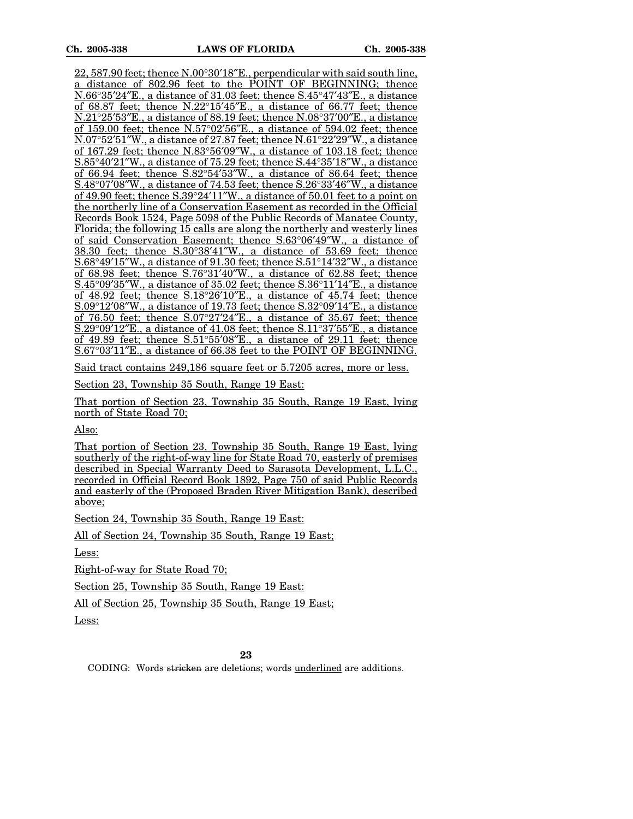$22,587.90$  feet; thence  $N.00^{\circ}30'18''E$ ., perpendicular with said south line, a distance of 802.96 feet to the POINT OF BEGINNING; thence  $N.66^{\circ}35'24''E$ ., a distance of 31.03 feet; thence  $S.45^{\circ}47'43''E$ ., a distance of 68.87 feet; thence  $N.22^{\circ}15'45''E$ ., a distance of 66.77 feet; thence  $N.21^{\circ}25'53''E$ ., a distance of 88.19 feet; thence  $N.08^{\circ}37'00''E$ ., a distance of 159.00 feet; thence  $N.57^{\circ}02'56''E$ , a distance of 594.02 feet; thence  $N.07^{\circ}52'51''W$ , a distance of 27.87 feet; thence  $N.61^{\circ}22'29''W$ , a distance of 167.29 feet; thence  $N.83^{\circ}56'09''W$ , a distance of 103.18 feet; thence  $S.85^{\circ}40'21''W$ , a distance of 75.29 feet; thence  $S.44^{\circ}35'18''W$ , a distance of 66.94 feet; thence  $S.82^{\circ}54'53''W$ , a distance of 86.64 feet; thence  $S.48^{\circ}07'08''W$ ., a distance of 74.53 feet; thence  $S.26^{\circ}33'46''W$ ., a distance of 49.90 feet; thence  $S.39^{\circ}24'11''W$ , a distance of 50.01 feet to a point on the northerly line of a Conservation Easement as recorded in the Official Records Book 1524, Page 5098 of the Public Records of Manatee County, Florida; the following 15 calls are along the northerly and westerly lines of said Conservation Easement; thence S.63°06'49"W., a distance of  $38.30$  feet; thence  $S.30^{\circ}38'41''W$ ., a distance of 53.69 feet; thence  $S.68^{\circ}49'15''W$ , a distance of 91.30 feet; thence  $S.51^{\circ}14'32''W$ , a distance of 68.98 feet; thence  $S.76^{\circ}31'40''W$ , a distance of 62.88 feet; thence S.45°09′35″W., a distance of 35.02 feet; thence  $S.36°11'14"E$ ., a distance of  $48.92$  feet; thence  $S.18^{\circ}26'10''E$ , a distance of  $45.74$  feet; thence  $S.09^{\circ}12'08''W$ , a distance of 19.73 feet; thence  $S.32^{\circ}09'14''E$ , a distance of 76.50 feet; thence  $S.07^{\circ}27'24''E$ , a distance of 35.67 feet; thence S.29°09'12"E., a distance of 41.08 feet; thence  $S.11^{\circ}37'55''E$ ., a distance of 49.89 feet; thence  $S.51^{\circ}55'08''E$ ., a distance of 29.11 feet; thence S.67°03'11'E., a distance of 66.38 feet to the POINT OF BEGINNING.

Said tract contains 249,186 square feet or 5.7205 acres, more or less.

Section 23, Township 35 South, Range 19 East:

That portion of Section 23, Township 35 South, Range 19 East, lying north of State Road 70;

Also:

That portion of Section 23, Township 35 South, Range 19 East, lying southerly of the right-of-way line for State Road 70, easterly of premises described in Special Warranty Deed to Sarasota Development, L.L.C., recorded in Official Record Book 1892, Page 750 of said Public Records and easterly of the (Proposed Braden River Mitigation Bank), described above;

Section 24, Township 35 South, Range 19 East:

All of Section 24, Township 35 South, Range 19 East;

Less:

Right-of-way for State Road 70;

Section 25, Township 35 South, Range 19 East:

All of Section 25, Township 35 South, Range 19 East;

Less: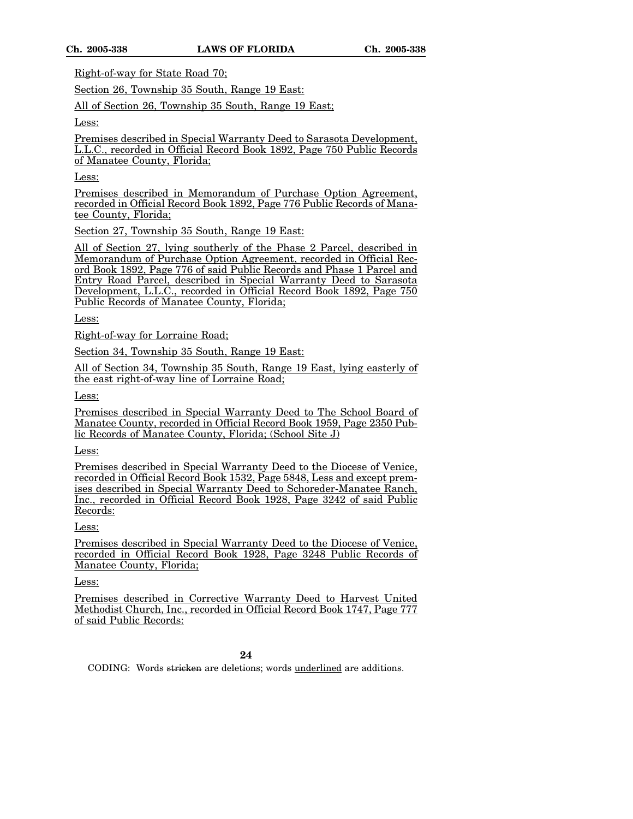Right-of-way for State Road 70;

Section 26, Township 35 South, Range 19 East:

All of Section 26, Township 35 South, Range 19 East;

Less:

Premises described in Special Warranty Deed to Sarasota Development, L.L.C., recorded in Official Record Book 1892, Page 750 Public Records of Manatee County, Florida;

Less:

Premises described in Memorandum of Purchase Option Agreement, recorded in Official Record Book 1892, Page 776 Public Records of Manatee County, Florida;

Section 27, Township 35 South, Range 19 East:

All of Section 27, lying southerly of the Phase 2 Parcel, described in Memorandum of Purchase Option Agreement, recorded in Official Record Book 1892, Page 776 of said Public Records and Phase 1 Parcel and Entry Road Parcel, described in Special Warranty Deed to Sarasota Development, L.L.C., recorded in Official Record Book 1892, Page 750 Public Records of Manatee County, Florida;

Less:

Right-of-way for Lorraine Road;

Section 34, Township 35 South, Range 19 East:

All of Section 34, Township 35 South, Range 19 East, lying easterly of the east right-of-way line of Lorraine Road;

Less:

Premises described in Special Warranty Deed to The School Board of Manatee County, recorded in Official Record Book 1959, Page 2350 Public Records of Manatee County, Florida; (School Site J)

Less:

Premises described in Special Warranty Deed to the Diocese of Venice, recorded in Official Record Book 1532, Page 5848, Less and except premises described in Special Warranty Deed to Schoreder-Manatee Ranch, Inc., recorded in Official Record Book 1928, Page 3242 of said Public Records:

Less:

Premises described in Special Warranty Deed to the Diocese of Venice, recorded in Official Record Book 1928, Page 3248 Public Records of Manatee County, Florida;

Less:

Premises described in Corrective Warranty Deed to Harvest United Methodist Church, Inc., recorded in Official Record Book 1747, Page 777 of said Public Records: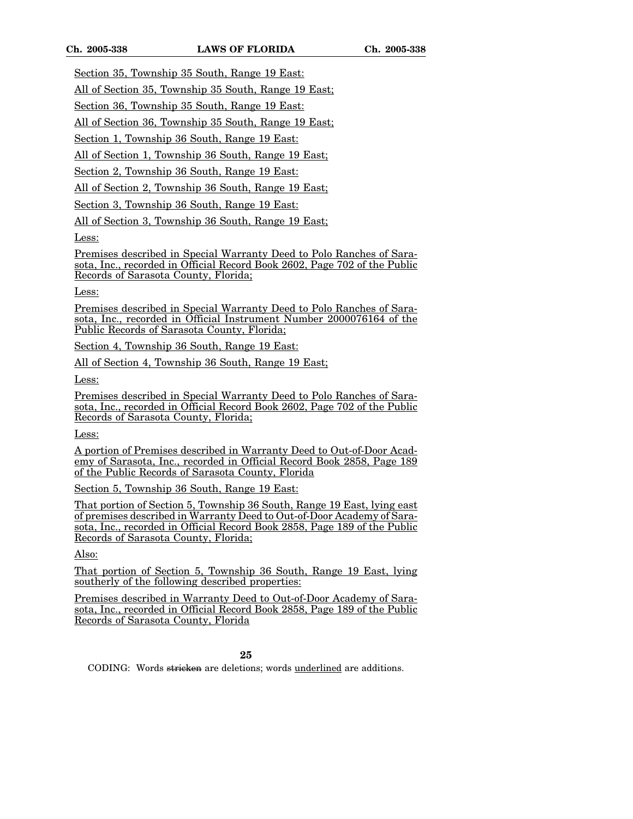Section 35, Township 35 South, Range 19 East:

All of Section 35, Township 35 South, Range 19 East;

Section 36, Township 35 South, Range 19 East:

All of Section 36, Township 35 South, Range 19 East;

Section 1, Township 36 South, Range 19 East:

All of Section 1, Township 36 South, Range 19 East;

Section 2, Township 36 South, Range 19 East:

All of Section 2, Township 36 South, Range 19 East;

Section 3, Township 36 South, Range 19 East:

All of Section 3, Township 36 South, Range 19 East;

Less:

Premises described in Special Warranty Deed to Polo Ranches of Sarasota, Inc., recorded in Official Record Book 2602, Page 702 of the Public Records of Sarasota County, Florida;

Less:

Premises described in Special Warranty Deed to Polo Ranches of Sarasota, Inc., recorded in Official Instrument Number 2000076164 of the Public Records of Sarasota County, Florida;

Section 4, Township 36 South, Range 19 East:

All of Section 4, Township 36 South, Range 19 East;

Less:

Premises described in Special Warranty Deed to Polo Ranches of Sarasota, Inc., recorded in Official Record Book 2602, Page 702 of the Public Records of Sarasota County, Florida;

Less:

A portion of Premises described in Warranty Deed to Out-of-Door Academy of Sarasota, Inc., recorded in Official Record Book 2858, Page 189 of the Public Records of Sarasota County, Florida

Section 5, Township 36 South, Range 19 East:

That portion of Section 5, Township 36 South, Range 19 East, lying east of premises described in Warranty Deed to Out-of-Door Academy of Sarasota, Inc., recorded in Official Record Book 2858, Page 189 of the Public Records of Sarasota County, Florida;

Also:

That portion of Section 5, Township 36 South, Range 19 East, lying southerly of the following described properties:

Premises described in Warranty Deed to Out-of-Door Academy of Sarasota, Inc., recorded in Official Record Book 2858, Page 189 of the Public Records of Sarasota County, Florida

**25**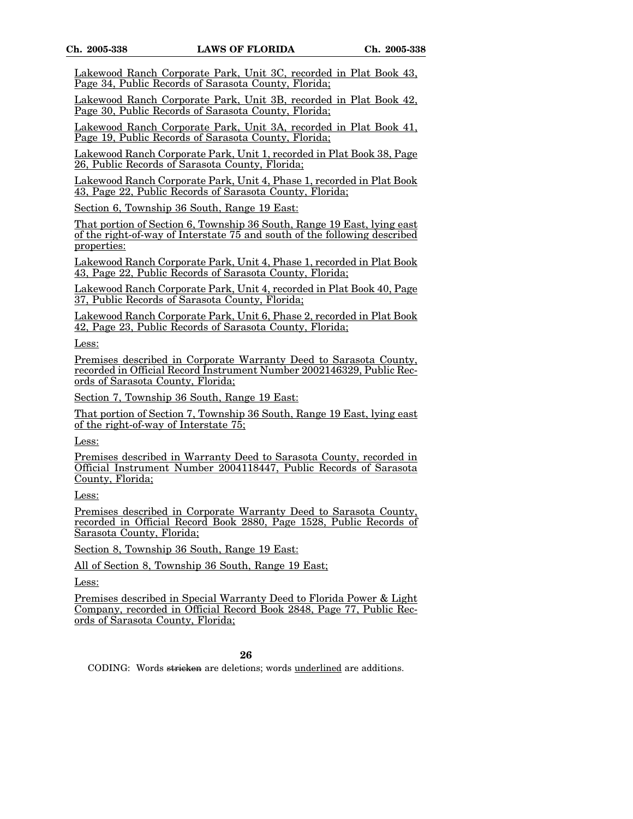Lakewood Ranch Corporate Park, Unit 3C, recorded in Plat Book 43, Page 34, Public Records of Sarasota County, Florida;

Lakewood Ranch Corporate Park, Unit 3B, recorded in Plat Book 42, Page 30, Public Records of Sarasota County, Florida;

Lakewood Ranch Corporate Park, Unit 3A, recorded in Plat Book 41, Page 19, Public Records of Sarasota County, Florida;

Lakewood Ranch Corporate Park, Unit 1, recorded in Plat Book 38, Page 26, Public Records of Sarasota County, Florida;

Lakewood Ranch Corporate Park, Unit 4, Phase 1, recorded in Plat Book 43, Page 22, Public Records of Sarasota County, Florida;

Section 6, Township 36 South, Range 19 East:

That portion of Section 6, Township 36 South, Range 19 East, lying east of the right-of-way of Interstate 75 and south of the following described properties:

Lakewood Ranch Corporate Park, Unit 4, Phase 1, recorded in Plat Book 43, Page 22, Public Records of Sarasota County, Florida;

Lakewood Ranch Corporate Park, Unit 4, recorded in Plat Book 40, Page 37, Public Records of Sarasota County, Florida;

Lakewood Ranch Corporate Park, Unit 6, Phase 2, recorded in Plat Book 42, Page 23, Public Records of Sarasota County, Florida;

Less:

Premises described in Corporate Warranty Deed to Sarasota County, recorded in Official Record Instrument Number 2002146329, Public Records of Sarasota County, Florida;

Section 7, Township 36 South, Range 19 East:

That portion of Section 7, Township 36 South, Range 19 East, lying east of the right-of-way of Interstate 75;

Less:

Premises described in Warranty Deed to Sarasota County, recorded in Official Instrument Number 2004118447, Public Records of Sarasota County, Florida;

Less:

Premises described in Corporate Warranty Deed to Sarasota County, recorded in Official Record Book 2880, Page 1528, Public Records of Sarasota County, Florida;

Section 8, Township 36 South, Range 19 East:

All of Section 8, Township 36 South, Range 19 East;

Less:

Premises described in Special Warranty Deed to Florida Power & Light Company, recorded in Official Record Book 2848, Page 77, Public Records of Sarasota County, Florida;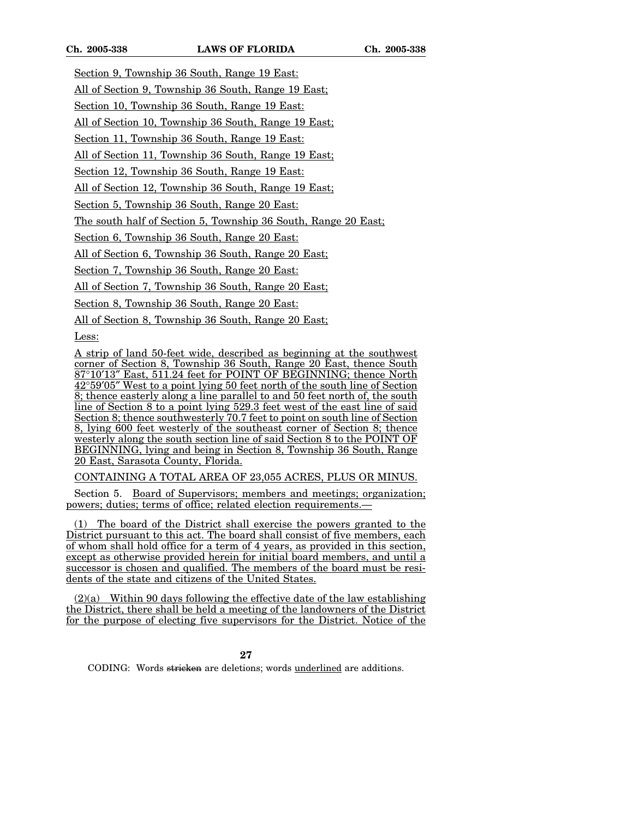Section 9, Township 36 South, Range 19 East: All of Section 9, Township 36 South, Range 19 East;

Section 10, Township 36 South, Range 19 East:

All of Section 10, Township 36 South, Range 19 East;

Section 11, Township 36 South, Range 19 East:

All of Section 11, Township 36 South, Range 19 East;

Section 12, Township 36 South, Range 19 East:

All of Section 12, Township 36 South, Range 19 East;

Section 5, Township 36 South, Range 20 East:

The south half of Section 5, Township 36 South, Range 20 East;

Section 6, Township 36 South, Range 20 East:

All of Section 6, Township 36 South, Range 20 East;

Section 7, Township 36 South, Range 20 East:

All of Section 7, Township 36 South, Range 20 East;

Section 8, Township 36 South, Range 20 East:

All of Section 8, Township 36 South, Range 20 East;

Less:

A strip of land 50-feet wide, described as beginning at the southwest corner of Section 8, Township 36 South, Range 20 East, thence South 87°10¢13² East, 511.24 feet for POINT OF BEGINNING; thence North 42°59¢05² West to a point lying 50 feet north of the south line of Section 8; thence easterly along a line parallel to and 50 feet north of, the south line of Section 8 to a point lying 529.3 feet west of the east line of said Section 8; thence southwesterly 70.7 feet to point on south line of Section 8, lying 600 feet westerly of the southeast corner of Section 8; thence westerly along the south section line of said Section 8 to the POINT OF BEGINNING, lying and being in Section 8, Township 36 South, Range 20 East, Sarasota County, Florida.

CONTAINING A TOTAL AREA OF 23,055 ACRES, PLUS OR MINUS.

Section 5. Board of Supervisors; members and meetings; organization; powers; duties; terms of office; related election requirements.—

(1) The board of the District shall exercise the powers granted to the District pursuant to this act. The board shall consist of five members, each of whom shall hold office for a term of 4 years, as provided in this section, except as otherwise provided herein for initial board members, and until a successor is chosen and qualified. The members of the board must be residents of the state and citizens of the United States.

 $(2)(a)$  Within 90 days following the effective date of the law establishing the District, there shall be held a meeting of the landowners of the District for the purpose of electing five supervisors for the District. Notice of the

**27**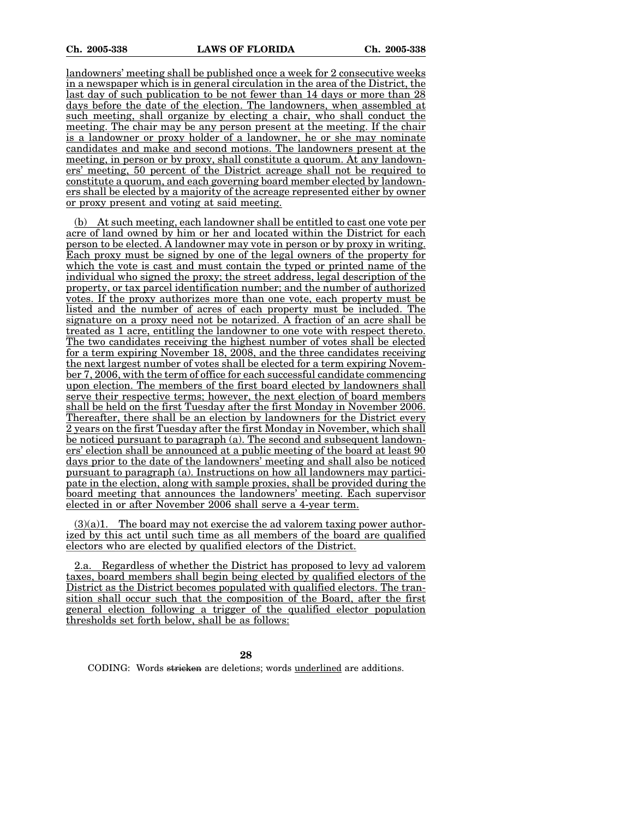landowners' meeting shall be published once a week for 2 consecutive weeks in a newspaper which is in general circulation in the area of the District, the last day of such publication to be not fewer than 14 days or more than 28 days before the date of the election. The landowners, when assembled at such meeting, shall organize by electing a chair, who shall conduct the meeting. The chair may be any person present at the meeting. If the chair is a landowner or proxy holder of a landowner, he or she may nominate candidates and make and second motions. The landowners present at the meeting, in person or by proxy, shall constitute a quorum. At any landowners' meeting, 50 percent of the District acreage shall not be required to constitute a quorum, and each governing board member elected by landowners shall be elected by a majority of the acreage represented either by owner or proxy present and voting at said meeting.

(b) At such meeting, each landowner shall be entitled to cast one vote per acre of land owned by him or her and located within the District for each person to be elected. A landowner may vote in person or by proxy in writing. Each proxy must be signed by one of the legal owners of the property for which the vote is cast and must contain the typed or printed name of the individual who signed the proxy; the street address, legal description of the property, or tax parcel identification number; and the number of authorized votes. If the proxy authorizes more than one vote, each property must be listed and the number of acres of each property must be included. The signature on a proxy need not be notarized. A fraction of an acre shall be treated as 1 acre, entitling the landowner to one vote with respect thereto. The two candidates receiving the highest number of votes shall be elected for a term expiring November 18, 2008, and the three candidates receiving the next largest number of votes shall be elected for a term expiring November 7, 2006, with the term of office for each successful candidate commencing upon election. The members of the first board elected by landowners shall serve their respective terms; however, the next election of board members shall be held on the first Tuesday after the first Monday in November 2006. Thereafter, there shall be an election by landowners for the District every 2 years on the first Tuesday after the first Monday in November, which shall be noticed pursuant to paragraph (a). The second and subsequent landowners' election shall be announced at a public meeting of the board at least 90 days prior to the date of the landowners' meeting and shall also be noticed pursuant to paragraph (a). Instructions on how all landowners may participate in the election, along with sample proxies, shall be provided during the board meeting that announces the landowners' meeting. Each supervisor elected in or after November 2006 shall serve a 4-year term.

 $(3)(a)1$ . The board may not exercise the ad valorem taxing power authorized by this act until such time as all members of the board are qualified electors who are elected by qualified electors of the District.

2.a. Regardless of whether the District has proposed to levy ad valorem taxes, board members shall begin being elected by qualified electors of the District as the District becomes populated with qualified electors. The transition shall occur such that the composition of the Board, after the first general election following a trigger of the qualified elector population thresholds set forth below, shall be as follows: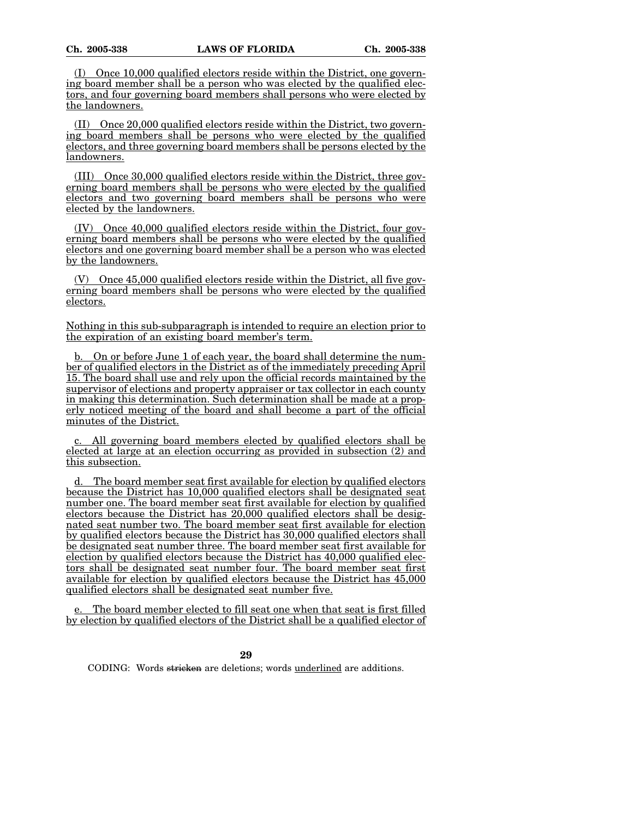(I) Once 10,000 qualified electors reside within the District, one governing board member shall be a person who was elected by the qualified electors, and four governing board members shall persons who were elected by the landowners.

(II) Once 20,000 qualified electors reside within the District, two governing board members shall be persons who were elected by the qualified electors, and three governing board members shall be persons elected by the landowners.

(III) Once 30,000 qualified electors reside within the District, three governing board members shall be persons who were elected by the qualified electors and two governing board members shall be persons who were elected by the landowners.

(IV) Once 40,000 qualified electors reside within the District, four governing board members shall be persons who were elected by the qualified electors and one governing board member shall be a person who was elected by the landowners.

(V) Once 45,000 qualified electors reside within the District, all five governing board members shall be persons who were elected by the qualified electors.

Nothing in this sub-subparagraph is intended to require an election prior to the expiration of an existing board member's term.

b. On or before June 1 of each year, the board shall determine the number of qualified electors in the District as of the immediately preceding April 15. The board shall use and rely upon the official records maintained by the supervisor of elections and property appraiser or tax collector in each county in making this determination. Such determination shall be made at a properly noticed meeting of the board and shall become a part of the official minutes of the District.

All governing board members elected by qualified electors shall be elected at large at an election occurring as provided in subsection (2) and this subsection.

d. The board member seat first available for election by qualified electors because the District has 10,000 qualified electors shall be designated seat number one. The board member seat first available for election by qualified electors because the District has 20,000 qualified electors shall be designated seat number two. The board member seat first available for election by qualified electors because the District has 30,000 qualified electors shall be designated seat number three. The board member seat first available for election by qualified electors because the District has 40,000 qualified electors shall be designated seat number four. The board member seat first available for election by qualified electors because the District has 45,000 qualified electors shall be designated seat number five.

The board member elected to fill seat one when that seat is first filled by election by qualified electors of the District shall be a qualified elector of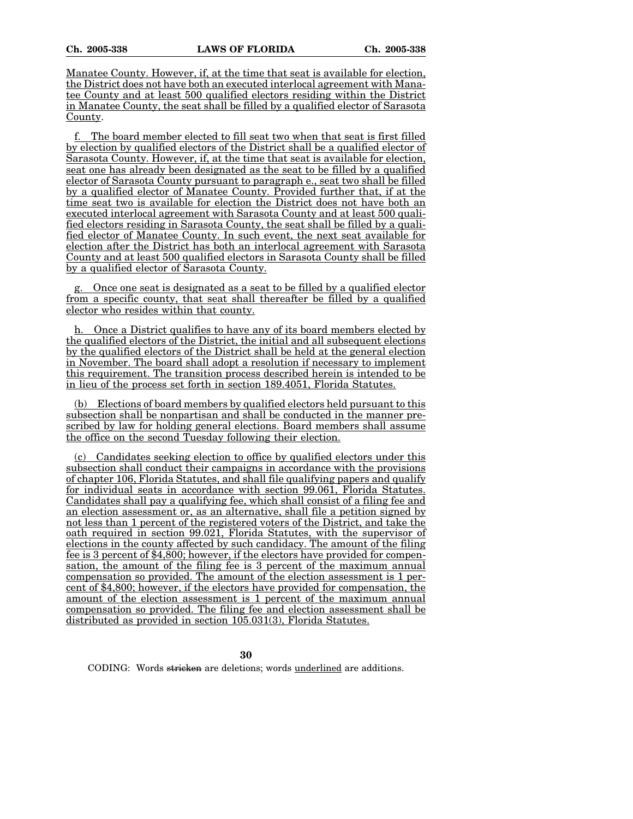Manatee County. However, if, at the time that seat is available for election, the District does not have both an executed interlocal agreement with Manatee County and at least 500 qualified electors residing within the District in Manatee County, the seat shall be filled by a qualified elector of Sarasota County.

f. The board member elected to fill seat two when that seat is first filled by election by qualified electors of the District shall be a qualified elector of Sarasota County. However, if, at the time that seat is available for election, seat one has already been designated as the seat to be filled by a qualified elector of Sarasota County pursuant to paragraph e., seat two shall be filled by a qualified elector of Manatee County. Provided further that, if at the time seat two is available for election the District does not have both an executed interlocal agreement with Sarasota County and at least 500 qualified electors residing in Sarasota County, the seat shall be filled by a qualified elector of Manatee County. In such event, the next seat available for election after the District has both an interlocal agreement with Sarasota County and at least 500 qualified electors in Sarasota County shall be filled by a qualified elector of Sarasota County.

g. Once one seat is designated as a seat to be filled by a qualified elector from a specific county, that seat shall thereafter be filled by a qualified elector who resides within that county.

h. Once a District qualifies to have any of its board members elected by the qualified electors of the District, the initial and all subsequent elections by the qualified electors of the District shall be held at the general election in November. The board shall adopt a resolution if necessary to implement this requirement. The transition process described herein is intended to be in lieu of the process set forth in section 189.4051, Florida Statutes.

(b) Elections of board members by qualified electors held pursuant to this subsection shall be nonpartisan and shall be conducted in the manner prescribed by law for holding general elections. Board members shall assume the office on the second Tuesday following their election.

(c) Candidates seeking election to office by qualified electors under this subsection shall conduct their campaigns in accordance with the provisions of chapter 106, Florida Statutes, and shall file qualifying papers and qualify for individual seats in accordance with section 99.061, Florida Statutes. Candidates shall pay a qualifying fee, which shall consist of a filing fee and an election assessment or, as an alternative, shall file a petition signed by not less than 1 percent of the registered voters of the District, and take the oath required in section 99.021, Florida Statutes, with the supervisor of elections in the county affected by such candidacy. The amount of the filing fee is 3 percent of \$4,800; however, if the electors have provided for compensation, the amount of the filing fee is 3 percent of the maximum annual compensation so provided. The amount of the election assessment is 1 percent of \$4,800; however, if the electors have provided for compensation, the amount of the election assessment is 1 percent of the maximum annual compensation so provided. The filing fee and election assessment shall be distributed as provided in section 105.031(3), Florida Statutes.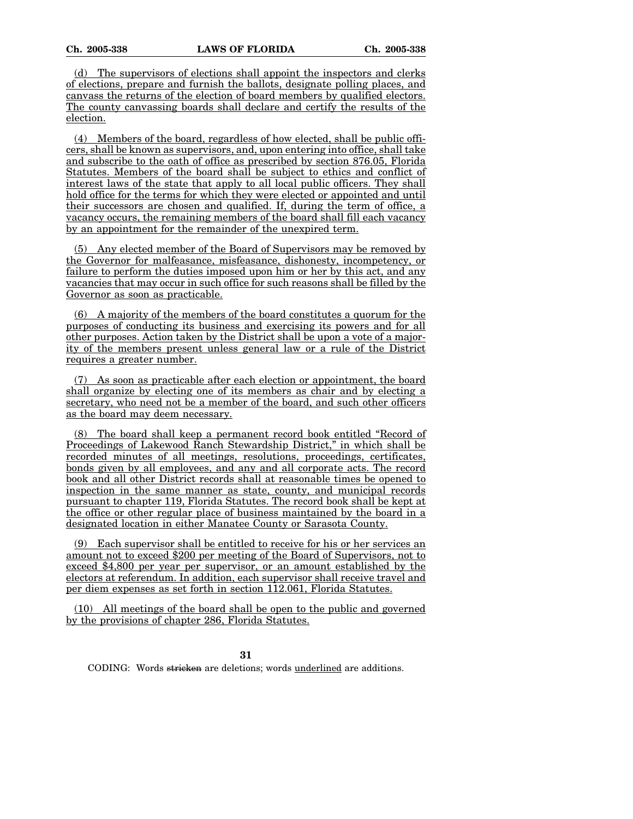(d) The supervisors of elections shall appoint the inspectors and clerks of elections, prepare and furnish the ballots, designate polling places, and canvass the returns of the election of board members by qualified electors. The county canvassing boards shall declare and certify the results of the election.

(4) Members of the board, regardless of how elected, shall be public officers, shall be known as supervisors, and, upon entering into office, shall take and subscribe to the oath of office as prescribed by section 876.05, Florida Statutes. Members of the board shall be subject to ethics and conflict of interest laws of the state that apply to all local public officers. They shall hold office for the terms for which they were elected or appointed and until their successors are chosen and qualified. If, during the term of office, a vacancy occurs, the remaining members of the board shall fill each vacancy by an appointment for the remainder of the unexpired term.

(5) Any elected member of the Board of Supervisors may be removed by the Governor for malfeasance, misfeasance, dishonesty, incompetency, or failure to perform the duties imposed upon him or her by this act, and any vacancies that may occur in such office for such reasons shall be filled by the Governor as soon as practicable.

(6) A majority of the members of the board constitutes a quorum for the purposes of conducting its business and exercising its powers and for all other purposes. Action taken by the District shall be upon a vote of a majority of the members present unless general law or a rule of the District requires a greater number.

(7) As soon as practicable after each election or appointment, the board shall organize by electing one of its members as chair and by electing a secretary, who need not be a member of the board, and such other officers as the board may deem necessary.

(8) The board shall keep a permanent record book entitled "Record of Proceedings of Lakewood Ranch Stewardship District," in which shall be recorded minutes of all meetings, resolutions, proceedings, certificates, bonds given by all employees, and any and all corporate acts. The record book and all other District records shall at reasonable times be opened to inspection in the same manner as state, county, and municipal records pursuant to chapter 119, Florida Statutes. The record book shall be kept at the office or other regular place of business maintained by the board in a designated location in either Manatee County or Sarasota County.

(9) Each supervisor shall be entitled to receive for his or her services an amount not to exceed \$200 per meeting of the Board of Supervisors, not to exceed \$4,800 per year per supervisor, or an amount established by the electors at referendum. In addition, each supervisor shall receive travel and per diem expenses as set forth in section 112.061, Florida Statutes.

(10) All meetings of the board shall be open to the public and governed by the provisions of chapter 286, Florida Statutes.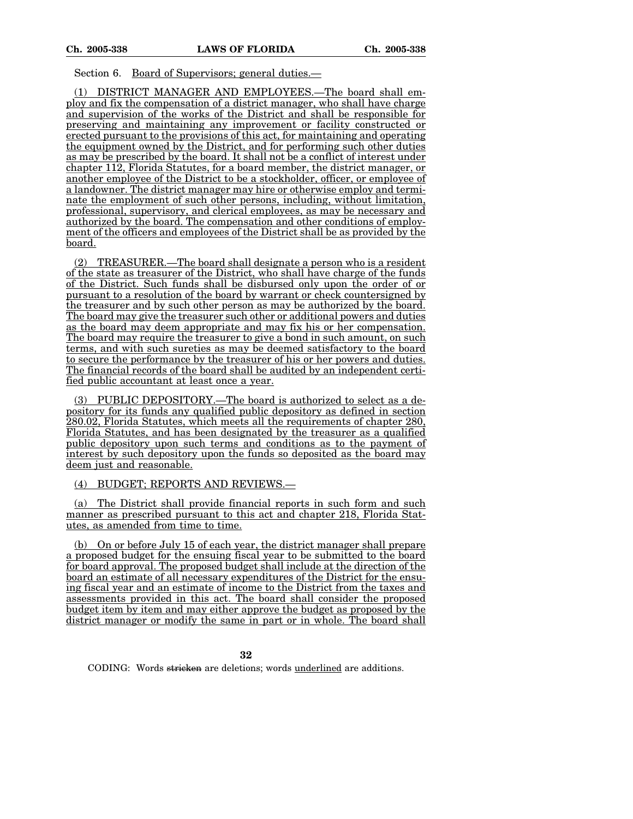## Section 6. Board of Supervisors; general duties.—

(1) DISTRICT MANAGER AND EMPLOYEES.—The board shall employ and fix the compensation of a district manager, who shall have charge and supervision of the works of the District and shall be responsible for preserving and maintaining any improvement or facility constructed or erected pursuant to the provisions of this act, for maintaining and operating the equipment owned by the District, and for performing such other duties as may be prescribed by the board. It shall not be a conflict of interest under chapter 112, Florida Statutes, for a board member, the district manager, or another employee of the District to be a stockholder, officer, or employee of a landowner. The district manager may hire or otherwise employ and terminate the employment of such other persons, including, without limitation, professional, supervisory, and clerical employees, as may be necessary and authorized by the board. The compensation and other conditions of employment of the officers and employees of the District shall be as provided by the board.

(2) TREASURER.—The board shall designate a person who is a resident of the state as treasurer of the District, who shall have charge of the funds of the District. Such funds shall be disbursed only upon the order of or pursuant to a resolution of the board by warrant or check countersigned by the treasurer and by such other person as may be authorized by the board. The board may give the treasurer such other or additional powers and duties as the board may deem appropriate and may fix his or her compensation. The board may require the treasurer to give a bond in such amount, on such terms, and with such sureties as may be deemed satisfactory to the board to secure the performance by the treasurer of his or her powers and duties. The financial records of the board shall be audited by an independent certified public accountant at least once a year.

(3) PUBLIC DEPOSITORY.—The board is authorized to select as a depository for its funds any qualified public depository as defined in section 280.02, Florida Statutes, which meets all the requirements of chapter 280, Florida Statutes, and has been designated by the treasurer as a qualified public depository upon such terms and conditions as to the payment of interest by such depository upon the funds so deposited as the board may deem just and reasonable.

### (4) BUDGET; REPORTS AND REVIEWS.—

(a) The District shall provide financial reports in such form and such manner as prescribed pursuant to this act and chapter 218, Florida Statutes, as amended from time to time.

(b) On or before July 15 of each year, the district manager shall prepare a proposed budget for the ensuing fiscal year to be submitted to the board for board approval. The proposed budget shall include at the direction of the board an estimate of all necessary expenditures of the District for the ensuing fiscal year and an estimate of income to the District from the taxes and assessments provided in this act. The board shall consider the proposed budget item by item and may either approve the budget as proposed by the district manager or modify the same in part or in whole. The board shall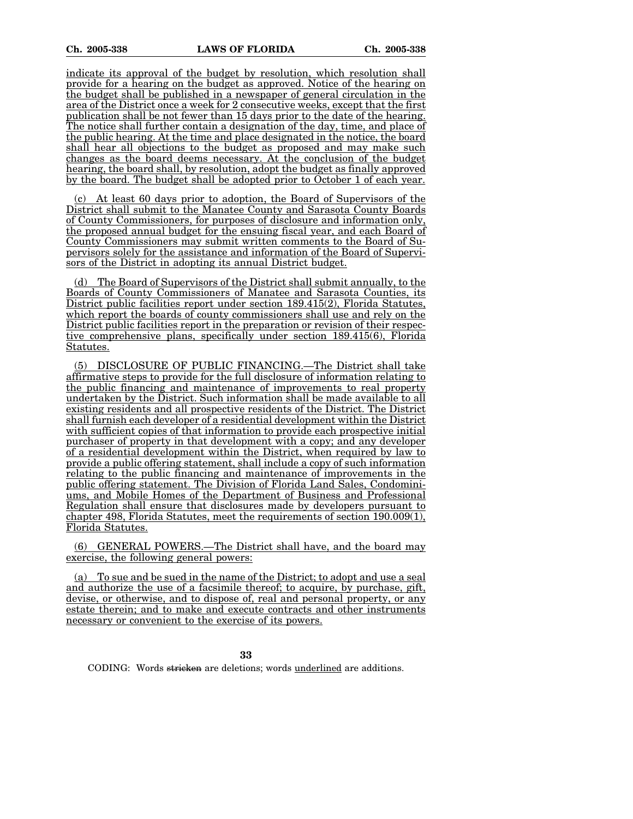indicate its approval of the budget by resolution, which resolution shall provide for a hearing on the budget as approved. Notice of the hearing on the budget shall be published in a newspaper of general circulation in the area of the District once a week for 2 consecutive weeks, except that the first publication shall be not fewer than 15 days prior to the date of the hearing. The notice shall further contain a designation of the day, time, and place of the public hearing. At the time and place designated in the notice, the board shall hear all objections to the budget as proposed and may make such changes as the board deems necessary. At the conclusion of the budget hearing, the board shall, by resolution, adopt the budget as finally approved by the board. The budget shall be adopted prior to October 1 of each year.

At least 60 days prior to adoption, the Board of Supervisors of the District shall submit to the Manatee County and Sarasota County Boards of County Commissioners, for purposes of disclosure and information only, the proposed annual budget for the ensuing fiscal year, and each Board of County Commissioners may submit written comments to the Board of Supervisors solely for the assistance and information of the Board of Supervisors of the District in adopting its annual District budget.

(d) The Board of Supervisors of the District shall submit annually, to the Boards of County Commissioners of Manatee and Sarasota Counties, its District public facilities report under section 189.415(2), Florida Statutes, which report the boards of county commissioners shall use and rely on the District public facilities report in the preparation or revision of their respective comprehensive plans, specifically under section 189.415(6), Florida Statutes.

(5) DISCLOSURE OF PUBLIC FINANCING.—The District shall take affirmative steps to provide for the full disclosure of information relating to the public financing and maintenance of improvements to real property undertaken by the District. Such information shall be made available to all existing residents and all prospective residents of the District. The District shall furnish each developer of a residential development within the District with sufficient copies of that information to provide each prospective initial purchaser of property in that development with a copy; and any developer of a residential development within the District, when required by law to provide a public offering statement, shall include a copy of such information relating to the public financing and maintenance of improvements in the public offering statement. The Division of Florida Land Sales, Condominiums, and Mobile Homes of the Department of Business and Professional Regulation shall ensure that disclosures made by developers pursuant to chapter 498, Florida Statutes, meet the requirements of section 190.009(1), Florida Statutes.

(6) GENERAL POWERS.—The District shall have, and the board may exercise, the following general powers:

(a) To sue and be sued in the name of the District; to adopt and use a seal and authorize the use of a facsimile thereof; to acquire, by purchase, gift, devise, or otherwise, and to dispose of, real and personal property, or any estate therein; and to make and execute contracts and other instruments necessary or convenient to the exercise of its powers.

**33**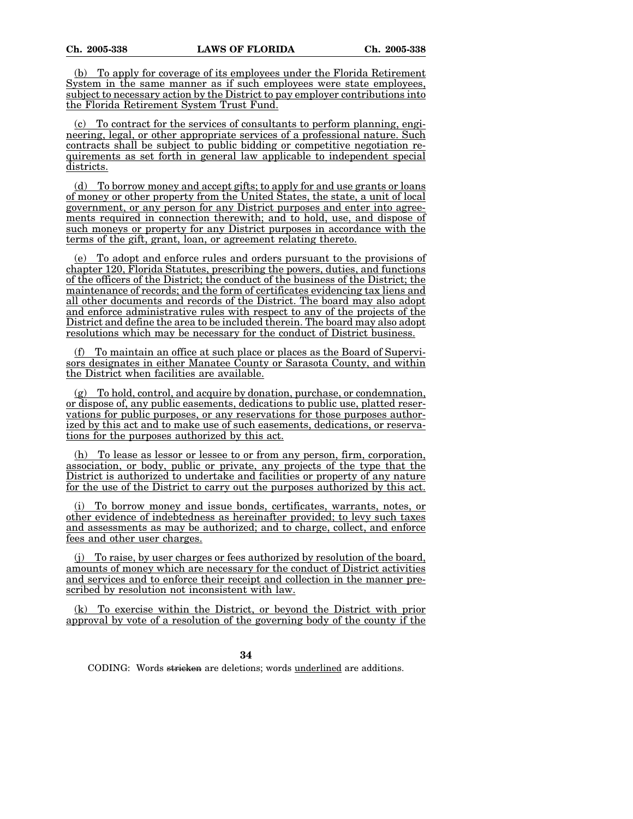(b) To apply for coverage of its employees under the Florida Retirement System in the same manner as if such employees were state employees, subject to necessary action by the District to pay employer contributions into the Florida Retirement System Trust Fund.

(c) To contract for the services of consultants to perform planning, engineering, legal, or other appropriate services of a professional nature. Such contracts shall be subject to public bidding or competitive negotiation requirements as set forth in general law applicable to independent special districts.

(d) To borrow money and accept gifts; to apply for and use grants or loans of money or other property from the United States, the state, a unit of local government, or any person for any District purposes and enter into agreements required in connection therewith; and to hold, use, and dispose of such moneys or property for any District purposes in accordance with the terms of the gift, grant, loan, or agreement relating thereto.

(e) To adopt and enforce rules and orders pursuant to the provisions of chapter 120, Florida Statutes, prescribing the powers, duties, and functions of the officers of the District; the conduct of the business of the District; the maintenance of records; and the form of certificates evidencing tax liens and all other documents and records of the District. The board may also adopt and enforce administrative rules with respect to any of the projects of the District and define the area to be included therein. The board may also adopt resolutions which may be necessary for the conduct of District business.

(f) To maintain an office at such place or places as the Board of Supervisors designates in either Manatee County or Sarasota County, and within the District when facilities are available.

 $(g)$  To hold, control, and acquire by donation, purchase, or condemnation, or dispose of, any public easements, dedications to public use, platted reservations for public purposes, or any reservations for those purposes authorized by this act and to make use of such easements, dedications, or reservations for the purposes authorized by this act.

(h) To lease as lessor or lessee to or from any person, firm, corporation, association, or body, public or private, any projects of the type that the District is authorized to undertake and facilities or property of any nature for the use of the District to carry out the purposes authorized by this act.

(i) To borrow money and issue bonds, certificates, warrants, notes, or other evidence of indebtedness as hereinafter provided; to levy such taxes and assessments as may be authorized; and to charge, collect, and enforce fees and other user charges.

(j) To raise, by user charges or fees authorized by resolution of the board, amounts of money which are necessary for the conduct of District activities and services and to enforce their receipt and collection in the manner prescribed by resolution not inconsistent with law.

(k) To exercise within the District, or beyond the District with prior approval by vote of a resolution of the governing body of the county if the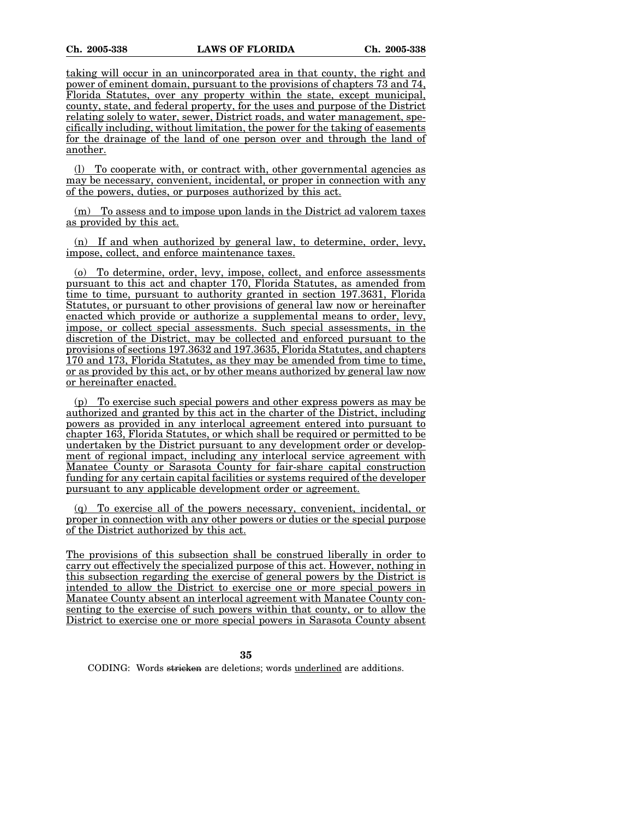taking will occur in an unincorporated area in that county, the right and power of eminent domain, pursuant to the provisions of chapters 73 and 74, Florida Statutes, over any property within the state, except municipal, county, state, and federal property, for the uses and purpose of the District relating solely to water, sewer, District roads, and water management, specifically including, without limitation, the power for the taking of easements for the drainage of the land of one person over and through the land of another.

(l) To cooperate with, or contract with, other governmental agencies as may be necessary, convenient, incidental, or proper in connection with any of the powers, duties, or purposes authorized by this act.

(m) To assess and to impose upon lands in the District ad valorem taxes as provided by this act.

(n) If and when authorized by general law, to determine, order, levy, impose, collect, and enforce maintenance taxes.

(o) To determine, order, levy, impose, collect, and enforce assessments pursuant to this act and chapter 170, Florida Statutes, as amended from time to time, pursuant to authority granted in section 197.3631, Florida Statutes, or pursuant to other provisions of general law now or hereinafter enacted which provide or authorize a supplemental means to order, levy, impose, or collect special assessments. Such special assessments, in the discretion of the District, may be collected and enforced pursuant to the provisions of sections 197.3632 and 197.3635, Florida Statutes, and chapters 170 and 173, Florida Statutes, as they may be amended from time to time, or as provided by this act, or by other means authorized by general law now or hereinafter enacted.

(p) To exercise such special powers and other express powers as may be authorized and granted by this act in the charter of the District, including powers as provided in any interlocal agreement entered into pursuant to chapter 163, Florida Statutes, or which shall be required or permitted to be undertaken by the District pursuant to any development order or development of regional impact, including any interlocal service agreement with Manatee County or Sarasota County for fair-share capital construction funding for any certain capital facilities or systems required of the developer pursuant to any applicable development order or agreement.

(q) To exercise all of the powers necessary, convenient, incidental, or proper in connection with any other powers or duties or the special purpose of the District authorized by this act.

The provisions of this subsection shall be construed liberally in order to carry out effectively the specialized purpose of this act. However, nothing in this subsection regarding the exercise of general powers by the District is intended to allow the District to exercise one or more special powers in Manatee County absent an interlocal agreement with Manatee County consenting to the exercise of such powers within that county, or to allow the District to exercise one or more special powers in Sarasota County absent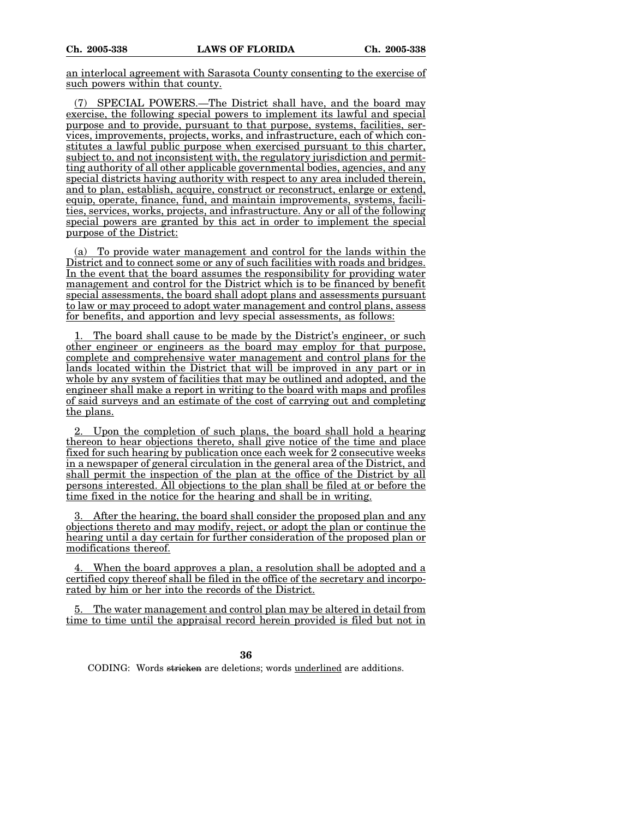an interlocal agreement with Sarasota County consenting to the exercise of such powers within that county.

(7) SPECIAL POWERS.—The District shall have, and the board may exercise, the following special powers to implement its lawful and special purpose and to provide, pursuant to that purpose, systems, facilities, services, improvements, projects, works, and infrastructure, each of which constitutes a lawful public purpose when exercised pursuant to this charter, subject to, and not inconsistent with, the regulatory jurisdiction and permitting authority of all other applicable governmental bodies, agencies, and any special districts having authority with respect to any area included therein, and to plan, establish, acquire, construct or reconstruct, enlarge or extend, equip, operate, finance, fund, and maintain improvements, systems, facilities, services, works, projects, and infrastructure. Any or all of the following special powers are granted by this act in order to implement the special purpose of the District:

(a) To provide water management and control for the lands within the District and to connect some or any of such facilities with roads and bridges. In the event that the board assumes the responsibility for providing water management and control for the District which is to be financed by benefit special assessments, the board shall adopt plans and assessments pursuant to law or may proceed to adopt water management and control plans, assess for benefits, and apportion and levy special assessments, as follows:

The board shall cause to be made by the District's engineer, or such other engineer or engineers as the board may employ for that purpose, complete and comprehensive water management and control plans for the lands located within the District that will be improved in any part or in whole by any system of facilities that may be outlined and adopted, and the engineer shall make a report in writing to the board with maps and profiles of said surveys and an estimate of the cost of carrying out and completing the plans.

2. Upon the completion of such plans, the board shall hold a hearing thereon to hear objections thereto, shall give notice of the time and place fixed for such hearing by publication once each week for 2 consecutive weeks in a newspaper of general circulation in the general area of the District, and shall permit the inspection of the plan at the office of the District by all persons interested. All objections to the plan shall be filed at or before the time fixed in the notice for the hearing and shall be in writing.

After the hearing, the board shall consider the proposed plan and any objections thereto and may modify, reject, or adopt the plan or continue the hearing until a day certain for further consideration of the proposed plan or modifications thereof.

4. When the board approves a plan, a resolution shall be adopted and a certified copy thereof shall be filed in the office of the secretary and incorporated by him or her into the records of the District.

5. The water management and control plan may be altered in detail from time to time until the appraisal record herein provided is filed but not in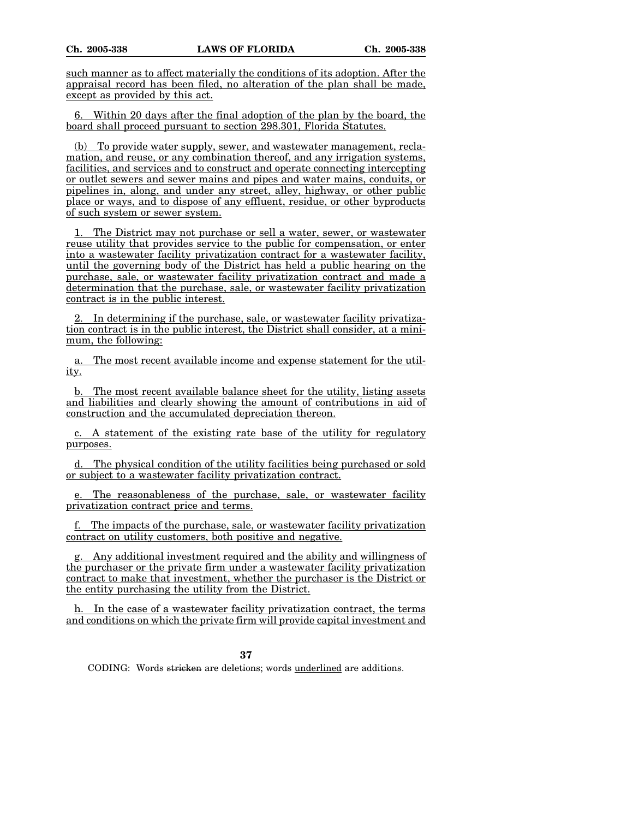such manner as to affect materially the conditions of its adoption. After the appraisal record has been filed, no alteration of the plan shall be made, except as provided by this act.

6. Within 20 days after the final adoption of the plan by the board, the board shall proceed pursuant to section 298.301, Florida Statutes.

(b) To provide water supply, sewer, and wastewater management, reclamation, and reuse, or any combination thereof, and any irrigation systems, facilities, and services and to construct and operate connecting intercepting or outlet sewers and sewer mains and pipes and water mains, conduits, or pipelines in, along, and under any street, alley, highway, or other public place or ways, and to dispose of any effluent, residue, or other byproducts of such system or sewer system.

1. The District may not purchase or sell a water, sewer, or wastewater reuse utility that provides service to the public for compensation, or enter into a wastewater facility privatization contract for a wastewater facility, until the governing body of the District has held a public hearing on the purchase, sale, or wastewater facility privatization contract and made a determination that the purchase, sale, or wastewater facility privatization contract is in the public interest.

2. In determining if the purchase, sale, or wastewater facility privatization contract is in the public interest, the District shall consider, at a minimum, the following:

a. The most recent available income and expense statement for the utility.

b. The most recent available balance sheet for the utility, listing assets and liabilities and clearly showing the amount of contributions in aid of construction and the accumulated depreciation thereon.

c. A statement of the existing rate base of the utility for regulatory purposes.

d. The physical condition of the utility facilities being purchased or sold or subject to a wastewater facility privatization contract.

The reasonableness of the purchase, sale, or wastewater facility privatization contract price and terms.

f. The impacts of the purchase, sale, or wastewater facility privatization contract on utility customers, both positive and negative.

g. Any additional investment required and the ability and willingness of the purchaser or the private firm under a wastewater facility privatization contract to make that investment, whether the purchaser is the District or the entity purchasing the utility from the District.

h. In the case of a wastewater facility privatization contract, the terms and conditions on which the private firm will provide capital investment and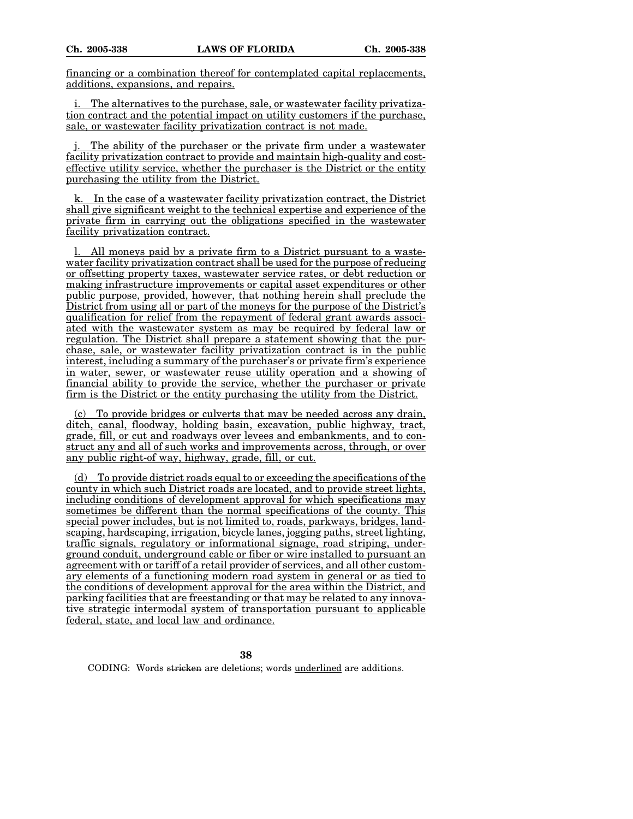financing or a combination thereof for contemplated capital replacements, additions, expansions, and repairs.

i. The alternatives to the purchase, sale, or wastewater facility privatization contract and the potential impact on utility customers if the purchase, sale, or wastewater facility privatization contract is not made.

The ability of the purchaser or the private firm under a wastewater facility privatization contract to provide and maintain high-quality and costeffective utility service, whether the purchaser is the District or the entity purchasing the utility from the District.

In the case of a wastewater facility privatization contract, the District shall give significant weight to the technical expertise and experience of the private firm in carrying out the obligations specified in the wastewater facility privatization contract.

l. All moneys paid by a private firm to a District pursuant to a wastewater facility privatization contract shall be used for the purpose of reducing or offsetting property taxes, wastewater service rates, or debt reduction or making infrastructure improvements or capital asset expenditures or other public purpose, provided, however, that nothing herein shall preclude the District from using all or part of the moneys for the purpose of the District's qualification for relief from the repayment of federal grant awards associated with the wastewater system as may be required by federal law or regulation. The District shall prepare a statement showing that the purchase, sale, or wastewater facility privatization contract is in the public interest, including a summary of the purchaser's or private firm's experience in water, sewer, or wastewater reuse utility operation and a showing of financial ability to provide the service, whether the purchaser or private firm is the District or the entity purchasing the utility from the District.

To provide bridges or culverts that may be needed across any drain, ditch, canal, floodway, holding basin, excavation, public highway, tract, grade, fill, or cut and roadways over levees and embankments, and to construct any and all of such works and improvements across, through, or over any public right-of way, highway, grade, fill, or cut.

(d) To provide district roads equal to or exceeding the specifications of the county in which such District roads are located, and to provide street lights, including conditions of development approval for which specifications may sometimes be different than the normal specifications of the county. This special power includes, but is not limited to, roads, parkways, bridges, landscaping, hardscaping, irrigation, bicycle lanes, jogging paths, street lighting, traffic signals, regulatory or informational signage, road striping, underground conduit, underground cable or fiber or wire installed to pursuant an agreement with or tariff of a retail provider of services, and all other customary elements of a functioning modern road system in general or as tied to the conditions of development approval for the area within the District, and parking facilities that are freestanding or that may be related to any innovative strategic intermodal system of transportation pursuant to applicable federal, state, and local law and ordinance.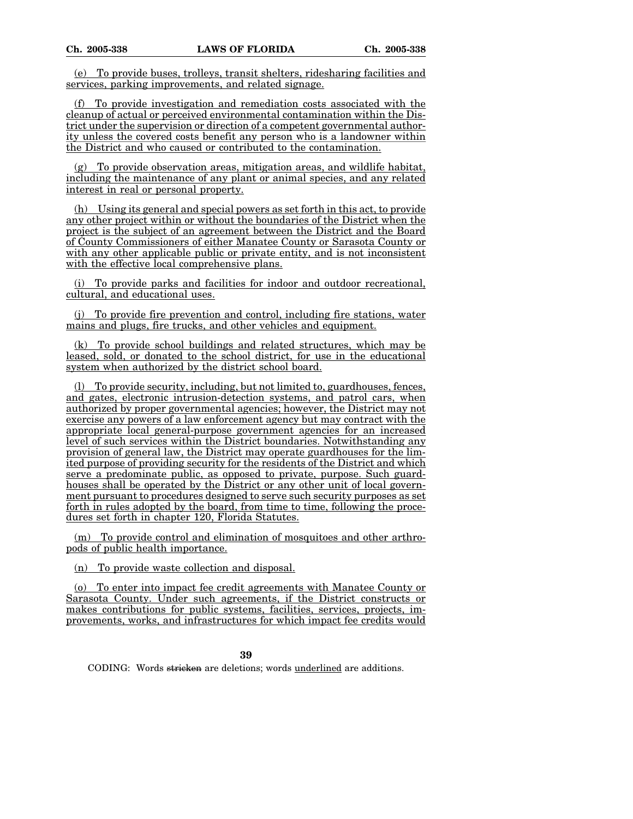(e) To provide buses, trolleys, transit shelters, ridesharing facilities and services, parking improvements, and related signage.

(f) To provide investigation and remediation costs associated with the cleanup of actual or perceived environmental contamination within the District under the supervision or direction of a competent governmental authority unless the covered costs benefit any person who is a landowner within the District and who caused or contributed to the contamination.

 $(g)$  To provide observation areas, mitigation areas, and wildlife habitat, including the maintenance of any plant or animal species, and any related interest in real or personal property.

(h) Using its general and special powers as set forth in this act, to provide any other project within or without the boundaries of the District when the project is the subject of an agreement between the District and the Board of County Commissioners of either Manatee County or Sarasota County or with any other applicable public or private entity, and is not inconsistent with the effective local comprehensive plans.

(i) To provide parks and facilities for indoor and outdoor recreational, cultural, and educational uses.

(j) To provide fire prevention and control, including fire stations, water mains and plugs, fire trucks, and other vehicles and equipment.

(k) To provide school buildings and related structures, which may be leased, sold, or donated to the school district, for use in the educational system when authorized by the district school board.

(l) To provide security, including, but not limited to, guardhouses, fences, and gates, electronic intrusion-detection systems, and patrol cars, when authorized by proper governmental agencies; however, the District may not exercise any powers of a law enforcement agency but may contract with the appropriate local general-purpose government agencies for an increased level of such services within the District boundaries. Notwithstanding any provision of general law, the District may operate guardhouses for the limited purpose of providing security for the residents of the District and which serve a predominate public, as opposed to private, purpose. Such guardhouses shall be operated by the District or any other unit of local government pursuant to procedures designed to serve such security purposes as set forth in rules adopted by the board, from time to time, following the procedures set forth in chapter 120, Florida Statutes.

(m) To provide control and elimination of mosquitoes and other arthropods of public health importance.

(n) To provide waste collection and disposal.

(o) To enter into impact fee credit agreements with Manatee County or Sarasota County. Under such agreements, if the District constructs or makes contributions for public systems, facilities, services, projects, improvements, works, and infrastructures for which impact fee credits would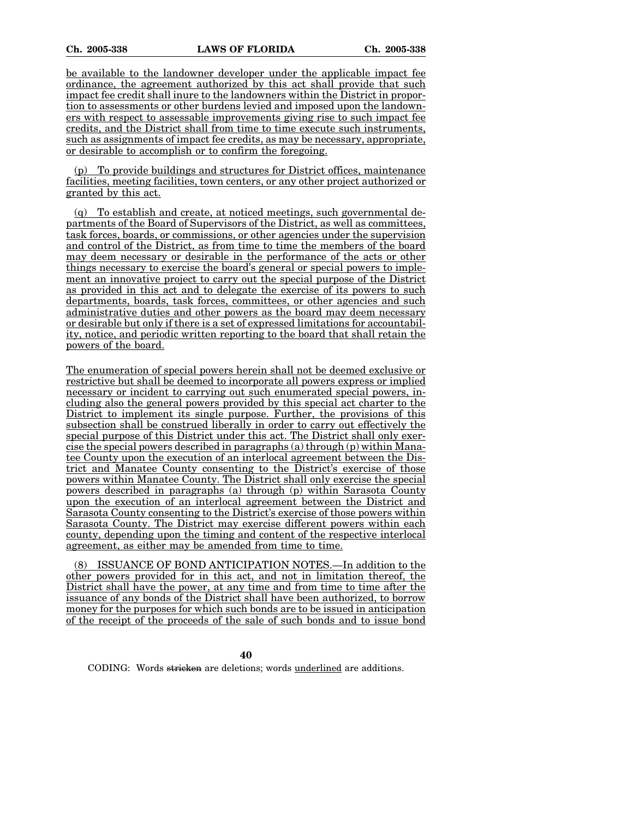be available to the landowner developer under the applicable impact fee ordinance, the agreement authorized by this act shall provide that such impact fee credit shall inure to the landowners within the District in proportion to assessments or other burdens levied and imposed upon the landowners with respect to assessable improvements giving rise to such impact fee credits, and the District shall from time to time execute such instruments, such as assignments of impact fee credits, as may be necessary, appropriate, or desirable to accomplish or to confirm the foregoing.

(p) To provide buildings and structures for District offices, maintenance facilities, meeting facilities, town centers, or any other project authorized or granted by this act.

(q) To establish and create, at noticed meetings, such governmental departments of the Board of Supervisors of the District, as well as committees, task forces, boards, or commissions, or other agencies under the supervision and control of the District, as from time to time the members of the board may deem necessary or desirable in the performance of the acts or other things necessary to exercise the board's general or special powers to implement an innovative project to carry out the special purpose of the District as provided in this act and to delegate the exercise of its powers to such departments, boards, task forces, committees, or other agencies and such administrative duties and other powers as the board may deem necessary or desirable but only if there is a set of expressed limitations for accountability, notice, and periodic written reporting to the board that shall retain the powers of the board.

The enumeration of special powers herein shall not be deemed exclusive or restrictive but shall be deemed to incorporate all powers express or implied necessary or incident to carrying out such enumerated special powers, including also the general powers provided by this special act charter to the District to implement its single purpose. Further, the provisions of this subsection shall be construed liberally in order to carry out effectively the special purpose of this District under this act. The District shall only exercise the special powers described in paragraphs (a) through (p) within Manatee County upon the execution of an interlocal agreement between the District and Manatee County consenting to the District's exercise of those powers within Manatee County. The District shall only exercise the special powers described in paragraphs (a) through (p) within Sarasota County upon the execution of an interlocal agreement between the District and Sarasota County consenting to the District's exercise of those powers within Sarasota County. The District may exercise different powers within each county, depending upon the timing and content of the respective interlocal agreement, as either may be amended from time to time.

(8) ISSUANCE OF BOND ANTICIPATION NOTES.—In addition to the other powers provided for in this act, and not in limitation thereof, the District shall have the power, at any time and from time to time after the issuance of any bonds of the District shall have been authorized, to borrow money for the purposes for which such bonds are to be issued in anticipation of the receipt of the proceeds of the sale of such bonds and to issue bond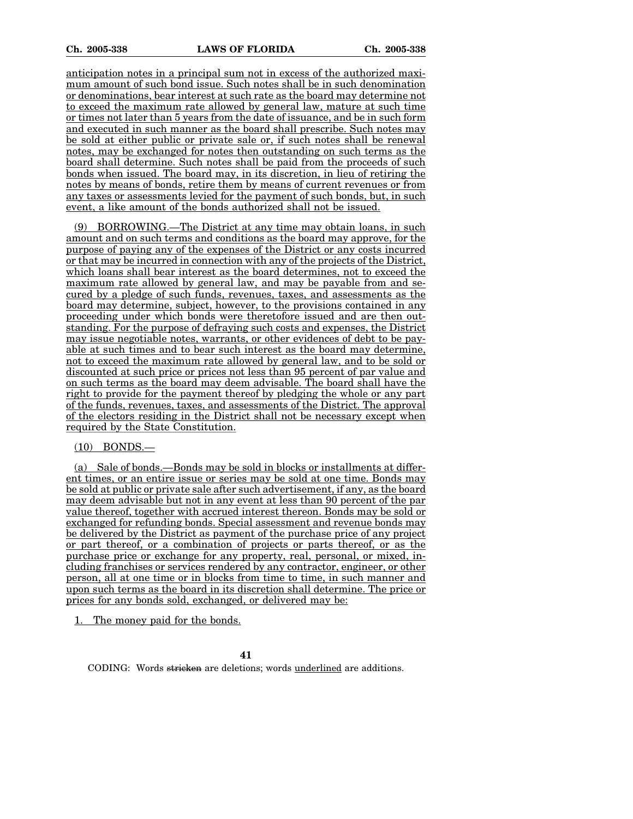anticipation notes in a principal sum not in excess of the authorized maximum amount of such bond issue. Such notes shall be in such denomination or denominations, bear interest at such rate as the board may determine not to exceed the maximum rate allowed by general law, mature at such time or times not later than 5 years from the date of issuance, and be in such form and executed in such manner as the board shall prescribe. Such notes may be sold at either public or private sale or, if such notes shall be renewal notes, may be exchanged for notes then outstanding on such terms as the board shall determine. Such notes shall be paid from the proceeds of such bonds when issued. The board may, in its discretion, in lieu of retiring the notes by means of bonds, retire them by means of current revenues or from any taxes or assessments levied for the payment of such bonds, but, in such event, a like amount of the bonds authorized shall not be issued.

(9) BORROWING.—The District at any time may obtain loans, in such amount and on such terms and conditions as the board may approve, for the purpose of paying any of the expenses of the District or any costs incurred or that may be incurred in connection with any of the projects of the District, which loans shall bear interest as the board determines, not to exceed the maximum rate allowed by general law, and may be payable from and secured by a pledge of such funds, revenues, taxes, and assessments as the board may determine, subject, however, to the provisions contained in any proceeding under which bonds were theretofore issued and are then outstanding. For the purpose of defraying such costs and expenses, the District may issue negotiable notes, warrants, or other evidences of debt to be payable at such times and to bear such interest as the board may determine, not to exceed the maximum rate allowed by general law, and to be sold or discounted at such price or prices not less than 95 percent of par value and on such terms as the board may deem advisable. The board shall have the right to provide for the payment thereof by pledging the whole or any part of the funds, revenues, taxes, and assessments of the District. The approval of the electors residing in the District shall not be necessary except when required by the State Constitution.

(10) BONDS.—

(a) Sale of bonds.—Bonds may be sold in blocks or installments at different times, or an entire issue or series may be sold at one time. Bonds may be sold at public or private sale after such advertisement, if any, as the board may deem advisable but not in any event at less than 90 percent of the par value thereof, together with accrued interest thereon. Bonds may be sold or exchanged for refunding bonds. Special assessment and revenue bonds may be delivered by the District as payment of the purchase price of any project or part thereof, or a combination of projects or parts thereof, or as the purchase price or exchange for any property, real, personal, or mixed, including franchises or services rendered by any contractor, engineer, or other person, all at one time or in blocks from time to time, in such manner and upon such terms as the board in its discretion shall determine. The price or prices for any bonds sold, exchanged, or delivered may be:

1. The money paid for the bonds.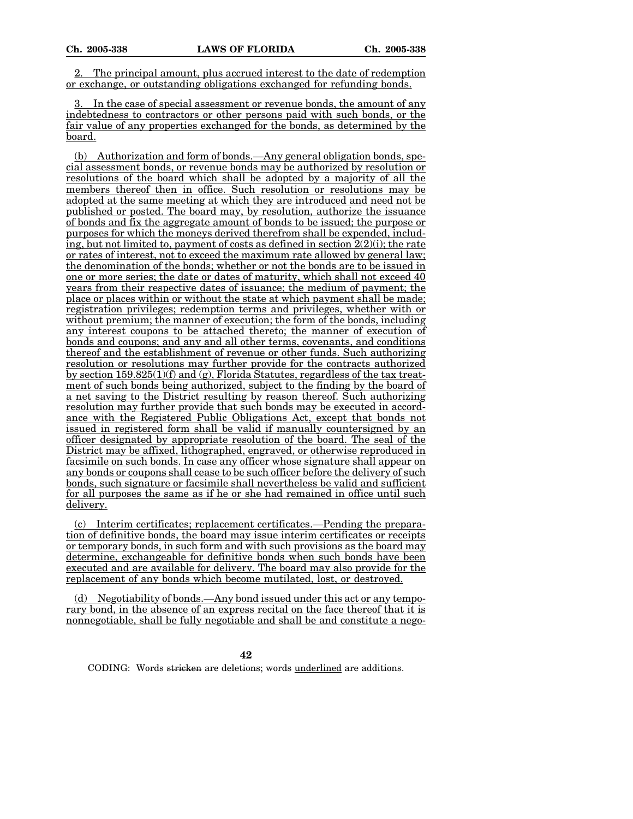2. The principal amount, plus accrued interest to the date of redemption or exchange, or outstanding obligations exchanged for refunding bonds.

3. In the case of special assessment or revenue bonds, the amount of any indebtedness to contractors or other persons paid with such bonds, or the fair value of any properties exchanged for the bonds, as determined by the board.

(b) Authorization and form of bonds.—Any general obligation bonds, special assessment bonds, or revenue bonds may be authorized by resolution or resolutions of the board which shall be adopted by a majority of all the members thereof then in office. Such resolution or resolutions may be adopted at the same meeting at which they are introduced and need not be published or posted. The board may, by resolution, authorize the issuance of bonds and fix the aggregate amount of bonds to be issued; the purpose or purposes for which the moneys derived therefrom shall be expended, including, but not limited to, payment of costs as defined in section  $2(2)(i)$ ; the rate or rates of interest, not to exceed the maximum rate allowed by general law; the denomination of the bonds; whether or not the bonds are to be issued in one or more series; the date or dates of maturity, which shall not exceed 40 years from their respective dates of issuance; the medium of payment; the place or places within or without the state at which payment shall be made; registration privileges; redemption terms and privileges, whether with or without premium; the manner of execution; the form of the bonds, including any interest coupons to be attached thereto; the manner of execution of bonds and coupons; and any and all other terms, covenants, and conditions thereof and the establishment of revenue or other funds. Such authorizing resolution or resolutions may further provide for the contracts authorized by section  $159.825(1)(f)$  and (g), Florida Statutes, regardless of the tax treatment of such bonds being authorized, subject to the finding by the board of a net saving to the District resulting by reason thereof. Such authorizing resolution may further provide that such bonds may be executed in accordance with the Registered Public Obligations Act, except that bonds not issued in registered form shall be valid if manually countersigned by an officer designated by appropriate resolution of the board. The seal of the District may be affixed, lithographed, engraved, or otherwise reproduced in facsimile on such bonds. In case any officer whose signature shall appear on any bonds or coupons shall cease to be such officer before the delivery of such bonds, such signature or facsimile shall nevertheless be valid and sufficient for all purposes the same as if he or she had remained in office until such delivery.

(c) Interim certificates; replacement certificates.—Pending the preparation of definitive bonds, the board may issue interim certificates or receipts or temporary bonds, in such form and with such provisions as the board may determine, exchangeable for definitive bonds when such bonds have been executed and are available for delivery. The board may also provide for the replacement of any bonds which become mutilated, lost, or destroyed.

(d) Negotiability of bonds.—Any bond issued under this act or any temporary bond, in the absence of an express recital on the face thereof that it is nonnegotiable, shall be fully negotiable and shall be and constitute a nego-

**42**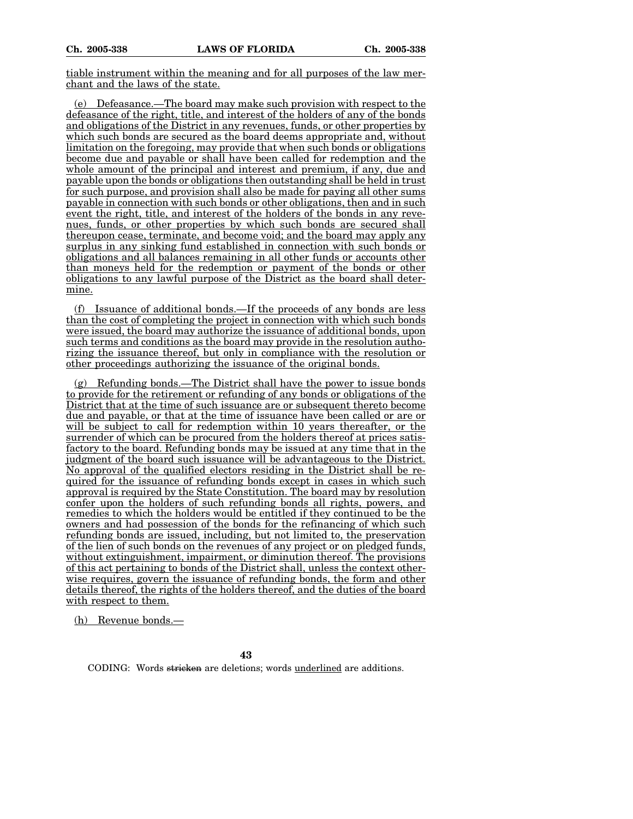tiable instrument within the meaning and for all purposes of the law merchant and the laws of the state.

(e) Defeasance.—The board may make such provision with respect to the defeasance of the right, title, and interest of the holders of any of the bonds and obligations of the District in any revenues, funds, or other properties by which such bonds are secured as the board deems appropriate and, without limitation on the foregoing, may provide that when such bonds or obligations become due and payable or shall have been called for redemption and the whole amount of the principal and interest and premium, if any, due and payable upon the bonds or obligations then outstanding shall be held in trust for such purpose, and provision shall also be made for paying all other sums payable in connection with such bonds or other obligations, then and in such event the right, title, and interest of the holders of the bonds in any revenues, funds, or other properties by which such bonds are secured shall thereupon cease, terminate, and become void; and the board may apply any surplus in any sinking fund established in connection with such bonds or obligations and all balances remaining in all other funds or accounts other than moneys held for the redemption or payment of the bonds or other obligations to any lawful purpose of the District as the board shall determine.

(f) Issuance of additional bonds.—If the proceeds of any bonds are less than the cost of completing the project in connection with which such bonds were issued, the board may authorize the issuance of additional bonds, upon such terms and conditions as the board may provide in the resolution authorizing the issuance thereof, but only in compliance with the resolution or other proceedings authorizing the issuance of the original bonds.

(g) Refunding bonds.—The District shall have the power to issue bonds to provide for the retirement or refunding of any bonds or obligations of the District that at the time of such issuance are or subsequent thereto become due and payable, or that at the time of issuance have been called or are or will be subject to call for redemption within 10 years thereafter, or the surrender of which can be procured from the holders thereof at prices satisfactory to the board. Refunding bonds may be issued at any time that in the judgment of the board such issuance will be advantageous to the District. No approval of the qualified electors residing in the District shall be required for the issuance of refunding bonds except in cases in which such approval is required by the State Constitution. The board may by resolution confer upon the holders of such refunding bonds all rights, powers, and remedies to which the holders would be entitled if they continued to be the owners and had possession of the bonds for the refinancing of which such refunding bonds are issued, including, but not limited to, the preservation of the lien of such bonds on the revenues of any project or on pledged funds, without extinguishment, impairment, or diminution thereof. The provisions of this act pertaining to bonds of the District shall, unless the context otherwise requires, govern the issuance of refunding bonds, the form and other details thereof, the rights of the holders thereof, and the duties of the board with respect to them.

(h) Revenue bonds.—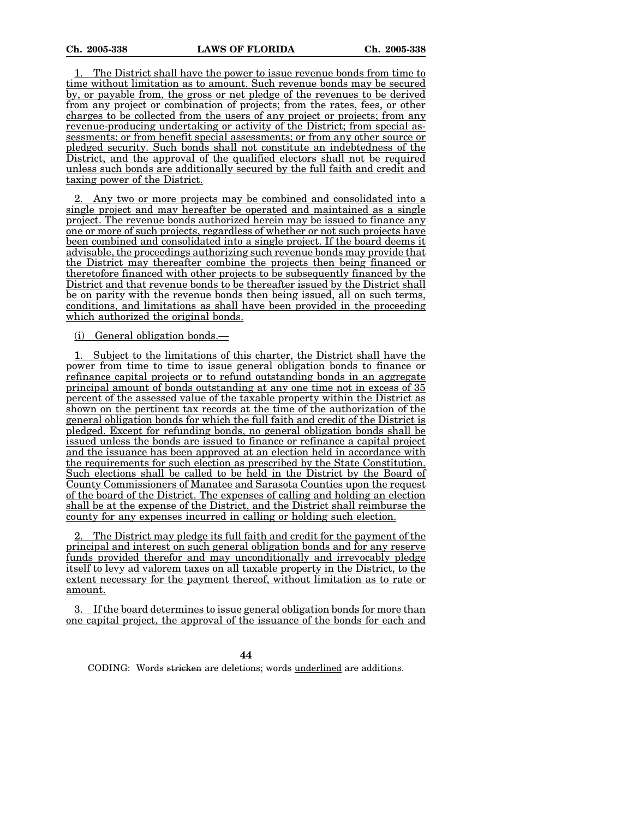1. The District shall have the power to issue revenue bonds from time to time without limitation as to amount. Such revenue bonds may be secured by, or payable from, the gross or net pledge of the revenues to be derived from any project or combination of projects; from the rates, fees, or other charges to be collected from the users of any project or projects; from any revenue-producing undertaking or activity of the District; from special assessments; or from benefit special assessments; or from any other source or pledged security. Such bonds shall not constitute an indebtedness of the District, and the approval of the qualified electors shall not be required unless such bonds are additionally secured by the full faith and credit and taxing power of the District.

2. Any two or more projects may be combined and consolidated into a single project and may hereafter be operated and maintained as a single project. The revenue bonds authorized herein may be issued to finance any one or more of such projects, regardless of whether or not such projects have been combined and consolidated into a single project. If the board deems it advisable, the proceedings authorizing such revenue bonds may provide that the District may thereafter combine the projects then being financed or theretofore financed with other projects to be subsequently financed by the District and that revenue bonds to be thereafter issued by the District shall be on parity with the revenue bonds then being issued, all on such terms, conditions, and limitations as shall have been provided in the proceeding which authorized the original bonds.

(i) General obligation bonds.—

1. Subject to the limitations of this charter, the District shall have the power from time to time to issue general obligation bonds to finance or refinance capital projects or to refund outstanding bonds in an aggregate principal amount of bonds outstanding at any one time not in excess of 35 percent of the assessed value of the taxable property within the District as shown on the pertinent tax records at the time of the authorization of the general obligation bonds for which the full faith and credit of the District is pledged. Except for refunding bonds, no general obligation bonds shall be issued unless the bonds are issued to finance or refinance a capital project and the issuance has been approved at an election held in accordance with the requirements for such election as prescribed by the State Constitution. Such elections shall be called to be held in the District by the Board of County Commissioners of Manatee and Sarasota Counties upon the request of the board of the District. The expenses of calling and holding an election shall be at the expense of the District, and the District shall reimburse the county for any expenses incurred in calling or holding such election.

2. The District may pledge its full faith and credit for the payment of the principal and interest on such general obligation bonds and for any reserve funds provided therefor and may unconditionally and irrevocably pledge itself to levy ad valorem taxes on all taxable property in the District, to the extent necessary for the payment thereof, without limitation as to rate or amount.

If the board determines to issue general obligation bonds for more than one capital project, the approval of the issuance of the bonds for each and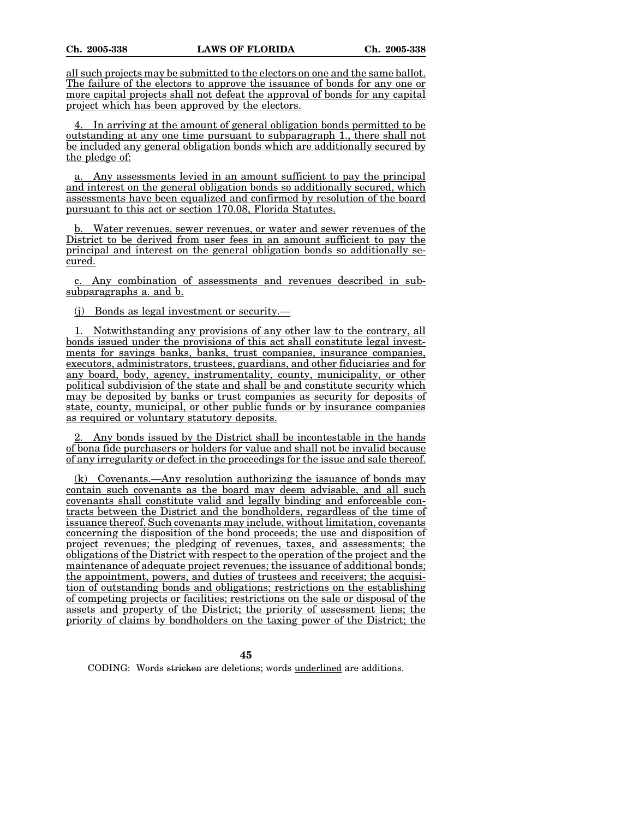all such projects may be submitted to the electors on one and the same ballot. The failure of the electors to approve the issuance of bonds for any one or more capital projects shall not defeat the approval of bonds for any capital project which has been approved by the electors.

4. In arriving at the amount of general obligation bonds permitted to be outstanding at any one time pursuant to subparagraph 1., there shall not be included any general obligation bonds which are additionally secured by the pledge of:

a. Any assessments levied in an amount sufficient to pay the principal and interest on the general obligation bonds so additionally secured, which assessments have been equalized and confirmed by resolution of the board pursuant to this act or section 170.08, Florida Statutes.

b. Water revenues, sewer revenues, or water and sewer revenues of the District to be derived from user fees in an amount sufficient to pay the principal and interest on the general obligation bonds so additionally secured.

c. Any combination of assessments and revenues described in subsubparagraphs a. and b.

(j) Bonds as legal investment or security.—

1. Notwithstanding any provisions of any other law to the contrary, all bonds issued under the provisions of this act shall constitute legal investments for savings banks, banks, trust companies, insurance companies, executors, administrators, trustees, guardians, and other fiduciaries and for any board, body, agency, instrumentality, county, municipality, or other political subdivision of the state and shall be and constitute security which may be deposited by banks or trust companies as security for deposits of state, county, municipal, or other public funds or by insurance companies as required or voluntary statutory deposits.

2. Any bonds issued by the District shall be incontestable in the hands of bona fide purchasers or holders for value and shall not be invalid because of any irregularity or defect in the proceedings for the issue and sale thereof.

(k) Covenants.—Any resolution authorizing the issuance of bonds may contain such covenants as the board may deem advisable, and all such covenants shall constitute valid and legally binding and enforceable contracts between the District and the bondholders, regardless of the time of issuance thereof. Such covenants may include, without limitation, covenants concerning the disposition of the bond proceeds; the use and disposition of project revenues; the pledging of revenues, taxes, and assessments; the obligations of the District with respect to the operation of the project and the maintenance of adequate project revenues; the issuance of additional bonds; the appointment, powers, and duties of trustees and receivers; the acquisition of outstanding bonds and obligations; restrictions on the establishing of competing projects or facilities; restrictions on the sale or disposal of the assets and property of the District; the priority of assessment liens; the priority of claims by bondholders on the taxing power of the District; the

**45**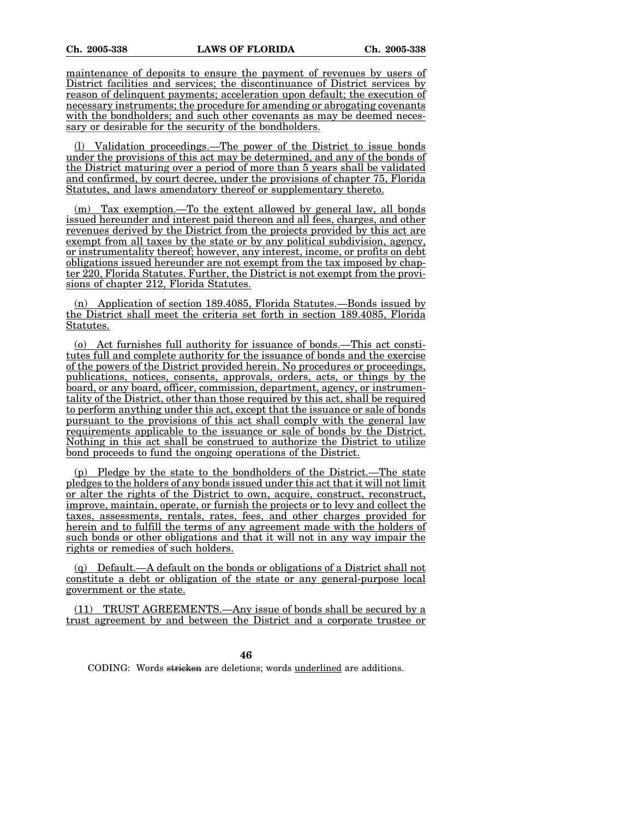maintenance of deposits to ensure the payment of revenues by users of District facilities and services; the discontinuance of District services by reason of delinquent payments; acceleration upon default; the execution of necessary instruments; the procedure for amending or abrogating covenants with the bondholders; and such other covenants as may be deemed necessary or desirable for the security of the bondholders.

(l) Validation proceedings.—The power of the District to issue bonds under the provisions of this act may be determined, and any of the bonds of the District maturing over a period of more than 5 years shall be validated and confirmed, by court decree, under the provisions of chapter 75, Florida Statutes, and laws amendatory thereof or supplementary thereto.

(m) Tax exemption.—To the extent allowed by general law, all bonds issued hereunder and interest paid thereon and all fees, charges, and other revenues derived by the District from the projects provided by this act are exempt from all taxes by the state or by any political subdivision, agency, or instrumentality thereof; however, any interest, income, or profits on debt obligations issued hereunder are not exempt from the tax imposed by chapter 220, Florida Statutes. Further, the District is not exempt from the provisions of chapter 212, Florida Statutes.

(n) Application of section 189.4085, Florida Statutes.—Bonds issued by the District shall meet the criteria set forth in section 189.4085, Florida Statutes.

(o) Act furnishes full authority for issuance of bonds.—This act constitutes full and complete authority for the issuance of bonds and the exercise of the powers of the District provided herein. No procedures or proceedings, publications, notices, consents, approvals, orders, acts, or things by the board, or any board, officer, commission, department, agency, or instrumentality of the District, other than those required by this act, shall be required to perform anything under this act, except that the issuance or sale of bonds pursuant to the provisions of this act shall comply with the general law requirements applicable to the issuance or sale of bonds by the District. Nothing in this act shall be construed to authorize the District to utilize bond proceeds to fund the ongoing operations of the District.

(p) Pledge by the state to the bondholders of the District.—The state pledges to the holders of any bonds issued under this act that it will not limit or alter the rights of the District to own, acquire, construct, reconstruct, improve, maintain, operate, or furnish the projects or to levy and collect the taxes, assessments, rentals, rates, fees, and other charges provided for herein and to fulfill the terms of any agreement made with the holders of such bonds or other obligations and that it will not in any way impair the rights or remedies of such holders.

(q) Default.—A default on the bonds or obligations of a District shall not constitute a debt or obligation of the state or any general-purpose local government or the state.

(11) TRUST AGREEMENTS.—Any issue of bonds shall be secured by a trust agreement by and between the District and a corporate trustee or

CODING: Words stricken are deletions; words underlined are additions.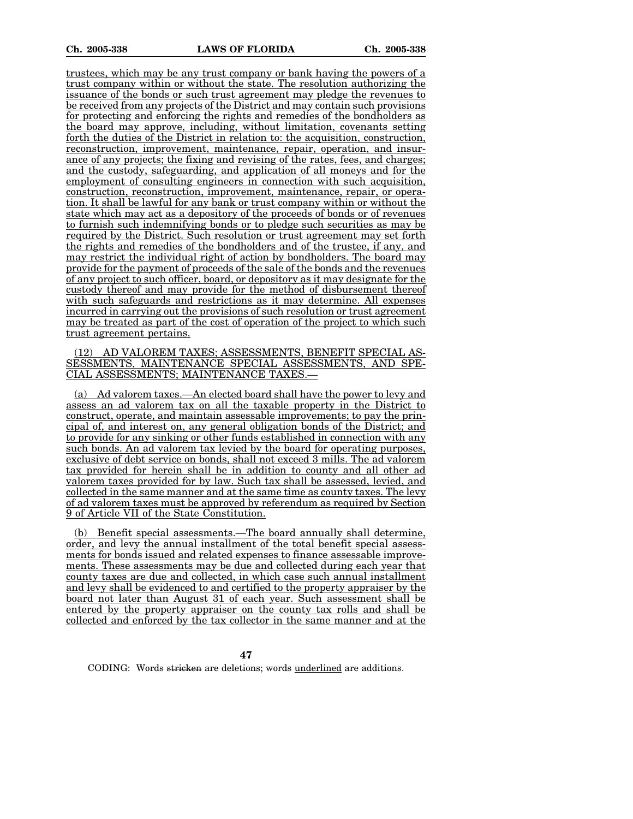trustees, which may be any trust company or bank having the powers of a trust company within or without the state. The resolution authorizing the issuance of the bonds or such trust agreement may pledge the revenues to be received from any projects of the District and may contain such provisions for protecting and enforcing the rights and remedies of the bondholders as the board may approve, including, without limitation, covenants setting forth the duties of the District in relation to: the acquisition, construction, reconstruction, improvement, maintenance, repair, operation, and insurance of any projects; the fixing and revising of the rates, fees, and charges; and the custody, safeguarding, and application of all moneys and for the employment of consulting engineers in connection with such acquisition, construction, reconstruction, improvement, maintenance, repair, or operation. It shall be lawful for any bank or trust company within or without the state which may act as a depository of the proceeds of bonds or of revenues to furnish such indemnifying bonds or to pledge such securities as may be required by the District. Such resolution or trust agreement may set forth the rights and remedies of the bondholders and of the trustee, if any, and may restrict the individual right of action by bondholders. The board may provide for the payment of proceeds of the sale of the bonds and the revenues of any project to such officer, board, or depository as it may designate for the custody thereof and may provide for the method of disbursement thereof with such safeguards and restrictions as it may determine. All expenses incurred in carrying out the provisions of such resolution or trust agreement may be treated as part of the cost of operation of the project to which such trust agreement pertains.

(12) AD VALOREM TAXES; ASSESSMENTS, BENEFIT SPECIAL AS-SESSMENTS, MAINTENANCE SPECIAL ASSESSMENTS, AND SPE-CIAL ASSESSMENTS; MAINTENANCE TAXES.—

(a) Ad valorem taxes.—An elected board shall have the power to levy and assess an ad valorem tax on all the taxable property in the District to construct, operate, and maintain assessable improvements; to pay the principal of, and interest on, any general obligation bonds of the District; and to provide for any sinking or other funds established in connection with any such bonds. An ad valorem tax levied by the board for operating purposes, exclusive of debt service on bonds, shall not exceed 3 mills. The ad valorem tax provided for herein shall be in addition to county and all other ad valorem taxes provided for by law. Such tax shall be assessed, levied, and collected in the same manner and at the same time as county taxes. The levy of ad valorem taxes must be approved by referendum as required by Section 9 of Article VII of the State Constitution.

(b) Benefit special assessments.—The board annually shall determine, order, and levy the annual installment of the total benefit special assessments for bonds issued and related expenses to finance assessable improvements. These assessments may be due and collected during each year that county taxes are due and collected, in which case such annual installment and levy shall be evidenced to and certified to the property appraiser by the board not later than August 31 of each year. Such assessment shall be entered by the property appraiser on the county tax rolls and shall be collected and enforced by the tax collector in the same manner and at the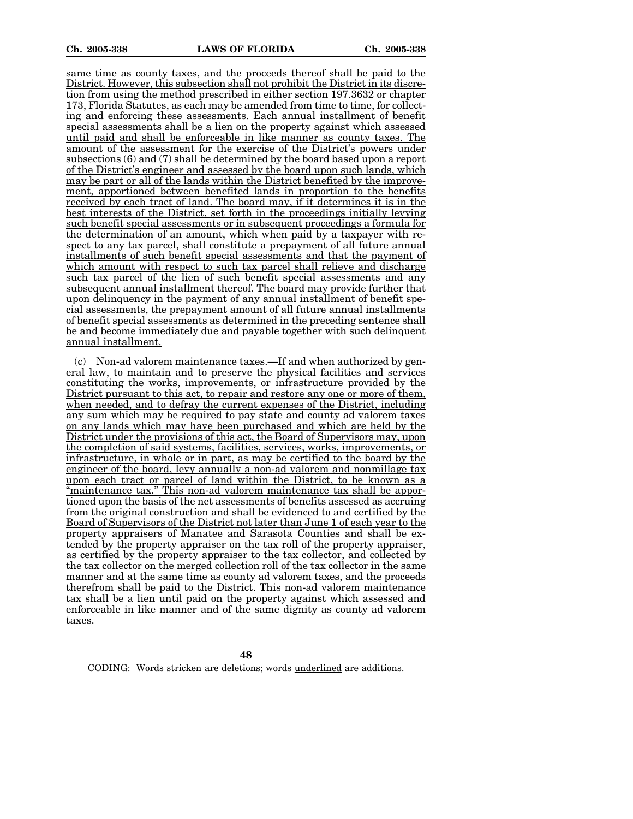same time as county taxes, and the proceeds thereof shall be paid to the District. However, this subsection shall not prohibit the District in its discretion from using the method prescribed in either section 197.3632 or chapter 173, Florida Statutes, as each may be amended from time to time, for collecting and enforcing these assessments. Each annual installment of benefit special assessments shall be a lien on the property against which assessed until paid and shall be enforceable in like manner as county taxes. The amount of the assessment for the exercise of the District's powers under subsections (6) and (7) shall be determined by the board based upon a report of the District's engineer and assessed by the board upon such lands, which may be part or all of the lands within the District benefited by the improvement, apportioned between benefited lands in proportion to the benefits received by each tract of land. The board may, if it determines it is in the best interests of the District, set forth in the proceedings initially levying such benefit special assessments or in subsequent proceedings a formula for the determination of an amount, which when paid by a taxpayer with respect to any tax parcel, shall constitute a prepayment of all future annual installments of such benefit special assessments and that the payment of which amount with respect to such tax parcel shall relieve and discharge such tax parcel of the lien of such benefit special assessments and any subsequent annual installment thereof. The board may provide further that upon delinquency in the payment of any annual installment of benefit special assessments, the prepayment amount of all future annual installments of benefit special assessments as determined in the preceding sentence shall be and become immediately due and payable together with such delinquent annual installment.

(c) Non-ad valorem maintenance taxes.—If and when authorized by general law, to maintain and to preserve the physical facilities and services constituting the works, improvements, or infrastructure provided by the District pursuant to this act, to repair and restore any one or more of them, when needed, and to defray the current expenses of the District, including any sum which may be required to pay state and county ad valorem taxes on any lands which may have been purchased and which are held by the District under the provisions of this act, the Board of Supervisors may, upon the completion of said systems, facilities, services, works, improvements, or infrastructure, in whole or in part, as may be certified to the board by the engineer of the board, levy annually a non-ad valorem and nonmillage tax upon each tract or parcel of land within the District, to be known as a "maintenance tax." This non-ad valorem maintenance tax shall be apportioned upon the basis of the net assessments of benefits assessed as accruing from the original construction and shall be evidenced to and certified by the Board of Supervisors of the District not later than June 1 of each year to the property appraisers of Manatee and Sarasota Counties and shall be extended by the property appraiser on the tax roll of the property appraiser, as certified by the property appraiser to the tax collector, and collected by the tax collector on the merged collection roll of the tax collector in the same manner and at the same time as county ad valorem taxes, and the proceeds therefrom shall be paid to the District. This non-ad valorem maintenance tax shall be a lien until paid on the property against which assessed and enforceable in like manner and of the same dignity as county ad valorem taxes.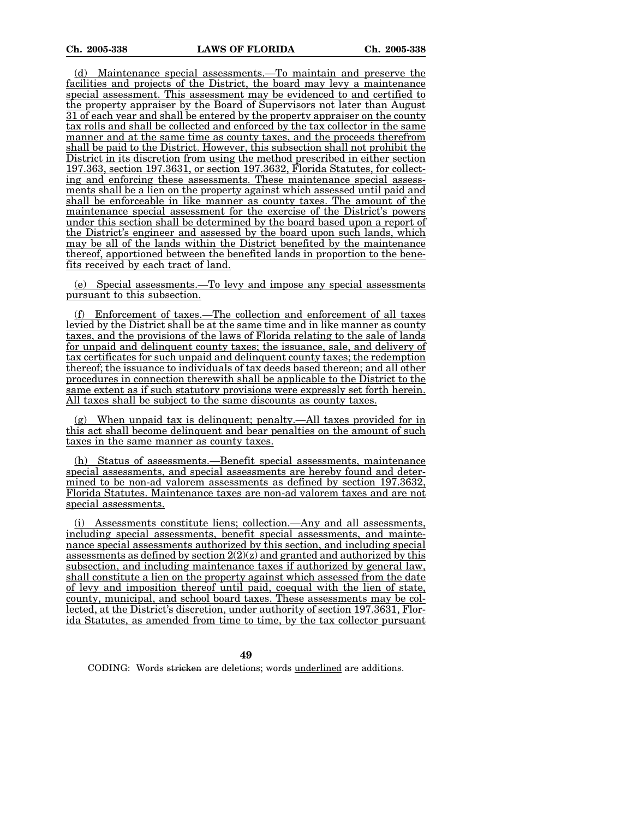(d) Maintenance special assessments.—To maintain and preserve the facilities and projects of the District, the board may levy a maintenance special assessment. This assessment may be evidenced to and certified to the property appraiser by the Board of Supervisors not later than August 31 of each year and shall be entered by the property appraiser on the county tax rolls and shall be collected and enforced by the tax collector in the same manner and at the same time as county taxes, and the proceeds therefrom shall be paid to the District. However, this subsection shall not prohibit the District in its discretion from using the method prescribed in either section 197.363, section 197.3631, or section 197.3632, Florida Statutes, for collecting and enforcing these assessments. These maintenance special assessments shall be a lien on the property against which assessed until paid and shall be enforceable in like manner as county taxes. The amount of the maintenance special assessment for the exercise of the District's powers under this section shall be determined by the board based upon a report of the District's engineer and assessed by the board upon such lands, which may be all of the lands within the District benefited by the maintenance thereof, apportioned between the benefited lands in proportion to the benefits received by each tract of land.

(e) Special assessments.—To levy and impose any special assessments pursuant to this subsection.

(f) Enforcement of taxes.—The collection and enforcement of all taxes levied by the District shall be at the same time and in like manner as county taxes, and the provisions of the laws of Florida relating to the sale of lands for unpaid and delinquent county taxes; the issuance, sale, and delivery of tax certificates for such unpaid and delinquent county taxes; the redemption thereof; the issuance to individuals of tax deeds based thereon; and all other procedures in connection therewith shall be applicable to the District to the same extent as if such statutory provisions were expressly set forth herein. All taxes shall be subject to the same discounts as county taxes.

(g) When unpaid tax is delinquent; penalty.—All taxes provided for in this act shall become delinquent and bear penalties on the amount of such taxes in the same manner as county taxes.

(h) Status of assessments.—Benefit special assessments, maintenance special assessments, and special assessments are hereby found and determined to be non-ad valorem assessments as defined by section 197.3632, Florida Statutes. Maintenance taxes are non-ad valorem taxes and are not special assessments.

(i) Assessments constitute liens; collection.—Any and all assessments, including special assessments, benefit special assessments, and maintenance special assessments authorized by this section, and including special assessments as defined by section  $2(2)(z)$  and granted and authorized by this subsection, and including maintenance taxes if authorized by general law, shall constitute a lien on the property against which assessed from the date of levy and imposition thereof until paid, coequal with the lien of state, county, municipal, and school board taxes. These assessments may be collected, at the District's discretion, under authority of section 197.3631, Florida Statutes, as amended from time to time, by the tax collector pursuant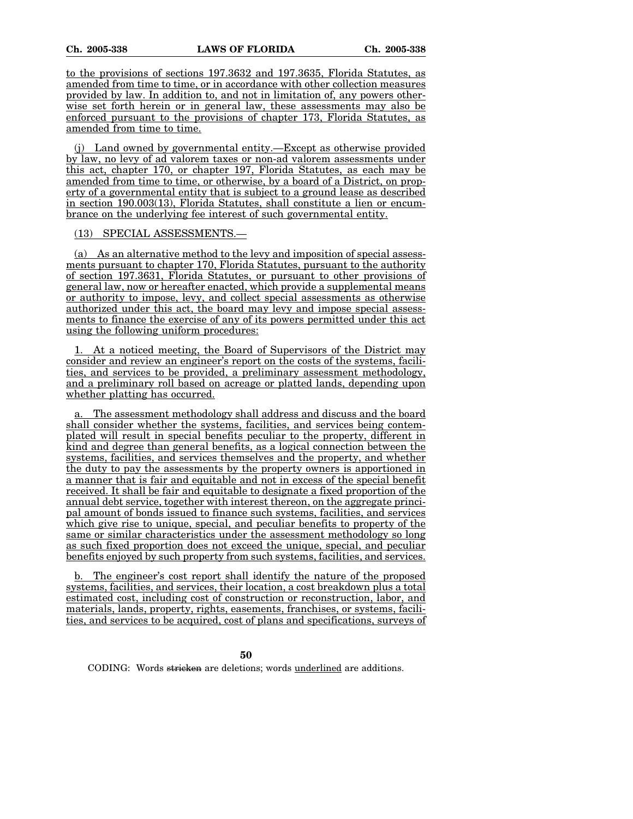to the provisions of sections 197.3632 and 197.3635, Florida Statutes, as amended from time to time, or in accordance with other collection measures provided by law. In addition to, and not in limitation of, any powers otherwise set forth herein or in general law, these assessments may also be enforced pursuant to the provisions of chapter 173, Florida Statutes, as amended from time to time.

(j) Land owned by governmental entity.—Except as otherwise provided by law, no levy of ad valorem taxes or non-ad valorem assessments under this act, chapter 170, or chapter 197, Florida Statutes, as each may be amended from time to time, or otherwise, by a board of a District, on property of a governmental entity that is subject to a ground lease as described in section 190.003(13), Florida Statutes, shall constitute a lien or encumbrance on the underlying fee interest of such governmental entity.

#### (13) SPECIAL ASSESSMENTS.—

(a) As an alternative method to the levy and imposition of special assessments pursuant to chapter 170, Florida Statutes, pursuant to the authority of section 197.3631, Florida Statutes, or pursuant to other provisions of general law, now or hereafter enacted, which provide a supplemental means or authority to impose, levy, and collect special assessments as otherwise authorized under this act, the board may levy and impose special assessments to finance the exercise of any of its powers permitted under this act using the following uniform procedures:

1. At a noticed meeting, the Board of Supervisors of the District may consider and review an engineer's report on the costs of the systems, facilities, and services to be provided, a preliminary assessment methodology, and a preliminary roll based on acreage or platted lands, depending upon whether platting has occurred.

The assessment methodology shall address and discuss and the board shall consider whether the systems, facilities, and services being contemplated will result in special benefits peculiar to the property, different in kind and degree than general benefits, as a logical connection between the systems, facilities, and services themselves and the property, and whether the duty to pay the assessments by the property owners is apportioned in a manner that is fair and equitable and not in excess of the special benefit received. It shall be fair and equitable to designate a fixed proportion of the annual debt service, together with interest thereon, on the aggregate principal amount of bonds issued to finance such systems, facilities, and services which give rise to unique, special, and peculiar benefits to property of the same or similar characteristics under the assessment methodology so long as such fixed proportion does not exceed the unique, special, and peculiar benefits enjoyed by such property from such systems, facilities, and services.

b. The engineer's cost report shall identify the nature of the proposed systems, facilities, and services, their location, a cost breakdown plus a total estimated cost, including cost of construction or reconstruction, labor, and materials, lands, property, rights, easements, franchises, or systems, facilities, and services to be acquired, cost of plans and specifications, surveys of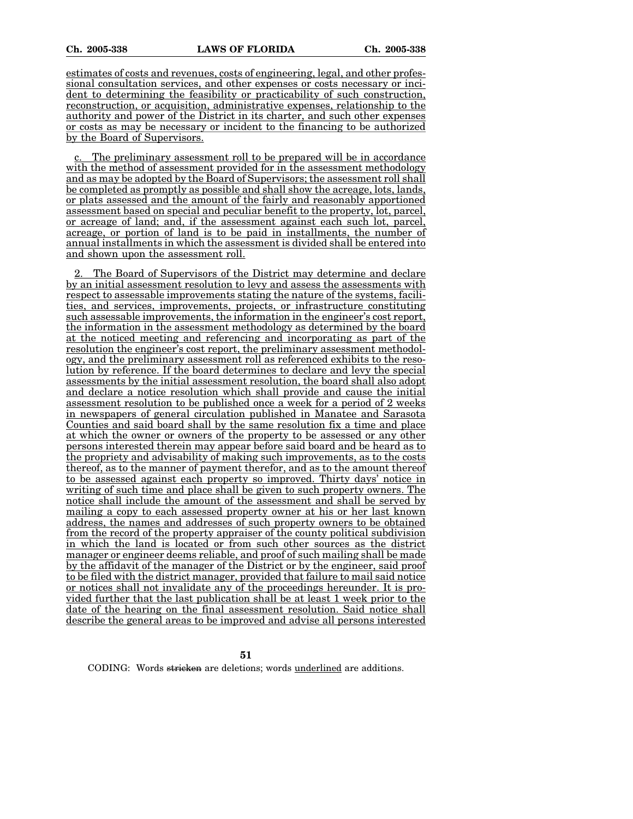estimates of costs and revenues, costs of engineering, legal, and other professional consultation services, and other expenses or costs necessary or incident to determining the feasibility or practicability of such construction, reconstruction, or acquisition, administrative expenses, relationship to the authority and power of the District in its charter, and such other expenses or costs as may be necessary or incident to the financing to be authorized by the Board of Supervisors.

The preliminary assessment roll to be prepared will be in accordance with the method of assessment provided for in the assessment methodology and as may be adopted by the Board of Supervisors; the assessment roll shall be completed as promptly as possible and shall show the acreage, lots, lands, or plats assessed and the amount of the fairly and reasonably apportioned assessment based on special and peculiar benefit to the property, lot, parcel, or acreage of land; and, if the assessment against each such lot, parcel, acreage, or portion of land is to be paid in installments, the number of annual installments in which the assessment is divided shall be entered into and shown upon the assessment roll.

2. The Board of Supervisors of the District may determine and declare by an initial assessment resolution to levy and assess the assessments with respect to assessable improvements stating the nature of the systems, facilities, and services, improvements, projects, or infrastructure constituting such assessable improvements, the information in the engineer's cost report, the information in the assessment methodology as determined by the board at the noticed meeting and referencing and incorporating as part of the resolution the engineer's cost report, the preliminary assessment methodology, and the preliminary assessment roll as referenced exhibits to the resolution by reference. If the board determines to declare and levy the special assessments by the initial assessment resolution, the board shall also adopt and declare a notice resolution which shall provide and cause the initial assessment resolution to be published once a week for a period of 2 weeks in newspapers of general circulation published in Manatee and Sarasota Counties and said board shall by the same resolution fix a time and place at which the owner or owners of the property to be assessed or any other persons interested therein may appear before said board and be heard as to the propriety and advisability of making such improvements, as to the costs thereof, as to the manner of payment therefor, and as to the amount thereof to be assessed against each property so improved. Thirty days' notice in writing of such time and place shall be given to such property owners. The notice shall include the amount of the assessment and shall be served by mailing a copy to each assessed property owner at his or her last known address, the names and addresses of such property owners to be obtained from the record of the property appraiser of the county political subdivision in which the land is located or from such other sources as the district manager or engineer deems reliable, and proof of such mailing shall be made by the affidavit of the manager of the District or by the engineer, said proof to be filed with the district manager, provided that failure to mail said notice or notices shall not invalidate any of the proceedings hereunder. It is provided further that the last publication shall be at least 1 week prior to the date of the hearing on the final assessment resolution. Said notice shall describe the general areas to be improved and advise all persons interested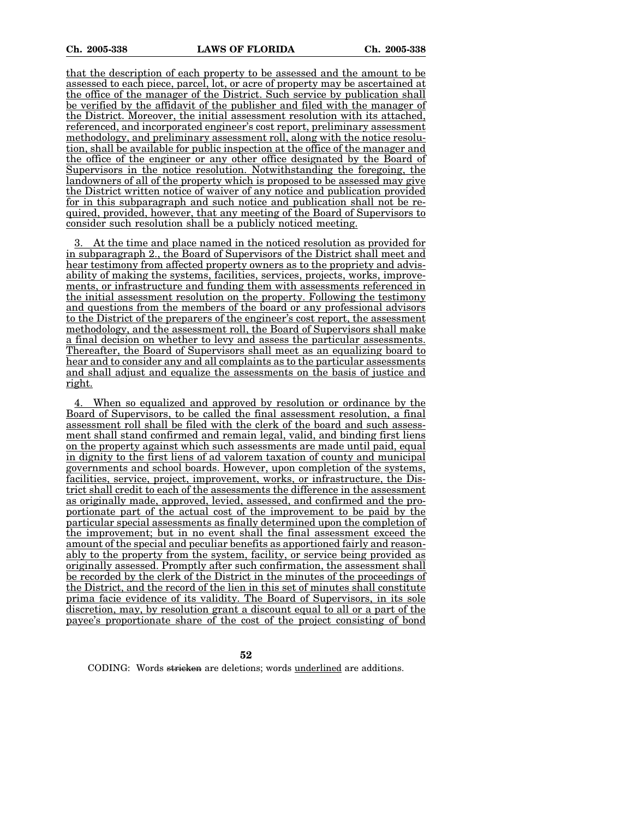that the description of each property to be assessed and the amount to be assessed to each piece, parcel, lot, or acre of property may be ascertained at the office of the manager of the District. Such service by publication shall be verified by the affidavit of the publisher and filed with the manager of the District. Moreover, the initial assessment resolution with its attached, referenced, and incorporated engineer's cost report, preliminary assessment methodology, and preliminary assessment roll, along with the notice resolution, shall be available for public inspection at the office of the manager and the office of the engineer or any other office designated by the Board of Supervisors in the notice resolution. Notwithstanding the foregoing, the landowners of all of the property which is proposed to be assessed may give the District written notice of waiver of any notice and publication provided for in this subparagraph and such notice and publication shall not be required, provided, however, that any meeting of the Board of Supervisors to consider such resolution shall be a publicly noticed meeting.

3. At the time and place named in the noticed resolution as provided for in subparagraph 2., the Board of Supervisors of the District shall meet and hear testimony from affected property owners as to the propriety and advisability of making the systems, facilities, services, projects, works, improvements, or infrastructure and funding them with assessments referenced in the initial assessment resolution on the property. Following the testimony and questions from the members of the board or any professional advisors to the District of the preparers of the engineer's cost report, the assessment methodology, and the assessment roll, the Board of Supervisors shall make a final decision on whether to levy and assess the particular assessments. Thereafter, the Board of Supervisors shall meet as an equalizing board to hear and to consider any and all complaints as to the particular assessments and shall adjust and equalize the assessments on the basis of justice and right.

4. When so equalized and approved by resolution or ordinance by the Board of Supervisors, to be called the final assessment resolution, a final assessment roll shall be filed with the clerk of the board and such assessment shall stand confirmed and remain legal, valid, and binding first liens on the property against which such assessments are made until paid, equal in dignity to the first liens of ad valorem taxation of county and municipal governments and school boards. However, upon completion of the systems, facilities, service, project, improvement, works, or infrastructure, the District shall credit to each of the assessments the difference in the assessment as originally made, approved, levied, assessed, and confirmed and the proportionate part of the actual cost of the improvement to be paid by the particular special assessments as finally determined upon the completion of the improvement; but in no event shall the final assessment exceed the amount of the special and peculiar benefits as apportioned fairly and reasonably to the property from the system, facility, or service being provided as originally assessed. Promptly after such confirmation, the assessment shall be recorded by the clerk of the District in the minutes of the proceedings of the District, and the record of the lien in this set of minutes shall constitute prima facie evidence of its validity. The Board of Supervisors, in its sole discretion, may, by resolution grant a discount equal to all or a part of the payee's proportionate share of the cost of the project consisting of bond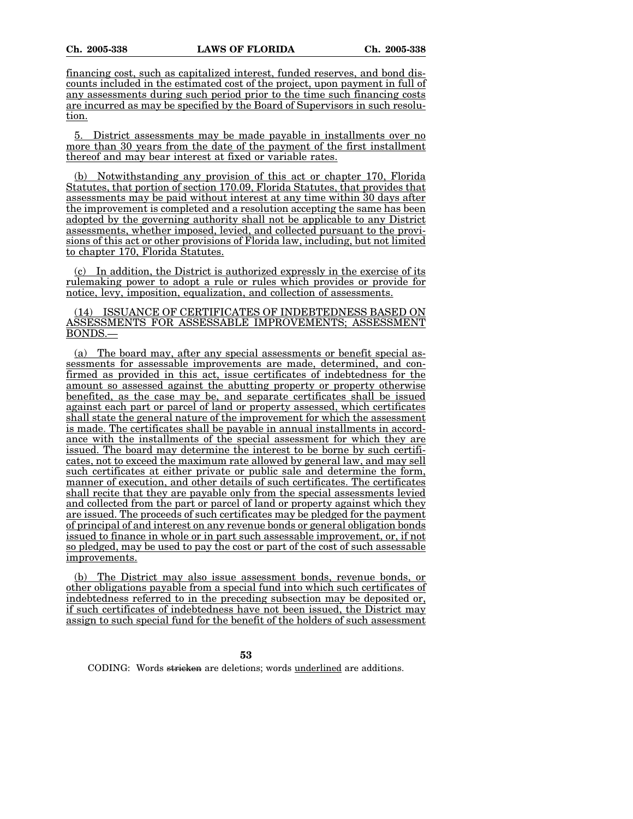financing cost, such as capitalized interest, funded reserves, and bond discounts included in the estimated cost of the project, upon payment in full of any assessments during such period prior to the time such financing costs are incurred as may be specified by the Board of Supervisors in such resolution.

5. District assessments may be made payable in installments over no more than 30 years from the date of the payment of the first installment thereof and may bear interest at fixed or variable rates.

(b) Notwithstanding any provision of this act or chapter 170, Florida Statutes, that portion of section 170.09, Florida Statutes, that provides that assessments may be paid without interest at any time within 30 days after the improvement is completed and a resolution accepting the same has been adopted by the governing authority shall not be applicable to any District assessments, whether imposed, levied, and collected pursuant to the provisions of this act or other provisions of Florida law, including, but not limited to chapter 170, Florida Statutes.

(c) In addition, the District is authorized expressly in the exercise of its rulemaking power to adopt a rule or rules which provides or provide for notice, levy, imposition, equalization, and collection of assessments.

(14) ISSUANCE OF CERTIFICATES OF INDEBTEDNESS BASED ON ASSESSMENTS FOR ASSESSABLE IMPROVEMENTS; ASSESSMENT BONDS.—

(a) The board may, after any special assessments or benefit special assessments for assessable improvements are made, determined, and confirmed as provided in this act, issue certificates of indebtedness for the amount so assessed against the abutting property or property otherwise benefited, as the case may be, and separate certificates shall be issued against each part or parcel of land or property assessed, which certificates shall state the general nature of the improvement for which the assessment is made. The certificates shall be payable in annual installments in accordance with the installments of the special assessment for which they are issued. The board may determine the interest to be borne by such certificates, not to exceed the maximum rate allowed by general law, and may sell such certificates at either private or public sale and determine the form, manner of execution, and other details of such certificates. The certificates shall recite that they are payable only from the special assessments levied and collected from the part or parcel of land or property against which they are issued. The proceeds of such certificates may be pledged for the payment of principal of and interest on any revenue bonds or general obligation bonds issued to finance in whole or in part such assessable improvement, or, if not so pledged, may be used to pay the cost or part of the cost of such assessable improvements.

(b) The District may also issue assessment bonds, revenue bonds, or other obligations payable from a special fund into which such certificates of indebtedness referred to in the preceding subsection may be deposited or, if such certificates of indebtedness have not been issued, the District may assign to such special fund for the benefit of the holders of such assessment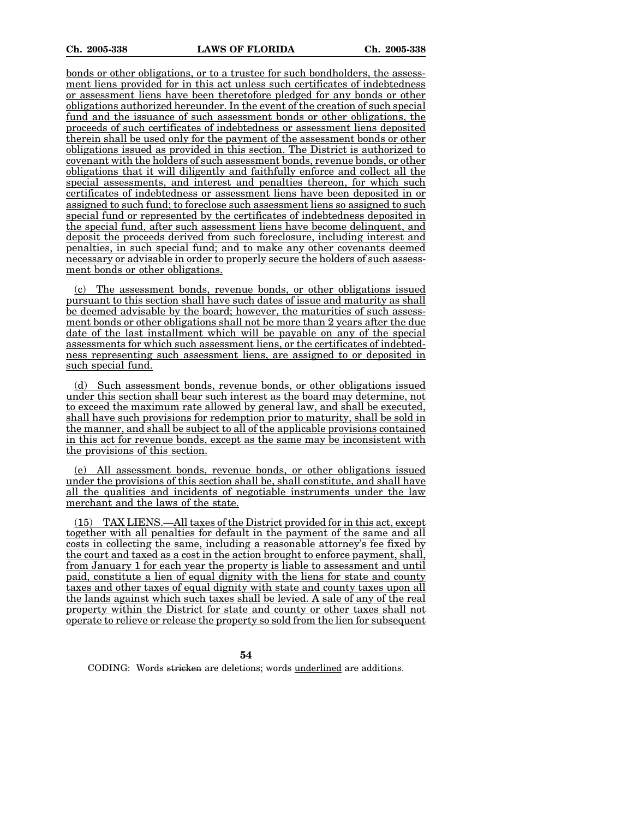bonds or other obligations, or to a trustee for such bondholders, the assessment liens provided for in this act unless such certificates of indebtedness or assessment liens have been theretofore pledged for any bonds or other obligations authorized hereunder. In the event of the creation of such special fund and the issuance of such assessment bonds or other obligations, the proceeds of such certificates of indebtedness or assessment liens deposited therein shall be used only for the payment of the assessment bonds or other obligations issued as provided in this section. The District is authorized to covenant with the holders of such assessment bonds, revenue bonds, or other obligations that it will diligently and faithfully enforce and collect all the special assessments, and interest and penalties thereon, for which such certificates of indebtedness or assessment liens have been deposited in or assigned to such fund; to foreclose such assessment liens so assigned to such special fund or represented by the certificates of indebtedness deposited in the special fund, after such assessment liens have become delinquent, and deposit the proceeds derived from such foreclosure, including interest and penalties, in such special fund; and to make any other covenants deemed necessary or advisable in order to properly secure the holders of such assessment bonds or other obligations.

The assessment bonds, revenue bonds, or other obligations issued pursuant to this section shall have such dates of issue and maturity as shall be deemed advisable by the board; however, the maturities of such assessment bonds or other obligations shall not be more than 2 years after the due date of the last installment which will be payable on any of the special assessments for which such assessment liens, or the certificates of indebtedness representing such assessment liens, are assigned to or deposited in such special fund.

(d) Such assessment bonds, revenue bonds, or other obligations issued under this section shall bear such interest as the board may determine, not to exceed the maximum rate allowed by general law, and shall be executed, shall have such provisions for redemption prior to maturity, shall be sold in the manner, and shall be subject to all of the applicable provisions contained in this act for revenue bonds, except as the same may be inconsistent with the provisions of this section.

(e) All assessment bonds, revenue bonds, or other obligations issued under the provisions of this section shall be, shall constitute, and shall have all the qualities and incidents of negotiable instruments under the law merchant and the laws of the state.

(15) TAX LIENS.—All taxes of the District provided for in this act, except together with all penalties for default in the payment of the same and all costs in collecting the same, including a reasonable attorney's fee fixed by the court and taxed as a cost in the action brought to enforce payment, shall, from January 1 for each year the property is liable to assessment and until paid, constitute a lien of equal dignity with the liens for state and county taxes and other taxes of equal dignity with state and county taxes upon all the lands against which such taxes shall be levied. A sale of any of the real property within the District for state and county or other taxes shall not operate to relieve or release the property so sold from the lien for subsequent

**54**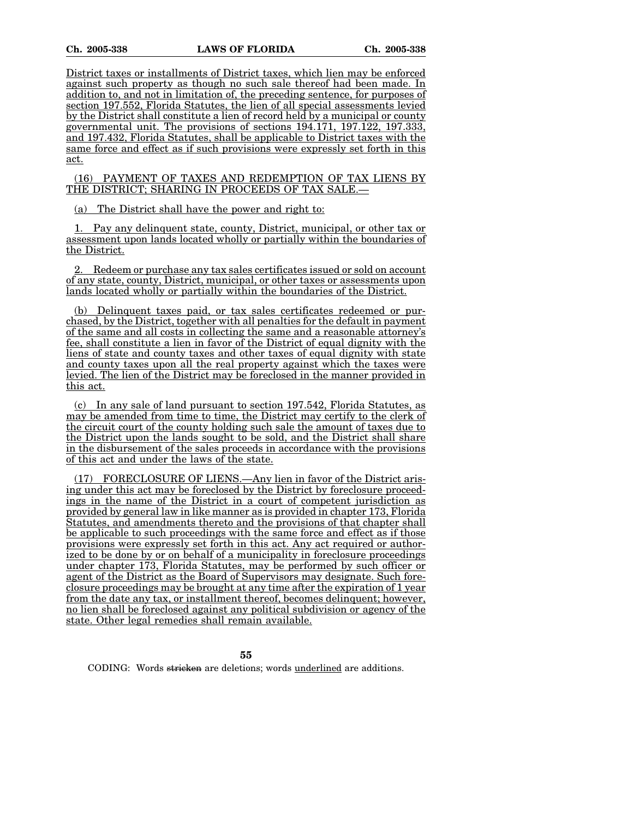District taxes or installments of District taxes, which lien may be enforced against such property as though no such sale thereof had been made. In addition to, and not in limitation of, the preceding sentence, for purposes of section 197.552, Florida Statutes, the lien of all special assessments levied by the District shall constitute a lien of record held by a municipal or county governmental unit. The provisions of sections 194.171, 197.122, 197.333, and 197.432, Florida Statutes, shall be applicable to District taxes with the same force and effect as if such provisions were expressly set forth in this act.

(16) PAYMENT OF TAXES AND REDEMPTION OF TAX LIENS BY THE DISTRICT; SHARING IN PROCEEDS OF TAX SALE.—

(a) The District shall have the power and right to:

1. Pay any delinquent state, county, District, municipal, or other tax or assessment upon lands located wholly or partially within the boundaries of the District.

2. Redeem or purchase any tax sales certificates issued or sold on account of any state, county, District, municipal, or other taxes or assessments upon lands located wholly or partially within the boundaries of the District.

(b) Delinquent taxes paid, or tax sales certificates redeemed or purchased, by the District, together with all penalties for the default in payment of the same and all costs in collecting the same and a reasonable attorney's fee, shall constitute a lien in favor of the District of equal dignity with the liens of state and county taxes and other taxes of equal dignity with state and county taxes upon all the real property against which the taxes were levied. The lien of the District may be foreclosed in the manner provided in this act.

(c) In any sale of land pursuant to section 197.542, Florida Statutes, as may be amended from time to time, the District may certify to the clerk of the circuit court of the county holding such sale the amount of taxes due to the District upon the lands sought to be sold, and the District shall share in the disbursement of the sales proceeds in accordance with the provisions of this act and under the laws of the state.

(17) FORECLOSURE OF LIENS.—Any lien in favor of the District arising under this act may be foreclosed by the District by foreclosure proceedings in the name of the District in a court of competent jurisdiction as provided by general law in like manner as is provided in chapter 173, Florida Statutes, and amendments thereto and the provisions of that chapter shall be applicable to such proceedings with the same force and effect as if those provisions were expressly set forth in this act. Any act required or authorized to be done by or on behalf of a municipality in foreclosure proceedings under chapter 173, Florida Statutes, may be performed by such officer or agent of the District as the Board of Supervisors may designate. Such foreclosure proceedings may be brought at any time after the expiration of 1 year from the date any tax, or installment thereof, becomes delinquent; however, no lien shall be foreclosed against any political subdivision or agency of the state. Other legal remedies shall remain available.

**55**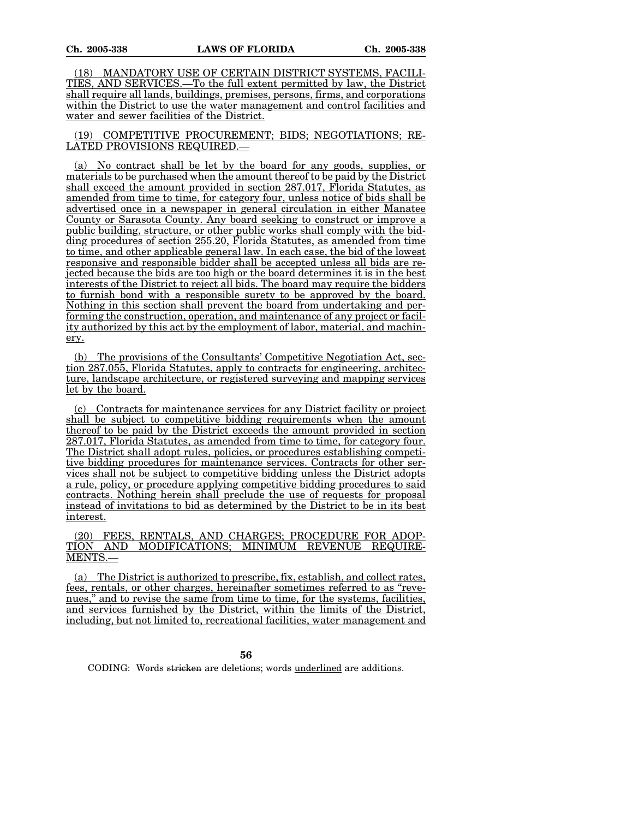(18) MANDATORY USE OF CERTAIN DISTRICT SYSTEMS, FACILI-TIES, AND SERVICES.—To the full extent permitted by law, the District shall require all lands, buildings, premises, persons, firms, and corporations within the District to use the water management and control facilities and water and sewer facilities of the District.

(19) COMPETITIVE PROCUREMENT; BIDS; NEGOTIATIONS; RE-LATED PROVISIONS REQUIRED.—

(a) No contract shall be let by the board for any goods, supplies, or materials to be purchased when the amount thereof to be paid by the District shall exceed the amount provided in section 287.017, Florida Statutes, as amended from time to time, for category four, unless notice of bids shall be advertised once in a newspaper in general circulation in either Manatee County or Sarasota County. Any board seeking to construct or improve a public building, structure, or other public works shall comply with the bidding procedures of section 255.20, Florida Statutes, as amended from time to time, and other applicable general law. In each case, the bid of the lowest responsive and responsible bidder shall be accepted unless all bids are rejected because the bids are too high or the board determines it is in the best interests of the District to reject all bids. The board may require the bidders to furnish bond with a responsible surety to be approved by the board. Nothing in this section shall prevent the board from undertaking and performing the construction, operation, and maintenance of any project or facility authorized by this act by the employment of labor, material, and machinery.

(b) The provisions of the Consultants' Competitive Negotiation Act, section 287.055, Florida Statutes, apply to contracts for engineering, architecture, landscape architecture, or registered surveying and mapping services let by the board.

(c) Contracts for maintenance services for any District facility or project shall be subject to competitive bidding requirements when the amount thereof to be paid by the District exceeds the amount provided in section 287.017, Florida Statutes, as amended from time to time, for category four. The District shall adopt rules, policies, or procedures establishing competitive bidding procedures for maintenance services. Contracts for other services shall not be subject to competitive bidding unless the District adopts a rule, policy, or procedure applying competitive bidding procedures to said contracts. Nothing herein shall preclude the use of requests for proposal instead of invitations to bid as determined by the District to be in its best interest.

(20) FEES, RENTALS, AND CHARGES; PROCEDURE FOR ADOPTION AND MODIFICATIONS: MINIMUM REVENUE REQUIRE-MODIFICATIONS: MINIMUM REVENUE MENTS.—

(a) The District is authorized to prescribe, fix, establish, and collect rates, fees, rentals, or other charges, hereinafter sometimes referred to as "revenues," and to revise the same from time to time, for the systems, facilities, and services furnished by the District, within the limits of the District, including, but not limited to, recreational facilities, water management and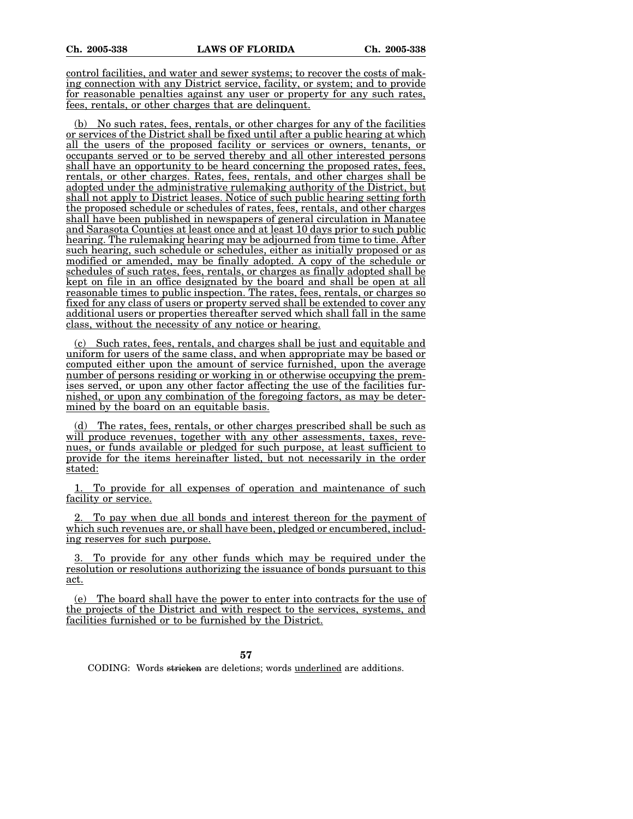control facilities, and water and sewer systems; to recover the costs of making connection with any District service, facility, or system; and to provide for reasonable penalties against any user or property for any such rates, fees, rentals, or other charges that are delinquent.

(b) No such rates, fees, rentals, or other charges for any of the facilities or services of the District shall be fixed until after a public hearing at which all the users of the proposed facility or services or owners, tenants, or occupants served or to be served thereby and all other interested persons shall have an opportunity to be heard concerning the proposed rates, fees, rentals, or other charges. Rates, fees, rentals, and other charges shall be adopted under the administrative rulemaking authority of the District, but shall not apply to District leases. Notice of such public hearing setting forth the proposed schedule or schedules of rates, fees, rentals, and other charges shall have been published in newspapers of general circulation in Manatee and Sarasota Counties at least once and at least 10 days prior to such public hearing. The rulemaking hearing may be adjourned from time to time. After such hearing, such schedule or schedules, either as initially proposed or as modified or amended, may be finally adopted. A copy of the schedule or schedules of such rates, fees, rentals, or charges as finally adopted shall be kept on file in an office designated by the board and shall be open at all reasonable times to public inspection. The rates, fees, rentals, or charges so fixed for any class of users or property served shall be extended to cover any additional users or properties thereafter served which shall fall in the same class, without the necessity of any notice or hearing.

(c) Such rates, fees, rentals, and charges shall be just and equitable and uniform for users of the same class, and when appropriate may be based or computed either upon the amount of service furnished, upon the average number of persons residing or working in or otherwise occupying the premises served, or upon any other factor affecting the use of the facilities furnished, or upon any combination of the foregoing factors, as may be determined by the board on an equitable basis.

(d) The rates, fees, rentals, or other charges prescribed shall be such as will produce revenues, together with any other assessments, taxes, revenues, or funds available or pledged for such purpose, at least sufficient to provide for the items hereinafter listed, but not necessarily in the order stated:

1. To provide for all expenses of operation and maintenance of such facility or service.

2. To pay when due all bonds and interest thereon for the payment of which such revenues are, or shall have been, pledged or encumbered, including reserves for such purpose.

3. To provide for any other funds which may be required under the resolution or resolutions authorizing the issuance of bonds pursuant to this act.

(e) The board shall have the power to enter into contracts for the use of the projects of the District and with respect to the services, systems, and facilities furnished or to be furnished by the District.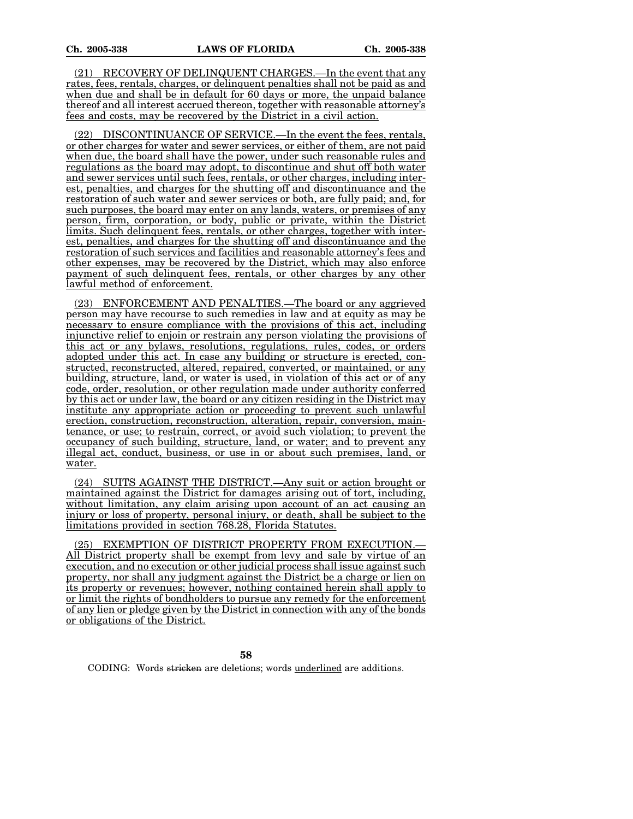(21) RECOVERY OF DELINQUENT CHARGES.—In the event that any rates, fees, rentals, charges, or delinquent penalties shall not be paid as and when due and shall be in default for 60 days or more, the unpaid balance thereof and all interest accrued thereon, together with reasonable attorney's fees and costs, may be recovered by the District in a civil action.

(22) DISCONTINUANCE OF SERVICE.—In the event the fees, rentals, or other charges for water and sewer services, or either of them, are not paid when due, the board shall have the power, under such reasonable rules and regulations as the board may adopt, to discontinue and shut off both water and sewer services until such fees, rentals, or other charges, including interest, penalties, and charges for the shutting off and discontinuance and the restoration of such water and sewer services or both, are fully paid; and, for such purposes, the board may enter on any lands, waters, or premises of any person, firm, corporation, or body, public or private, within the District limits. Such delinquent fees, rentals, or other charges, together with interest, penalties, and charges for the shutting off and discontinuance and the restoration of such services and facilities and reasonable attorney's fees and other expenses, may be recovered by the District, which may also enforce payment of such delinquent fees, rentals, or other charges by any other lawful method of enforcement.

(23) ENFORCEMENT AND PENALTIES.—The board or any aggrieved person may have recourse to such remedies in law and at equity as may be necessary to ensure compliance with the provisions of this act, including injunctive relief to enjoin or restrain any person violating the provisions of this act or any bylaws, resolutions, regulations, rules, codes, or orders adopted under this act. In case any building or structure is erected, constructed, reconstructed, altered, repaired, converted, or maintained, or any building, structure, land, or water is used, in violation of this act or of any code, order, resolution, or other regulation made under authority conferred by this act or under law, the board or any citizen residing in the District may institute any appropriate action or proceeding to prevent such unlawful erection, construction, reconstruction, alteration, repair, conversion, maintenance, or use; to restrain, correct, or avoid such violation; to prevent the occupancy of such building, structure, land, or water; and to prevent any illegal act, conduct, business, or use in or about such premises, land, or water.

(24) SUITS AGAINST THE DISTRICT.—Any suit or action brought or maintained against the District for damages arising out of tort, including, without limitation, any claim arising upon account of an act causing an injury or loss of property, personal injury, or death, shall be subject to the limitations provided in section 768.28, Florida Statutes.

(25) EXEMPTION OF DISTRICT PROPERTY FROM EXECUTION.— All District property shall be exempt from levy and sale by virtue of an execution, and no execution or other judicial process shall issue against such property, nor shall any judgment against the District be a charge or lien on its property or revenues; however, nothing contained herein shall apply to or limit the rights of bondholders to pursue any remedy for the enforcement of any lien or pledge given by the District in connection with any of the bonds or obligations of the District.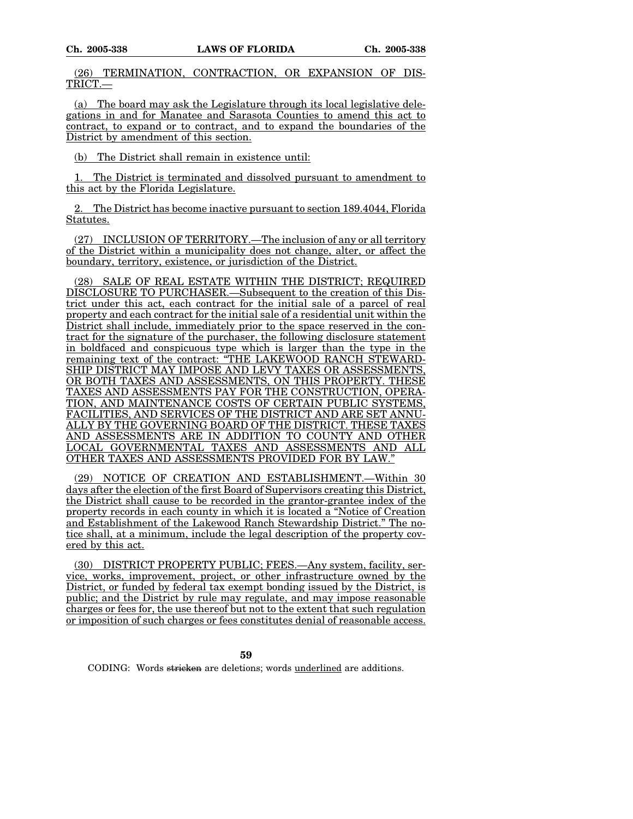(26) TERMINATION, CONTRACTION, OR EXPANSION OF DIS-TRICT.—

(a) The board may ask the Legislature through its local legislative delegations in and for Manatee and Sarasota Counties to amend this act to contract, to expand or to contract, and to expand the boundaries of the District by amendment of this section.

(b) The District shall remain in existence until:

1. The District is terminated and dissolved pursuant to amendment to this act by the Florida Legislature.

2. The District has become inactive pursuant to section 189.4044, Florida Statutes.

(27) INCLUSION OF TERRITORY.—The inclusion of any or all territory of the District within a municipality does not change, alter, or affect the boundary, territory, existence, or jurisdiction of the District.

(28) SALE OF REAL ESTATE WITHIN THE DISTRICT; REQUIRED DISCLOSURE TO PURCHASER.—Subsequent to the creation of this District under this act, each contract for the initial sale of a parcel of real property and each contract for the initial sale of a residential unit within the District shall include, immediately prior to the space reserved in the contract for the signature of the purchaser, the following disclosure statement in boldfaced and conspicuous type which is larger than the type in the remaining text of the contract: "THE LAKEWOOD RANCH STEWARD-SHIP DISTRICT MAY IMPOSE AND LEVY TAXES OR ASSESSMENTS, OR BOTH TAXES AND ASSESSMENTS, ON THIS PROPERTY. THESE TAXES AND ASSESSMENTS PAY FOR THE CONSTRUCTION, OPERA-TION, AND MAINTENANCE COSTS OF CERTAIN PUBLIC SYSTEMS, FACILITIES, AND SERVICES OF THE DISTRICT AND ARE SET ANNU-ALLY BY THE GOVERNING BOARD OF THE DISTRICT. THESE TAXES AND ASSESSMENTS ARE IN ADDITION TO COUNTY AND OTHER LOCAL GOVERNMENTAL TAXES AND ASSESSMENTS AND ALL OTHER TAXES AND ASSESSMENTS PROVIDED FOR BY LAW."

(29) NOTICE OF CREATION AND ESTABLISHMENT.—Within 30 days after the election of the first Board of Supervisors creating this District, the District shall cause to be recorded in the grantor-grantee index of the property records in each county in which it is located a "Notice of Creation and Establishment of the Lakewood Ranch Stewardship District." The notice shall, at a minimum, include the legal description of the property covered by this act.

(30) DISTRICT PROPERTY PUBLIC; FEES.—Any system, facility, service, works, improvement, project, or other infrastructure owned by the District, or funded by federal tax exempt bonding issued by the District, is public; and the District by rule may regulate, and may impose reasonable charges or fees for, the use thereof but not to the extent that such regulation or imposition of such charges or fees constitutes denial of reasonable access.